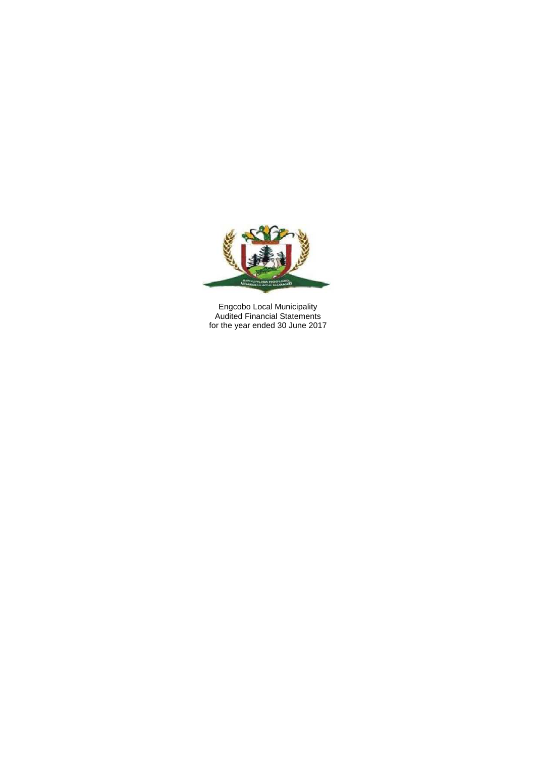

Engcobo Local Municipality Audited Financial Statements for the year ended 30 June 2017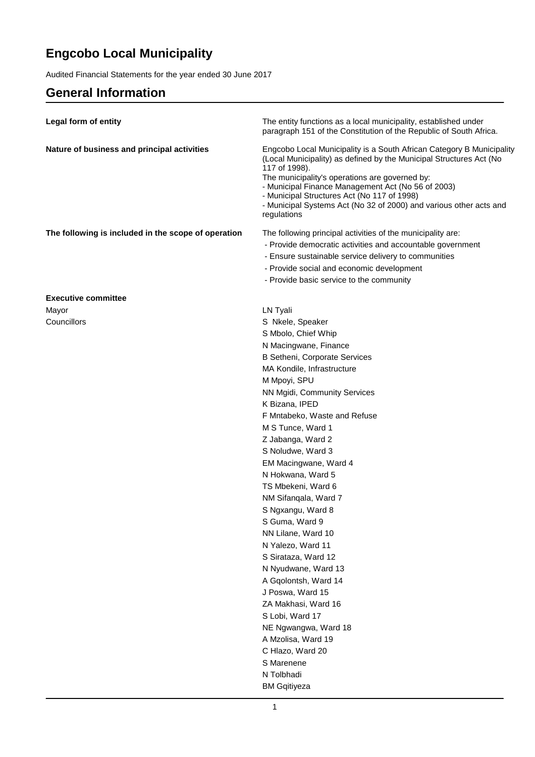Audited Financial Statements for the year ended 30 June 2017

## **General Information**

| Legal form of entity                                | The entity functions as a local municipality, established under<br>paragraph 151 of the Constitution of the Republic of South Africa.                                                                                                                                                                                                                                                                     |
|-----------------------------------------------------|-----------------------------------------------------------------------------------------------------------------------------------------------------------------------------------------------------------------------------------------------------------------------------------------------------------------------------------------------------------------------------------------------------------|
| Nature of business and principal activities         | Engcobo Local Municipality is a South African Category B Municipality<br>(Local Municipality) as defined by the Municipal Structures Act (No<br>117 of 1998).<br>The municipality's operations are governed by:<br>- Municipal Finance Management Act (No 56 of 2003)<br>- Municipal Structures Act (No 117 of 1998)<br>- Municipal Systems Act (No 32 of 2000) and various other acts and<br>regulations |
| The following is included in the scope of operation | The following principal activities of the municipality are:                                                                                                                                                                                                                                                                                                                                               |
|                                                     | - Provide democratic activities and accountable government                                                                                                                                                                                                                                                                                                                                                |
|                                                     | - Ensure sustainable service delivery to communities                                                                                                                                                                                                                                                                                                                                                      |
|                                                     | - Provide social and economic development                                                                                                                                                                                                                                                                                                                                                                 |
|                                                     | - Provide basic service to the community                                                                                                                                                                                                                                                                                                                                                                  |
| <b>Executive committee</b>                          |                                                                                                                                                                                                                                                                                                                                                                                                           |
| Mayor                                               | LN Tyali                                                                                                                                                                                                                                                                                                                                                                                                  |
| Councillors                                         | S Nkele, Speaker                                                                                                                                                                                                                                                                                                                                                                                          |
|                                                     | S Mbolo, Chief Whip                                                                                                                                                                                                                                                                                                                                                                                       |
|                                                     | N Macingwane, Finance                                                                                                                                                                                                                                                                                                                                                                                     |
|                                                     | <b>B Setheni, Corporate Services</b>                                                                                                                                                                                                                                                                                                                                                                      |
|                                                     | MA Kondile, Infrastructure                                                                                                                                                                                                                                                                                                                                                                                |
|                                                     | M Mpoyi, SPU                                                                                                                                                                                                                                                                                                                                                                                              |
|                                                     | NN Mgidi, Community Services                                                                                                                                                                                                                                                                                                                                                                              |
|                                                     | K Bizana, IPED                                                                                                                                                                                                                                                                                                                                                                                            |
|                                                     | F Mntabeko, Waste and Refuse                                                                                                                                                                                                                                                                                                                                                                              |
|                                                     | M S Tunce, Ward 1                                                                                                                                                                                                                                                                                                                                                                                         |
|                                                     | Z Jabanga, Ward 2                                                                                                                                                                                                                                                                                                                                                                                         |
|                                                     | S Noludwe, Ward 3                                                                                                                                                                                                                                                                                                                                                                                         |
|                                                     | EM Macingwane, Ward 4                                                                                                                                                                                                                                                                                                                                                                                     |
|                                                     | N Hokwana, Ward 5                                                                                                                                                                                                                                                                                                                                                                                         |
|                                                     | TS Mbekeni, Ward 6                                                                                                                                                                                                                                                                                                                                                                                        |
|                                                     | NM Sifanqala, Ward 7                                                                                                                                                                                                                                                                                                                                                                                      |
|                                                     | S Ngxangu, Ward 8                                                                                                                                                                                                                                                                                                                                                                                         |
|                                                     | S Guma, Ward 9                                                                                                                                                                                                                                                                                                                                                                                            |
|                                                     | NN Lilane, Ward 10                                                                                                                                                                                                                                                                                                                                                                                        |
|                                                     | N Yalezo, Ward 11                                                                                                                                                                                                                                                                                                                                                                                         |
|                                                     | S Sirataza, Ward 12                                                                                                                                                                                                                                                                                                                                                                                       |
|                                                     | N Nyudwane, Ward 13                                                                                                                                                                                                                                                                                                                                                                                       |
|                                                     | A Gqolontsh, Ward 14                                                                                                                                                                                                                                                                                                                                                                                      |
|                                                     | J Poswa, Ward 15                                                                                                                                                                                                                                                                                                                                                                                          |
|                                                     | ZA Makhasi, Ward 16                                                                                                                                                                                                                                                                                                                                                                                       |
|                                                     | S Lobi, Ward 17                                                                                                                                                                                                                                                                                                                                                                                           |
|                                                     | NE Ngwangwa, Ward 18                                                                                                                                                                                                                                                                                                                                                                                      |
|                                                     | A Mzolisa, Ward 19                                                                                                                                                                                                                                                                                                                                                                                        |
|                                                     | C Hlazo, Ward 20                                                                                                                                                                                                                                                                                                                                                                                          |
|                                                     | S Marenene                                                                                                                                                                                                                                                                                                                                                                                                |
|                                                     | N Tolbhadi                                                                                                                                                                                                                                                                                                                                                                                                |
|                                                     | <b>BM</b> Gqitiyeza                                                                                                                                                                                                                                                                                                                                                                                       |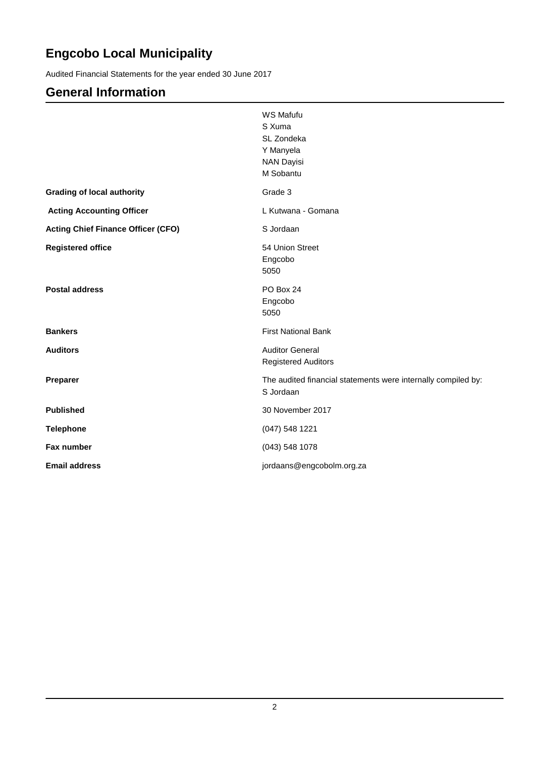Audited Financial Statements for the year ended 30 June 2017

## **General Information**

|                                           | WS Mafufu<br>S Xuma<br>SL Zondeka<br>Y Manyela<br><b>NAN Dayisi</b><br>M Sobantu |
|-------------------------------------------|----------------------------------------------------------------------------------|
| <b>Grading of local authority</b>         | Grade 3                                                                          |
| <b>Acting Accounting Officer</b>          | L Kutwana - Gomana                                                               |
| <b>Acting Chief Finance Officer (CFO)</b> | S Jordaan                                                                        |
| <b>Registered office</b>                  | 54 Union Street<br>Engcobo<br>5050                                               |
| <b>Postal address</b>                     | PO Box 24<br>Engcobo<br>5050                                                     |
| <b>Bankers</b>                            | <b>First National Bank</b>                                                       |
| <b>Auditors</b>                           | <b>Auditor General</b><br><b>Registered Auditors</b>                             |
| Preparer                                  | The audited financial statements were internally compiled by:<br>S Jordaan       |
| <b>Published</b>                          | 30 November 2017                                                                 |
| <b>Telephone</b>                          | (047) 548 1221                                                                   |
| Fax number                                | $(043)$ 548 1078                                                                 |
| <b>Email address</b>                      | jordaans@engcobolm.org.za                                                        |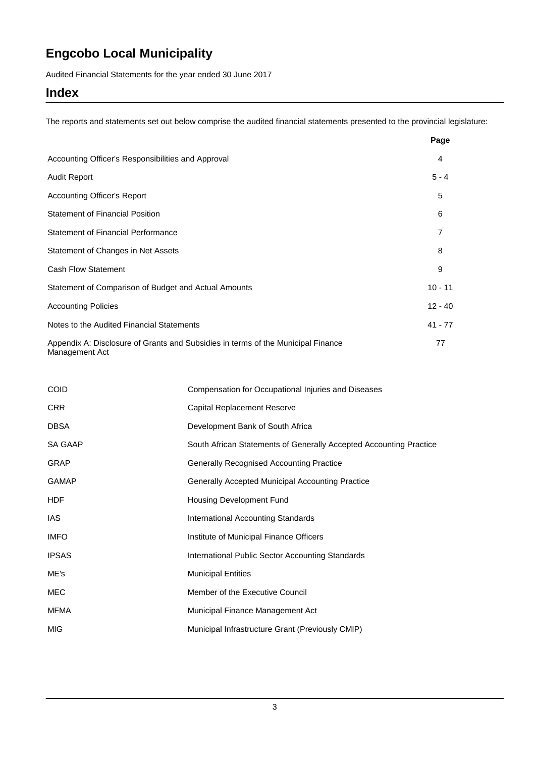Audited Financial Statements for the year ended 30 June 2017

## **Index**

The reports and statements set out below comprise the audited financial statements presented to the provincial legislature:

|                                                                                                    | Page      |
|----------------------------------------------------------------------------------------------------|-----------|
| Accounting Officer's Responsibilities and Approval                                                 | 4         |
| <b>Audit Report</b>                                                                                | $5 - 4$   |
| <b>Accounting Officer's Report</b>                                                                 | 5         |
| <b>Statement of Financial Position</b>                                                             | 6         |
| <b>Statement of Financial Performance</b>                                                          | 7         |
| Statement of Changes in Net Assets                                                                 | 8         |
| <b>Cash Flow Statement</b>                                                                         | 9         |
| Statement of Comparison of Budget and Actual Amounts                                               | $10 - 11$ |
| <b>Accounting Policies</b>                                                                         | $12 - 40$ |
| Notes to the Audited Financial Statements                                                          | $41 - 77$ |
| Appendix A: Disclosure of Grants and Subsidies in terms of the Municipal Finance<br>Management Act | 77        |

| <b>COID</b>    | Compensation for Occupational Injuries and Diseases                |
|----------------|--------------------------------------------------------------------|
| <b>CRR</b>     | Capital Replacement Reserve                                        |
| DBSA           | Development Bank of South Africa                                   |
| <b>SA GAAP</b> | South African Statements of Generally Accepted Accounting Practice |
| <b>GRAP</b>    | <b>Generally Recognised Accounting Practice</b>                    |
| <b>GAMAP</b>   | Generally Accepted Municipal Accounting Practice                   |
| HDF            | Housing Development Fund                                           |
| IAS.           | International Accounting Standards                                 |
| <b>IMFO</b>    | Institute of Municipal Finance Officers                            |
| <b>IPSAS</b>   | International Public Sector Accounting Standards                   |
| ME's           | <b>Municipal Entities</b>                                          |
| <b>MEC</b>     | Member of the Executive Council                                    |
| <b>MFMA</b>    | Municipal Finance Management Act                                   |
| MIG.           | Municipal Infrastructure Grant (Previously CMIP)                   |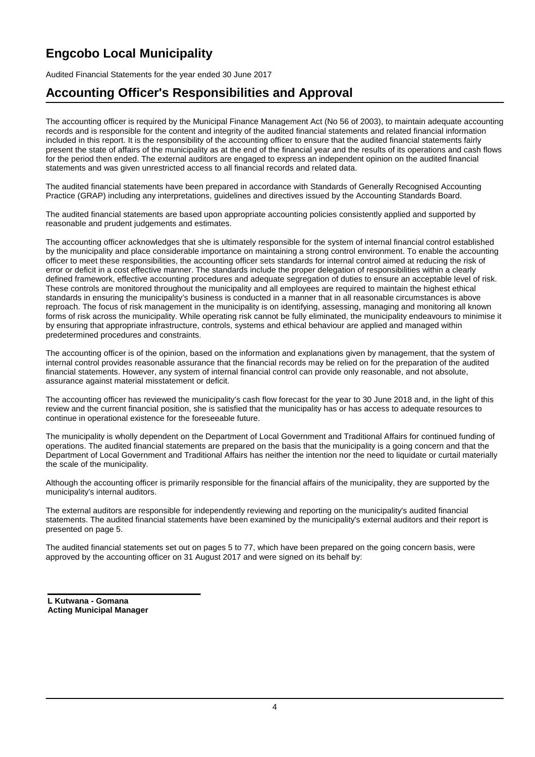Audited Financial Statements for the year ended 30 June 2017

## **Accounting Officer's Responsibilities and Approval**

The accounting officer is required by the Municipal Finance Management Act (No 56 of 2003), to maintain adequate accounting records and is responsible for the content and integrity of the audited financial statements and related financial information included in this report. It is the responsibility of the accounting officer to ensure that the audited financial statements fairly present the state of affairs of the municipality as at the end of the financial year and the results of its operations and cash flows for the period then ended. The external auditors are engaged to express an independent opinion on the audited financial statements and was given unrestricted access to all financial records and related data.

The audited financial statements have been prepared in accordance with Standards of Generally Recognised Accounting Practice (GRAP) including any interpretations, guidelines and directives issued by the Accounting Standards Board.

The audited financial statements are based upon appropriate accounting policies consistently applied and supported by reasonable and prudent judgements and estimates.

The accounting officer acknowledges that she is ultimately responsible for the system of internal financial control established by the municipality and place considerable importance on maintaining a strong control environment. To enable the accounting officer to meet these responsibilities, the accounting officer sets standards for internal control aimed at reducing the risk of error or deficit in a cost effective manner. The standards include the proper delegation of responsibilities within a clearly defined framework, effective accounting procedures and adequate segregation of duties to ensure an acceptable level of risk. These controls are monitored throughout the municipality and all employees are required to maintain the highest ethical standards in ensuring the municipality's business is conducted in a manner that in all reasonable circumstances is above reproach. The focus of risk management in the municipality is on identifying, assessing, managing and monitoring all known forms of risk across the municipality. While operating risk cannot be fully eliminated, the municipality endeavours to minimise it by ensuring that appropriate infrastructure, controls, systems and ethical behaviour are applied and managed within predetermined procedures and constraints.

The accounting officer is of the opinion, based on the information and explanations given by management, that the system of internal control provides reasonable assurance that the financial records may be relied on for the preparation of the audited financial statements. However, any system of internal financial control can provide only reasonable, and not absolute, assurance against material misstatement or deficit.

The accounting officer has reviewed the municipality's cash flow forecast for the year to 30 June 2018 and, in the light of this review and the current financial position, she is satisfied that the municipality has or has access to adequate resources to continue in operational existence for the foreseeable future.

The municipality is wholly dependent on the Department of Local Government and Traditional Affairs for continued funding of operations. The audited financial statements are prepared on the basis that the municipality is a going concern and that the Department of Local Government and Traditional Affairs has neither the intention nor the need to liquidate or curtail materially the scale of the municipality.

Although the accounting officer is primarily responsible for the financial affairs of the municipality, they are supported by the municipality's internal auditors.

The external auditors are responsible for independently reviewing and reporting on the municipality's audited financial statements. The audited financial statements have been examined by the municipality's external auditors and their report is presented on page 5.

The audited financial statements set out on pages 5 to 77, which have been prepared on the going concern basis, were approved by the accounting officer on 31 August 2017 and were signed on its behalf by:

**L Kutwana - Gomana Acting Municipal Manager**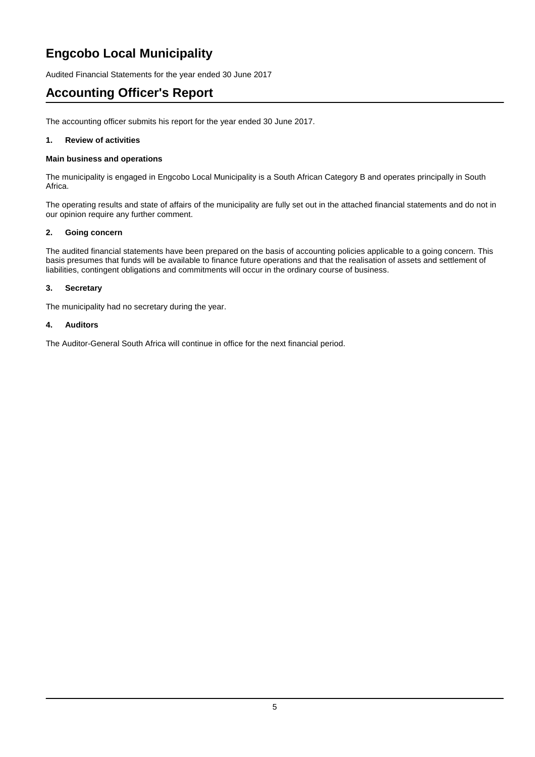Audited Financial Statements for the year ended 30 June 2017

## **Accounting Officer's Report**

The accounting officer submits his report for the year ended 30 June 2017.

#### **1. Review of activities**

#### **Main business and operations**

The municipality is engaged in Engcobo Local Municipality is a South African Category B and operates principally in South Africa.

The operating results and state of affairs of the municipality are fully set out in the attached financial statements and do not in our opinion require any further comment.

#### **2. Going concern**

The audited financial statements have been prepared on the basis of accounting policies applicable to a going concern. This basis presumes that funds will be available to finance future operations and that the realisation of assets and settlement of liabilities, contingent obligations and commitments will occur in the ordinary course of business.

#### **3. Secretary**

The municipality had no secretary during the year.

#### **4. Auditors**

The Auditor-General South Africa will continue in office for the next financial period.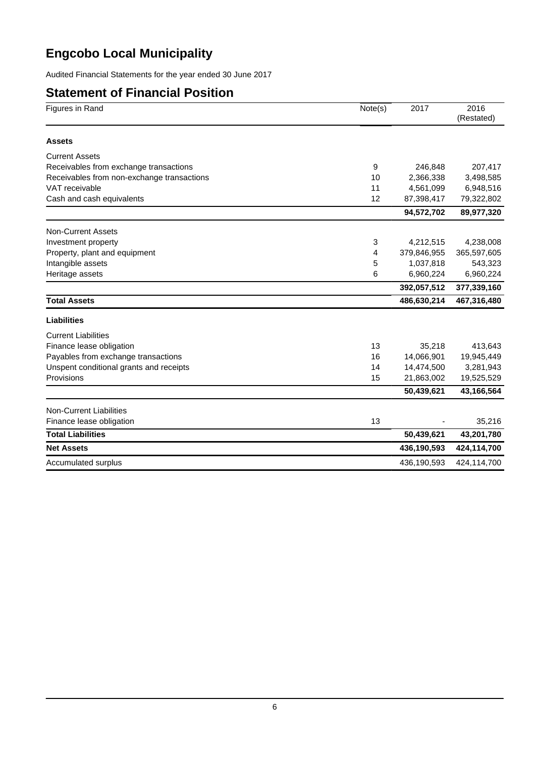Audited Financial Statements for the year ended 30 June 2017

## **Statement of Financial Position**

| Figures in Rand                            | Note(s) | 2017        | 2016<br>(Restated) |
|--------------------------------------------|---------|-------------|--------------------|
| <b>Assets</b>                              |         |             |                    |
| <b>Current Assets</b>                      |         |             |                    |
| Receivables from exchange transactions     | 9       | 246,848     | 207,417            |
| Receivables from non-exchange transactions | 10      | 2,366,338   | 3,498,585          |
| VAT receivable                             | 11      | 4,561,099   | 6,948,516          |
| Cash and cash equivalents                  | 12      | 87,398,417  | 79,322,802         |
|                                            |         | 94,572,702  | 89,977,320         |
| <b>Non-Current Assets</b>                  |         |             |                    |
| Investment property                        | 3       | 4,212,515   | 4,238,008          |
| Property, plant and equipment              | 4       | 379,846,955 | 365,597,605        |
| Intangible assets                          | 5       | 1,037,818   | 543,323            |
| Heritage assets                            | 6       | 6,960,224   | 6,960,224          |
|                                            |         | 392,057,512 | 377,339,160        |
| <b>Total Assets</b>                        |         | 486,630,214 | 467,316,480        |
| <b>Liabilities</b>                         |         |             |                    |
| <b>Current Liabilities</b>                 |         |             |                    |
| Finance lease obligation                   | 13      | 35,218      | 413,643            |
| Payables from exchange transactions        | 16      | 14,066,901  | 19,945,449         |
| Unspent conditional grants and receipts    | 14      | 14,474,500  | 3,281,943          |
| Provisions                                 | 15      | 21,863,002  | 19,525,529         |
|                                            |         | 50,439,621  | 43,166,564         |
| <b>Non-Current Liabilities</b>             |         |             |                    |
| Finance lease obligation                   | 13      |             | 35,216             |
| <b>Total Liabilities</b>                   |         | 50,439,621  | 43,201,780         |
| <b>Net Assets</b>                          |         | 436,190,593 | 424,114,700        |
| Accumulated surplus                        |         | 436,190,593 | 424,114,700        |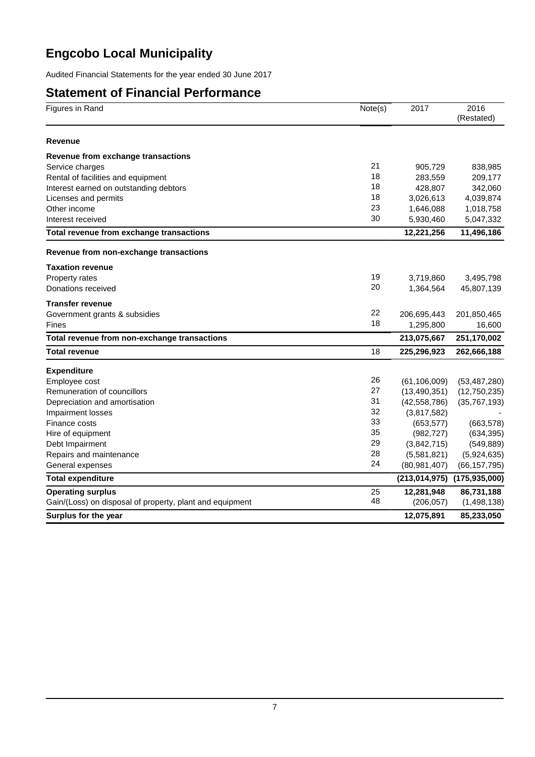Audited Financial Statements for the year ended 30 June 2017

# **Statement of Financial Performance**

| Figures in Rand                                          | Note(s) | 2017            | 2016<br>(Restated) |
|----------------------------------------------------------|---------|-----------------|--------------------|
| <b>Revenue</b>                                           |         |                 |                    |
| Revenue from exchange transactions                       |         |                 |                    |
| Service charges                                          | 21      | 905,729         | 838,985            |
| Rental of facilities and equipment                       | 18      | 283,559         | 209,177            |
| Interest earned on outstanding debtors                   | 18      | 428,807         | 342,060            |
| Licenses and permits                                     | 18      | 3,026,613       | 4,039,874          |
| Other income                                             | 23      | 1,646,088       | 1,018,758          |
| Interest received                                        | 30      | 5,930,460       | 5,047,332          |
| Total revenue from exchange transactions                 |         | 12,221,256      | 11,496,186         |
| Revenue from non-exchange transactions                   |         |                 |                    |
| <b>Taxation revenue</b>                                  |         |                 |                    |
| Property rates                                           | 19      | 3,719,860       | 3,495,798          |
| Donations received                                       | 20      | 1,364,564       | 45,807,139         |
| <b>Transfer revenue</b>                                  |         |                 |                    |
| Government grants & subsidies                            | 22      | 206,695,443     | 201,850,465        |
| Fines                                                    | 18      | 1,295,800       | 16,600             |
| Total revenue from non-exchange transactions             |         | 213,075,667     | 251,170,002        |
| <b>Total revenue</b>                                     | 18      | 225,296,923     | 262,666,188        |
| <b>Expenditure</b>                                       |         |                 |                    |
| Employee cost                                            | 26      | (61, 106, 009)  | (53, 487, 280)     |
| Remuneration of councillors                              | 27      | (13, 490, 351)  | (12,750,235)       |
| Depreciation and amortisation                            | 31      | (42, 558, 786)  | (35, 767, 193)     |
| <b>Impairment losses</b>                                 | 32      | (3,817,582)     |                    |
| Finance costs                                            | 33      | (653, 577)      | (663, 578)         |
| Hire of equipment                                        | 35      | (982, 727)      | (634, 395)         |
| Debt Impairment                                          | 29      | (3,842,715)     | (549, 889)         |
| Repairs and maintenance                                  | 28      | (5,581,821)     | (5,924,635)        |
| General expenses                                         | 24      | (80, 981, 407)  | (66, 157, 795)     |
| <b>Total expenditure</b>                                 |         | (213, 014, 975) | (175, 935, 000)    |
| <b>Operating surplus</b>                                 | 25      | 12,281,948      | 86,731,188         |
| Gain/(Loss) on disposal of property, plant and equipment | 48      | (206, 057)      | (1,498,138)        |
| Surplus for the year                                     |         | 12,075,891      | 85,233,050         |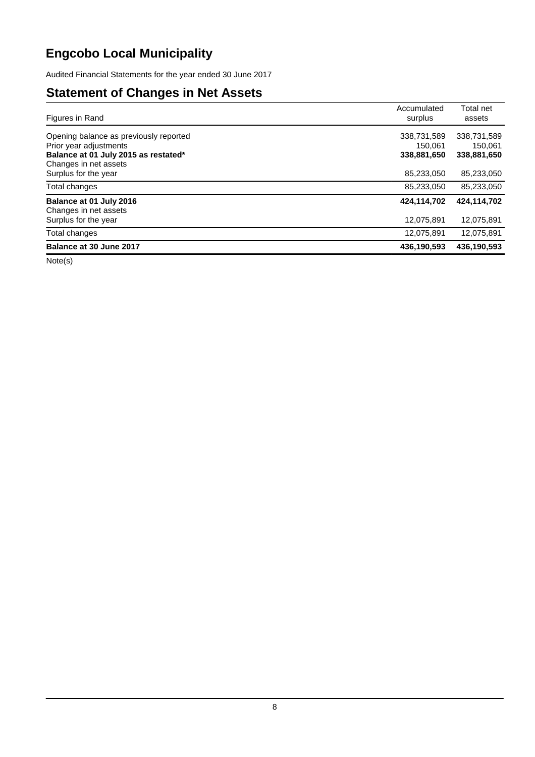Audited Financial Statements for the year ended 30 June 2017

## **Statement of Changes in Net Assets**

| Figures in Rand                                                                                                                   | Accumulated<br>surplus                | Total net<br>assets                   |
|-----------------------------------------------------------------------------------------------------------------------------------|---------------------------------------|---------------------------------------|
| Opening balance as previously reported<br>Prior year adjustments<br>Balance at 01 July 2015 as restated*<br>Changes in net assets | 338.731.589<br>150.061<br>338,881,650 | 338,731,589<br>150.061<br>338,881,650 |
| Surplus for the year<br>Total changes                                                                                             | 85,233,050<br>85,233,050              | 85,233,050<br>85,233,050              |
| Balance at 01 July 2016<br>Changes in net assets<br>Surplus for the year                                                          | 424,114,702<br>12,075,891             | 424,114,702<br>12,075,891             |
| Total changes                                                                                                                     | 12,075,891                            | 12,075,891                            |
| Balance at 30 June 2017                                                                                                           | 436,190,593                           | 436,190,593                           |

Note(s)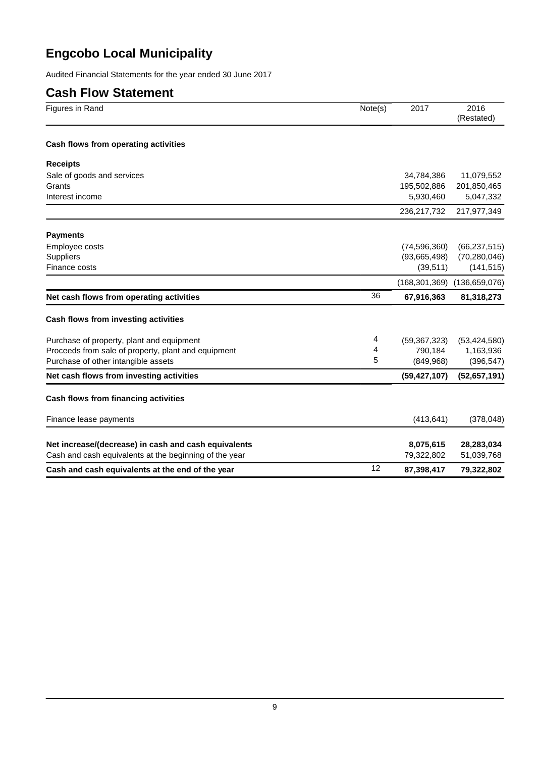Audited Financial Statements for the year ended 30 June 2017

## **Cash Flow Statement**

| Figures in Rand                                        | Note(s) | 2017            | 2016<br>(Restated) |
|--------------------------------------------------------|---------|-----------------|--------------------|
|                                                        |         |                 |                    |
| Cash flows from operating activities                   |         |                 |                    |
| <b>Receipts</b>                                        |         |                 |                    |
| Sale of goods and services                             |         | 34,784,386      | 11,079,552         |
| Grants                                                 |         | 195,502,886     | 201,850,465        |
| Interest income                                        |         | 5,930,460       | 5,047,332          |
|                                                        |         | 236,217,732     | 217,977,349        |
| <b>Payments</b>                                        |         |                 |                    |
| Employee costs                                         |         | (74, 596, 360)  | (66, 237, 515)     |
| Suppliers                                              |         | (93,665,498)    | (70, 280, 046)     |
| Finance costs                                          |         | (39, 511)       | (141, 515)         |
|                                                        |         | (168, 301, 369) | (136, 659, 076)    |
| Net cash flows from operating activities               | 36      | 67,916,363      | 81,318,273         |
| Cash flows from investing activities                   |         |                 |                    |
| Purchase of property, plant and equipment              | 4       | (59, 367, 323)  | (53, 424, 580)     |
| Proceeds from sale of property, plant and equipment    | 4       | 790,184         | 1,163,936          |
| Purchase of other intangible assets                    | 5       | (849,968)       | (396, 547)         |
| Net cash flows from investing activities               |         | (59, 427, 107)  | (52,657,191)       |
| Cash flows from financing activities                   |         |                 |                    |
| Finance lease payments                                 |         | (413, 641)      | (378, 048)         |
| Net increase/(decrease) in cash and cash equivalents   |         | 8,075,615       | 28,283,034         |
| Cash and cash equivalents at the beginning of the year |         | 79,322,802      | 51,039,768         |
| Cash and cash equivalents at the end of the year       | 12      | 87,398,417      | 79,322,802         |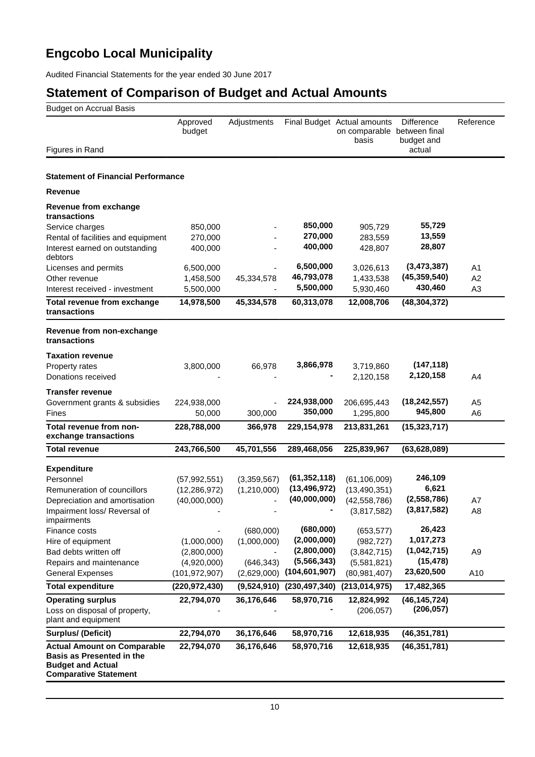Audited Financial Statements for the year ended 30 June 2017

# **Statement of Comparison of Budget and Actual Amounts**

| <b>Budget on Accrual Basis</b>                                                                                                     |                                |             |                                  |                                                                     |                          |                |
|------------------------------------------------------------------------------------------------------------------------------------|--------------------------------|-------------|----------------------------------|---------------------------------------------------------------------|--------------------------|----------------|
|                                                                                                                                    | Approved<br>budget             | Adjustments |                                  | Final Budget Actual amounts<br>on comparable between final<br>basis | Difference<br>budget and | Reference      |
| Figures in Rand                                                                                                                    |                                |             |                                  |                                                                     | actual                   |                |
| <b>Statement of Financial Performance</b>                                                                                          |                                |             |                                  |                                                                     |                          |                |
| Revenue                                                                                                                            |                                |             |                                  |                                                                     |                          |                |
| Revenue from exchange<br>transactions                                                                                              |                                |             |                                  |                                                                     |                          |                |
| Service charges                                                                                                                    | 850,000                        | ÷,          | 850,000                          | 905,729                                                             | 55,729                   |                |
| Rental of facilities and equipment                                                                                                 | 270,000                        |             | 270,000                          | 283,559                                                             | 13,559                   |                |
| Interest earned on outstanding<br>debtors                                                                                          | 400,000                        |             | 400,000                          | 428,807                                                             | 28,807                   |                |
| Licenses and permits                                                                                                               | 6,500,000                      |             | 6,500,000                        | 3,026,613                                                           | (3,473,387)              | A1             |
| Other revenue                                                                                                                      | 1,458,500                      | 45,334,578  | 46,793,078                       | 1,433,538                                                           | (45, 359, 540)           | A2             |
| Interest received - investment                                                                                                     | 5,500,000                      |             | 5,500,000                        | 5,930,460                                                           | 430,460                  | A <sub>3</sub> |
| Total revenue from exchange<br>transactions                                                                                        | 14,978,500                     | 45,334,578  | 60,313,078                       | 12,008,706                                                          | (48, 304, 372)           |                |
| Revenue from non-exchange<br>transactions                                                                                          |                                |             |                                  |                                                                     |                          |                |
| <b>Taxation revenue</b>                                                                                                            |                                |             |                                  |                                                                     |                          |                |
| Property rates                                                                                                                     | 3,800,000                      | 66,978      | 3,866,978                        | 3,719,860                                                           | (147, 118)               |                |
| Donations received                                                                                                                 |                                |             |                                  | 2,120,158                                                           | 2,120,158                | A4             |
| <b>Transfer revenue</b>                                                                                                            |                                |             |                                  |                                                                     |                          |                |
| Government grants & subsidies                                                                                                      | 224,938,000                    |             | 224,938,000                      | 206,695,443                                                         | (18, 242, 557)           | A <sub>5</sub> |
| Fines                                                                                                                              | 50,000                         | 300,000     | 350,000                          | 1,295,800                                                           | 945,800                  | A6             |
| Total revenue from non-<br>exchange transactions                                                                                   | 228,788,000                    | 366,978     | 229,154,978                      | 213,831,261                                                         | (15, 323, 717)           |                |
| <b>Total revenue</b>                                                                                                               | 243,766,500                    | 45,701,556  | 289,468,056                      | 225,839,967                                                         | (63, 628, 089)           |                |
|                                                                                                                                    |                                |             |                                  |                                                                     |                          |                |
| <b>Expenditure</b>                                                                                                                 |                                |             |                                  |                                                                     |                          |                |
| Personnel                                                                                                                          | (57, 992, 551)                 | (3,359,567) | (61, 352, 118)<br>(13, 496, 972) | (61, 106, 009)                                                      | 246,109<br>6,621         |                |
| Remuneration of councillors                                                                                                        | (12, 286, 972)<br>(40,000,000) | (1,210,000) | (40,000,000)                     | (13, 490, 351)                                                      | (2,558,786)              |                |
| Depreciation and amortisation<br>Impairment loss/ Reversal of                                                                      |                                |             |                                  | (42, 558, 786)<br>(3,817,582)                                       | (3,817,582)              | A7<br>A8       |
| impairments                                                                                                                        |                                |             |                                  |                                                                     |                          |                |
| Finance costs                                                                                                                      |                                | (680,000)   | (680,000)                        | (653, 577)                                                          | 26,423                   |                |
| Hire of equipment                                                                                                                  | (1,000,000)                    | (1,000,000) | (2,000,000)                      | (982, 727)                                                          | 1,017,273                |                |
| Bad debts written off                                                                                                              | (2,800,000)                    |             | (2,800,000)                      | (3,842,715)                                                         | (1,042,715)              | A <sub>9</sub> |
| Repairs and maintenance                                                                                                            | (4,920,000)                    | (646, 343)  | (5, 566, 343)                    | (5,581,821)                                                         | (15, 478)                |                |
| <b>General Expenses</b>                                                                                                            | (101, 972, 907)                | (2,629,000) | (104, 601, 907)                  | (80, 981, 407)                                                      | 23,620,500               | A10            |
| <b>Total expenditure</b>                                                                                                           | (220, 972, 430)                | (9,524,910) | (230, 497, 340)                  | (213, 014, 975)                                                     | 17,482,365               |                |
| <b>Operating surplus</b>                                                                                                           | 22,794,070                     | 36,176,646  | 58,970,716                       | 12,824,992                                                          | (46, 145, 724)           |                |
| Loss on disposal of property,<br>plant and equipment                                                                               |                                |             |                                  | (206, 057)                                                          | (206, 057)               |                |
| <b>Surplus/ (Deficit)</b>                                                                                                          | 22,794,070                     | 36,176,646  | 58,970,716                       | 12,618,935                                                          | (46, 351, 781)           |                |
| <b>Actual Amount on Comparable</b><br><b>Basis as Presented in the</b><br><b>Budget and Actual</b><br><b>Comparative Statement</b> | 22,794,070                     | 36,176,646  | 58,970,716                       | 12,618,935                                                          | (46, 351, 781)           |                |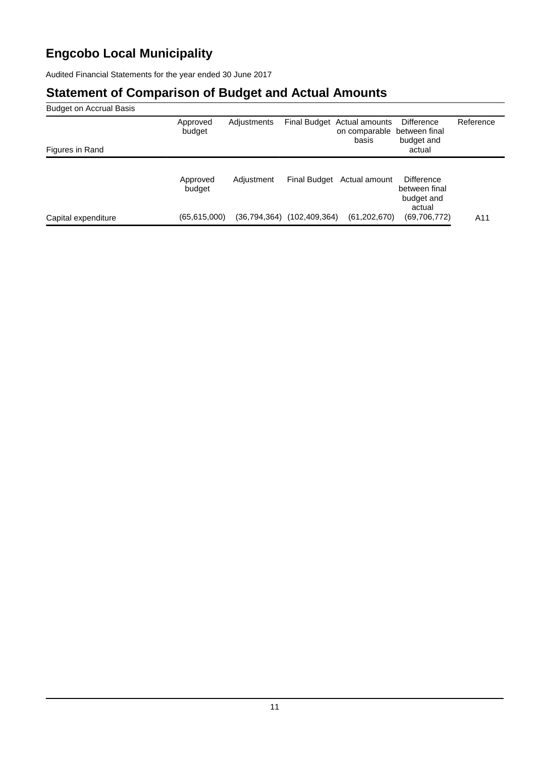Audited Financial Statements for the year ended 30 June 2017

### **Statement of Comparison of Budget and Actual Amounts** Budget on Accrual Basis

| <b>Budget On Accrual Basis</b> |                    |             |                                |                                                       |                                                            |           |
|--------------------------------|--------------------|-------------|--------------------------------|-------------------------------------------------------|------------------------------------------------------------|-----------|
|                                | Approved<br>budget | Adjustments |                                | Final Budget Actual amounts<br>on comparable<br>basis | <b>Difference</b><br>between final<br>budget and           | Reference |
| Figures in Rand                |                    |             |                                |                                                       | actual                                                     |           |
|                                | Approved<br>budget | Adjustment  | <b>Final Budget</b>            | Actual amount                                         | <b>Difference</b><br>between final<br>budget and<br>actual |           |
| Capital expenditure            | (65, 615, 000)     |             | $(36,794,364)$ $(102,409,364)$ | (61, 202, 670)                                        | (69,706,772)                                               | A11       |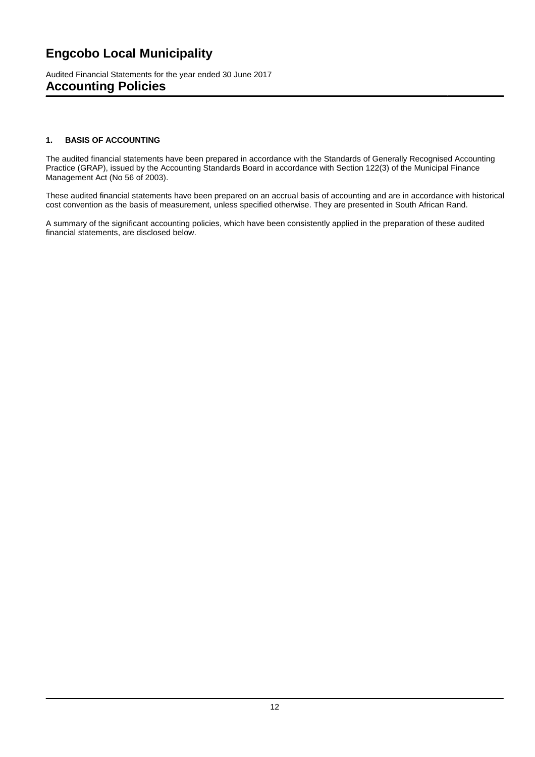Audited Financial Statements for the year ended 30 June 2017 **Accounting Policies**

### **1. BASIS OF ACCOUNTING**

The audited financial statements have been prepared in accordance with the Standards of Generally Recognised Accounting Practice (GRAP), issued by the Accounting Standards Board in accordance with Section 122(3) of the Municipal Finance Management Act (No 56 of 2003).

These audited financial statements have been prepared on an accrual basis of accounting and are in accordance with historical cost convention as the basis of measurement, unless specified otherwise. They are presented in South African Rand.

A summary of the significant accounting policies, which have been consistently applied in the preparation of these audited financial statements, are disclosed below.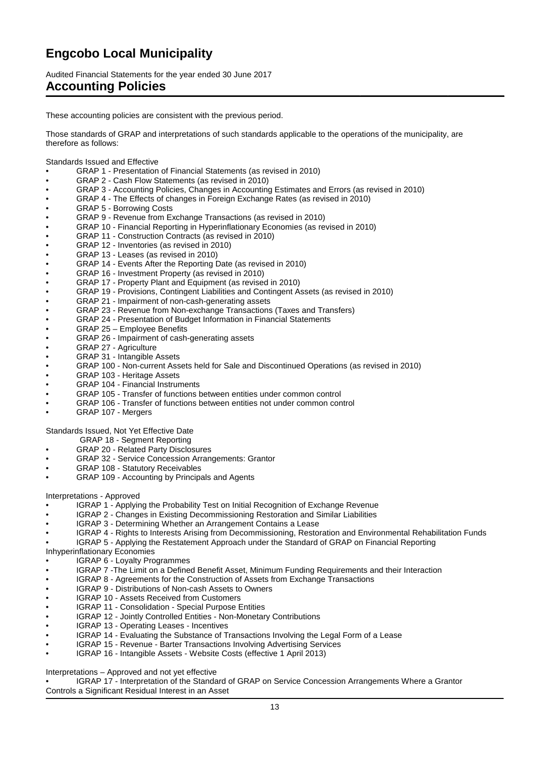Audited Financial Statements for the year ended 30 June 2017 **Accounting Policies**

These accounting policies are consistent with the previous period.

Those standards of GRAP and interpretations of such standards applicable to the operations of the municipality, are therefore as follows:

Standards Issued and Effective

- GRAP 1 Presentation of Financial Statements (as revised in 2010)
- GRAP 2 Cash Flow Statements (as revised in 2010)
- GRAP 3 Accounting Policies, Changes in Accounting Estimates and Errors (as revised in 2010)
- GRAP 4 The Effects of changes in Foreign Exchange Rates (as revised in 2010)
- GRAP 5 Borrowing Costs
- GRAP 9 Revenue from Exchange Transactions (as revised in 2010)
- GRAP 10 Financial Reporting in Hyperinflationary Economies (as revised in 2010)
- GRAP 11 Construction Contracts (as revised in 2010)
- GRAP 12 Inventories (as revised in 2010)
- GRAP 13 Leases (as revised in 2010)
- GRAP 14 Events After the Reporting Date (as revised in 2010)
- GRAP 16 Investment Property (as revised in 2010)
- GRAP 17 Property Plant and Equipment (as revised in 2010)
- GRAP 19 Provisions, Contingent Liabilities and Contingent Assets (as revised in 2010)
- GRAP 21 Impairment of non-cash-generating assets
- GRAP 23 Revenue from Non-exchange Transactions (Taxes and Transfers)
- GRAP 24 Presentation of Budget Information in Financial Statements
- GRAP 25 Employee Benefits
- GRAP 26 Impairment of cash-generating assets
- GRAP 27 Agriculture
- GRAP 31 Intangible Assets
- GRAP 100 Non-current Assets held for Sale and Discontinued Operations (as revised in 2010)
- GRAP 103 Heritage Assets
- GRAP 104 Financial Instruments
- GRAP 105 Transfer of functions between entities under common control
- GRAP 106 Transfer of functions between entities not under common control
- GRAP 107 Mergers

Standards Issued, Not Yet Effective Date

- GRAP 18 Segment Reporting
- GRAP 20 Related Party Disclosures
- GRAP 32 Service Concession Arrangements: Grantor
- GRAP 108 Statutory Receivables
- GRAP 109 Accounting by Principals and Agents

Interpretations - Approved

- IGRAP 1 Applying the Probability Test on Initial Recognition of Exchange Revenue
- IGRAP 2 Changes in Existing Decommissioning Restoration and Similar Liabilities
- IGRAP 3 Determining Whether an Arrangement Contains a Lease
- IGRAP 4 Rights to Interests Arising from Decommissioning, Restoration and Environmental Rehabilitation Funds
- IGRAP 5 Applying the Restatement Approach under the Standard of GRAP on Financial Reporting

Inhyperinflationary Economies

- IGRAP 6 Loyalty Programmes
- IGRAP 7 -The Limit on a Defined Benefit Asset, Minimum Funding Requirements and their Interaction
- IGRAP 8 Agreements for the Construction of Assets from Exchange Transactions
- IGRAP 9 Distributions of Non-cash Assets to Owners
- IGRAP 10 Assets Received from Customers
- IGRAP 11 Consolidation Special Purpose Entities
- IGRAP 12 Jointly Controlled Entities Non-Monetary Contributions
- IGRAP 13 Operating Leases Incentives
- IGRAP 14 Evaluating the Substance of Transactions Involving the Legal Form of a Lease
- IGRAP 15 Revenue Barter Transactions Involving Advertising Services
- IGRAP 16 Intangible Assets Website Costs (effective 1 April 2013)

Interpretations – Approved and not yet effective

• IGRAP 17 - Interpretation of the Standard of GRAP on Service Concession Arrangements Where a Grantor Controls a Significant Residual Interest in an Asset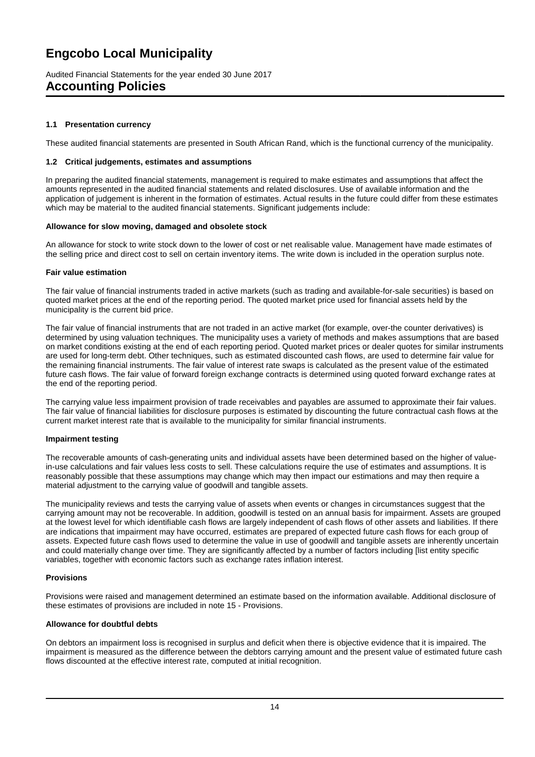### Audited Financial Statements for the year ended 30 June 2017 **Accounting Policies**

#### **1.1 Presentation currency**

These audited financial statements are presented in South African Rand, which is the functional currency of the municipality.

#### **1.2 Critical judgements, estimates and assumptions**

In preparing the audited financial statements, management is required to make estimates and assumptions that affect the amounts represented in the audited financial statements and related disclosures. Use of available information and the application of judgement is inherent in the formation of estimates. Actual results in the future could differ from these estimates which may be material to the audited financial statements. Significant judgements include:

#### **Allowance for slow moving, damaged and obsolete stock**

An allowance for stock to write stock down to the lower of cost or net realisable value. Management have made estimates of the selling price and direct cost to sell on certain inventory items. The write down is included in the operation surplus note.

#### **Fair value estimation**

The fair value of financial instruments traded in active markets (such as trading and available-for-sale securities) is based on quoted market prices at the end of the reporting period. The quoted market price used for financial assets held by the municipality is the current bid price.

The fair value of financial instruments that are not traded in an active market (for example, over-the counter derivatives) is determined by using valuation techniques. The municipality uses a variety of methods and makes assumptions that are based on market conditions existing at the end of each reporting period. Quoted market prices or dealer quotes for similar instruments are used for long-term debt. Other techniques, such as estimated discounted cash flows, are used to determine fair value for the remaining financial instruments. The fair value of interest rate swaps is calculated as the present value of the estimated future cash flows. The fair value of forward foreign exchange contracts is determined using quoted forward exchange rates at the end of the reporting period.

The carrying value less impairment provision of trade receivables and payables are assumed to approximate their fair values. The fair value of financial liabilities for disclosure purposes is estimated by discounting the future contractual cash flows at the current market interest rate that is available to the municipality for similar financial instruments.

#### **Impairment testing**

The recoverable amounts of cash-generating units and individual assets have been determined based on the higher of valuein-use calculations and fair values less costs to sell. These calculations require the use of estimates and assumptions. It is reasonably possible that these assumptions may change which may then impact our estimations and may then require a material adjustment to the carrying value of goodwill and tangible assets.

The municipality reviews and tests the carrying value of assets when events or changes in circumstances suggest that the carrying amount may not be recoverable. In addition, goodwill is tested on an annual basis for impairment. Assets are grouped at the lowest level for which identifiable cash flows are largely independent of cash flows of other assets and liabilities. If there are indications that impairment may have occurred, estimates are prepared of expected future cash flows for each group of assets. Expected future cash flows used to determine the value in use of goodwill and tangible assets are inherently uncertain and could materially change over time. They are significantly affected by a number of factors including [list entity specific variables, together with economic factors such as exchange rates inflation interest.

#### **Provisions**

Provisions were raised and management determined an estimate based on the information available. Additional disclosure of these estimates of provisions are included in note 15 - Provisions.

#### **Allowance for doubtful debts**

On debtors an impairment loss is recognised in surplus and deficit when there is objective evidence that it is impaired. The impairment is measured as the difference between the debtors carrying amount and the present value of estimated future cash flows discounted at the effective interest rate, computed at initial recognition.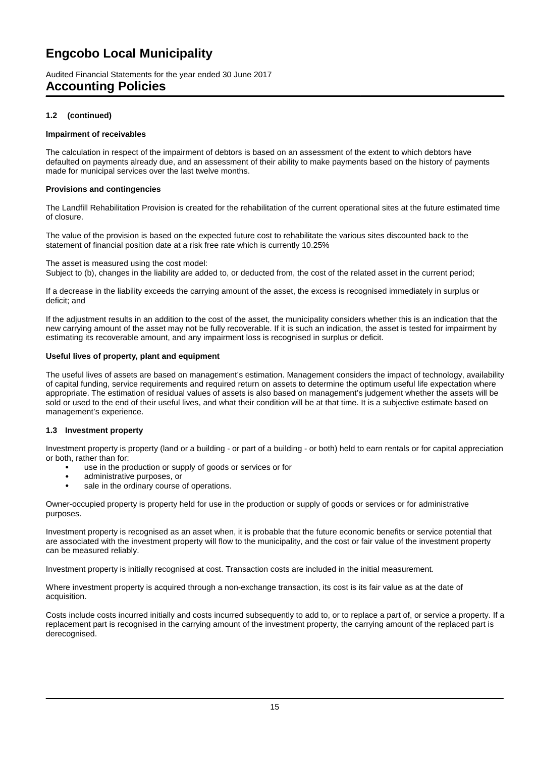### Audited Financial Statements for the year ended 30 June 2017 **Accounting Policies**

### **1.2 (continued)**

#### **Impairment of receivables**

The calculation in respect of the impairment of debtors is based on an assessment of the extent to which debtors have defaulted on payments already due, and an assessment of their ability to make payments based on the history of payments made for municipal services over the last twelve months.

#### **Provisions and contingencies**

The Landfill Rehabilitation Provision is created for the rehabilitation of the current operational sites at the future estimated time of closure.

The value of the provision is based on the expected future cost to rehabilitate the various sites discounted back to the statement of financial position date at a risk free rate which is currently 10.25%

The asset is measured using the cost model: Subject to (b), changes in the liability are added to, or deducted from, the cost of the related asset in the current period;

If a decrease in the liability exceeds the carrying amount of the asset, the excess is recognised immediately in surplus or deficit; and

If the adjustment results in an addition to the cost of the asset, the municipality considers whether this is an indication that the new carrying amount of the asset may not be fully recoverable. If it is such an indication, the asset is tested for impairment by estimating its recoverable amount, and any impairment loss is recognised in surplus or deficit.

#### **Useful lives of property, plant and equipment**

The useful lives of assets are based on management's estimation. Management considers the impact of technology, availability of capital funding, service requirements and required return on assets to determine the optimum useful life expectation where appropriate. The estimation of residual values of assets is also based on management's judgement whether the assets will be sold or used to the end of their useful lives, and what their condition will be at that time. It is a subjective estimate based on management's experience.

#### **1.3 Investment property**

Investment property is property (land or a building - or part of a building - or both) held to earn rentals or for capital appreciation or both, rather than for:

- use in the production or supply of goods or services or for
- administrative purposes, or
- sale in the ordinary course of operations.

Owner-occupied property is property held for use in the production or supply of goods or services or for administrative purposes.

Investment property is recognised as an asset when, it is probable that the future economic benefits or service potential that are associated with the investment property will flow to the municipality, and the cost or fair value of the investment property can be measured reliably.

Investment property is initially recognised at cost. Transaction costs are included in the initial measurement.

Where investment property is acquired through a non-exchange transaction, its cost is its fair value as at the date of acquisition.

Costs include costs incurred initially and costs incurred subsequently to add to, or to replace a part of, or service a property. If a replacement part is recognised in the carrying amount of the investment property, the carrying amount of the replaced part is derecognised.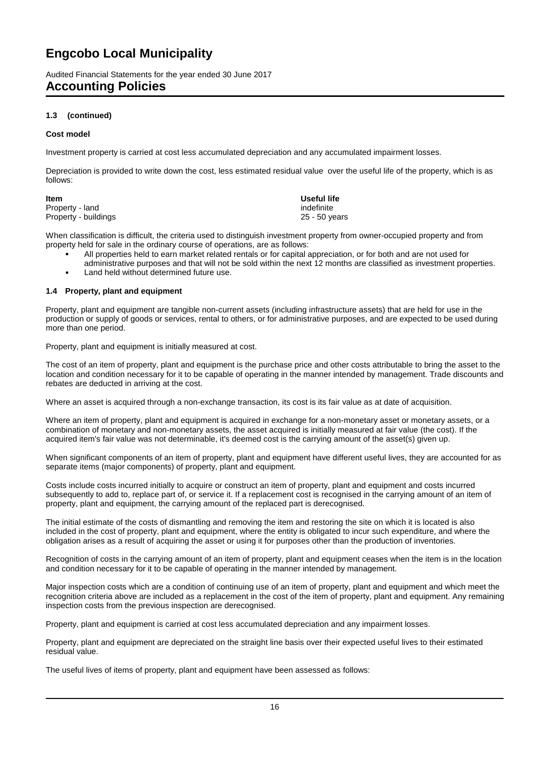Audited Financial Statements for the year ended 30 June 2017 **Accounting Policies**

#### **1.3 (continued)**

#### **Cost model**

Investment property is carried at cost less accumulated depreciation and any accumulated impairment losses.

Depreciation is provided to write down the cost, less estimated residual value over the useful life of the property, which is as follows:

| <b>Item</b>          | Useful life   |
|----------------------|---------------|
| Property - land      | indefinite    |
| Property - buildings | 25 - 50 vears |

When classification is difficult, the criteria used to distinguish investment property from owner-occupied property and from property held for sale in the ordinary course of operations, are as follows:

- All properties held to earn market related rentals or for capital appreciation, or for both and are not used for administrative purposes and that will not be sold within the next 12 months are classified as investment properties.
- Land held without determined future use.

#### **1.4 Property, plant and equipment**

Property, plant and equipment are tangible non-current assets (including infrastructure assets) that are held for use in the production or supply of goods or services, rental to others, or for administrative purposes, and are expected to be used during more than one period.

Property, plant and equipment is initially measured at cost.

The cost of an item of property, plant and equipment is the purchase price and other costs attributable to bring the asset to the location and condition necessary for it to be capable of operating in the manner intended by management. Trade discounts and rebates are deducted in arriving at the cost.

Where an asset is acquired through a non-exchange transaction, its cost is its fair value as at date of acquisition.

Where an item of property, plant and equipment is acquired in exchange for a non-monetary asset or monetary assets, or a combination of monetary and non-monetary assets, the asset acquired is initially measured at fair value (the cost). If the acquired item's fair value was not determinable, it's deemed cost is the carrying amount of the asset(s) given up.

When significant components of an item of property, plant and equipment have different useful lives, they are accounted for as separate items (major components) of property, plant and equipment.

Costs include costs incurred initially to acquire or construct an item of property, plant and equipment and costs incurred subsequently to add to, replace part of, or service it. If a replacement cost is recognised in the carrying amount of an item of property, plant and equipment, the carrying amount of the replaced part is derecognised.

The initial estimate of the costs of dismantling and removing the item and restoring the site on which it is located is also included in the cost of property, plant and equipment, where the entity is obligated to incur such expenditure, and where the obligation arises as a result of acquiring the asset or using it for purposes other than the production of inventories.

Recognition of costs in the carrying amount of an item of property, plant and equipment ceases when the item is in the location and condition necessary for it to be capable of operating in the manner intended by management.

Major inspection costs which are a condition of continuing use of an item of property, plant and equipment and which meet the recognition criteria above are included as a replacement in the cost of the item of property, plant and equipment. Any remaining inspection costs from the previous inspection are derecognised.

Property, plant and equipment is carried at cost less accumulated depreciation and any impairment losses.

Property, plant and equipment are depreciated on the straight line basis over their expected useful lives to their estimated residual value.

The useful lives of items of property, plant and equipment have been assessed as follows: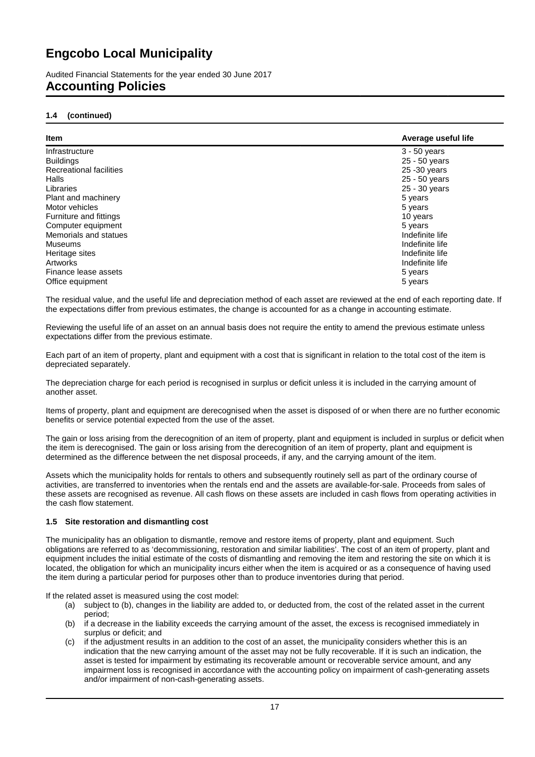Audited Financial Statements for the year ended 30 June 2017 **Accounting Policies**

#### **1.4 (continued)**

| Item                           | Average useful life |
|--------------------------------|---------------------|
| Infrastructure                 | $3 - 50$ years      |
| <b>Buildings</b>               | 25 - 50 years       |
| <b>Recreational facilities</b> | $25 - 30$ years     |
| Halls                          | 25 - 50 years       |
| Libraries                      | 25 - 30 years       |
| Plant and machinery            | 5 years             |
| Motor vehicles                 | 5 years             |
| Furniture and fittings         | 10 years            |
| Computer equipment             | 5 years             |
| Memorials and statues          | Indefinite life     |
| <b>Museums</b>                 | Indefinite life     |
| Heritage sites                 | Indefinite life     |
| Artworks                       | Indefinite life     |
| Finance lease assets           | 5 years             |
| Office equipment               | 5 years             |

The residual value, and the useful life and depreciation method of each asset are reviewed at the end of each reporting date. If the expectations differ from previous estimates, the change is accounted for as a change in accounting estimate.

Reviewing the useful life of an asset on an annual basis does not require the entity to amend the previous estimate unless expectations differ from the previous estimate.

Each part of an item of property, plant and equipment with a cost that is significant in relation to the total cost of the item is depreciated separately.

The depreciation charge for each period is recognised in surplus or deficit unless it is included in the carrying amount of another asset.

Items of property, plant and equipment are derecognised when the asset is disposed of or when there are no further economic benefits or service potential expected from the use of the asset.

The gain or loss arising from the derecognition of an item of property, plant and equipment is included in surplus or deficit when the item is derecognised. The gain or loss arising from the derecognition of an item of property, plant and equipment is determined as the difference between the net disposal proceeds, if any, and the carrying amount of the item.

Assets which the municipality holds for rentals to others and subsequently routinely sell as part of the ordinary course of activities, are transferred to inventories when the rentals end and the assets are available-for-sale. Proceeds from sales of these assets are recognised as revenue. All cash flows on these assets are included in cash flows from operating activities in the cash flow statement.

#### **1.5 Site restoration and dismantling cost**

The municipality has an obligation to dismantle, remove and restore items of property, plant and equipment. Such obligations are referred to as 'decommissioning, restoration and similar liabilities'. The cost of an item of property, plant and equipment includes the initial estimate of the costs of dismantling and removing the item and restoring the site on which it is located, the obligation for which an municipality incurs either when the item is acquired or as a consequence of having used the item during a particular period for purposes other than to produce inventories during that period.

If the related asset is measured using the cost model:

- (a) subject to (b), changes in the liability are added to, or deducted from, the cost of the related asset in the current period;
- (b) if a decrease in the liability exceeds the carrying amount of the asset, the excess is recognised immediately in surplus or deficit; and
- (c) if the adjustment results in an addition to the cost of an asset, the municipality considers whether this is an indication that the new carrying amount of the asset may not be fully recoverable. If it is such an indication, the asset is tested for impairment by estimating its recoverable amount or recoverable service amount, and any impairment loss is recognised in accordance with the accounting policy on impairment of cash-generating assets and/or impairment of non-cash-generating assets.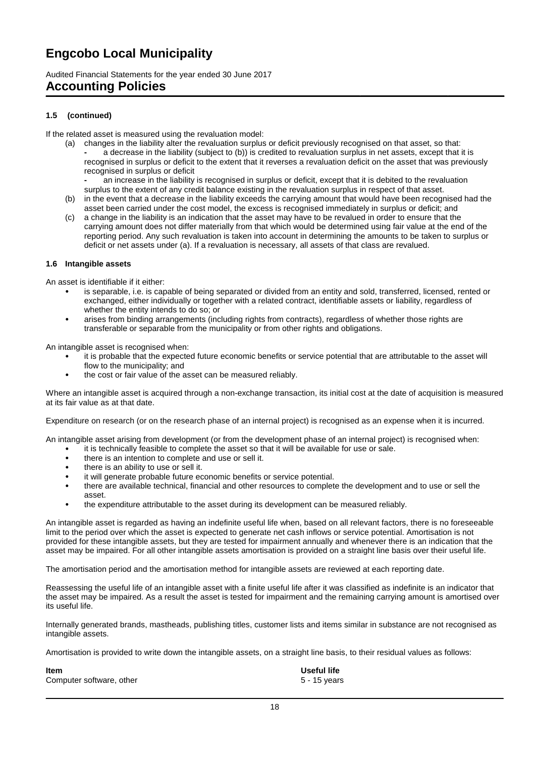Audited Financial Statements for the year ended 30 June 2017 **Accounting Policies**

#### **1.5 (continued)**

If the related asset is measured using the revaluation model:

- (a) changes in the liability alter the revaluation surplus or deficit previously recognised on that asset, so that: **-** a decrease in the liability (subject to (b)) is credited to revaluation surplus in net assets, except that it is recognised in surplus or deficit to the extent that it reverses a revaluation deficit on the asset that was previously recognised in surplus or deficit
	- **-** an increase in the liability is recognised in surplus or deficit, except that it is debited to the revaluation surplus to the extent of any credit balance existing in the revaluation surplus in respect of that asset.
- (b) in the event that a decrease in the liability exceeds the carrying amount that would have been recognised had the asset been carried under the cost model, the excess is recognised immediately in surplus or deficit; and
- (c) a change in the liability is an indication that the asset may have to be revalued in order to ensure that the carrying amount does not differ materially from that which would be determined using fair value at the end of the reporting period. Any such revaluation is taken into account in determining the amounts to be taken to surplus or deficit or net assets under (a). If a revaluation is necessary, all assets of that class are revalued.

#### **1.6 Intangible assets**

An asset is identifiable if it either:

- is separable, i.e. is capable of being separated or divided from an entity and sold, transferred, licensed, rented or exchanged, either individually or together with a related contract, identifiable assets or liability, regardless of whether the entity intends to do so; or
- arises from binding arrangements (including rights from contracts), regardless of whether those rights are transferable or separable from the municipality or from other rights and obligations.

An intangible asset is recognised when:

- it is probable that the expected future economic benefits or service potential that are attributable to the asset will flow to the municipality; and
- the cost or fair value of the asset can be measured reliably.

Where an intangible asset is acquired through a non-exchange transaction, its initial cost at the date of acquisition is measured at its fair value as at that date.

Expenditure on research (or on the research phase of an internal project) is recognised as an expense when it is incurred.

An intangible asset arising from development (or from the development phase of an internal project) is recognised when:

- it is technically feasible to complete the asset so that it will be available for use or sale.
	- there is an intention to complete and use or sell it.
	- there is an ability to use or sell it.
	- it will generate probable future economic benefits or service potential.
	- there are available technical, financial and other resources to complete the development and to use or sell the asset.
	- the expenditure attributable to the asset during its development can be measured reliably.

An intangible asset is regarded as having an indefinite useful life when, based on all relevant factors, there is no foreseeable limit to the period over which the asset is expected to generate net cash inflows or service potential. Amortisation is not provided for these intangible assets, but they are tested for impairment annually and whenever there is an indication that the asset may be impaired. For all other intangible assets amortisation is provided on a straight line basis over their useful life.

The amortisation period and the amortisation method for intangible assets are reviewed at each reporting date.

Reassessing the useful life of an intangible asset with a finite useful life after it was classified as indefinite is an indicator that the asset may be impaired. As a result the asset is tested for impairment and the remaining carrying amount is amortised over its useful life.

Internally generated brands, mastheads, publishing titles, customer lists and items similar in substance are not recognised as intangible assets.

Amortisation is provided to write down the intangible assets, on a straight line basis, to their residual values as follows:

| <b>Item</b>              | Useful life  |
|--------------------------|--------------|
| Computer software, other | 5 - 15 years |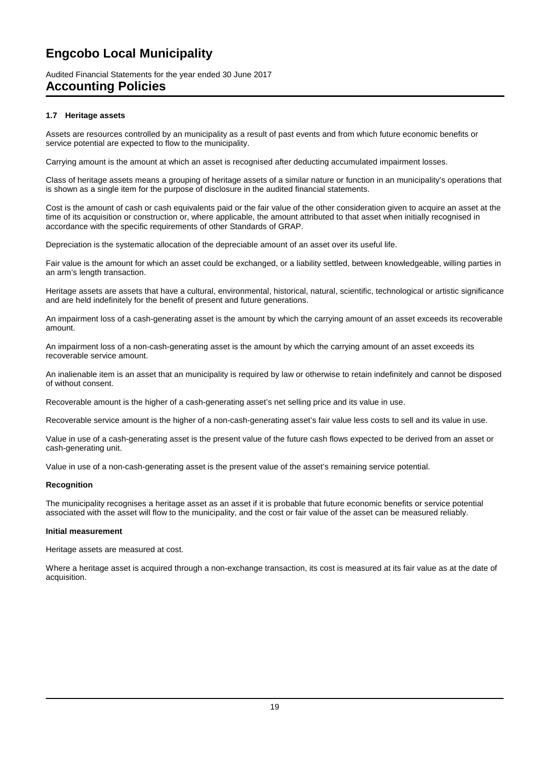### Audited Financial Statements for the year ended 30 June 2017 **Accounting Policies**

#### **1.7 Heritage assets**

Assets are resources controlled by an municipality as a result of past events and from which future economic benefits or service potential are expected to flow to the municipality.

Carrying amount is the amount at which an asset is recognised after deducting accumulated impairment losses.

Class of heritage assets means a grouping of heritage assets of a similar nature or function in an municipality's operations that is shown as a single item for the purpose of disclosure in the audited financial statements.

Cost is the amount of cash or cash equivalents paid or the fair value of the other consideration given to acquire an asset at the time of its acquisition or construction or, where applicable, the amount attributed to that asset when initially recognised in accordance with the specific requirements of other Standards of GRAP.

Depreciation is the systematic allocation of the depreciable amount of an asset over its useful life.

Fair value is the amount for which an asset could be exchanged, or a liability settled, between knowledgeable, willing parties in an arm's length transaction.

Heritage assets are assets that have a cultural, environmental, historical, natural, scientific, technological or artistic significance and are held indefinitely for the benefit of present and future generations.

An impairment loss of a cash-generating asset is the amount by which the carrying amount of an asset exceeds its recoverable amount.

An impairment loss of a non-cash-generating asset is the amount by which the carrying amount of an asset exceeds its recoverable service amount.

An inalienable item is an asset that an municipality is required by law or otherwise to retain indefinitely and cannot be disposed of without consent.

Recoverable amount is the higher of a cash-generating asset's net selling price and its value in use.

Recoverable service amount is the higher of a non-cash-generating asset's fair value less costs to sell and its value in use.

Value in use of a cash-generating asset is the present value of the future cash flows expected to be derived from an asset or cash-generating unit.

Value in use of a non-cash-generating asset is the present value of the asset's remaining service potential.

#### **Recognition**

The municipality recognises a heritage asset as an asset if it is probable that future economic benefits or service potential associated with the asset will flow to the municipality, and the cost or fair value of the asset can be measured reliably.

#### **Initial measurement**

Heritage assets are measured at cost.

Where a heritage asset is acquired through a non-exchange transaction, its cost is measured at its fair value as at the date of acquisition.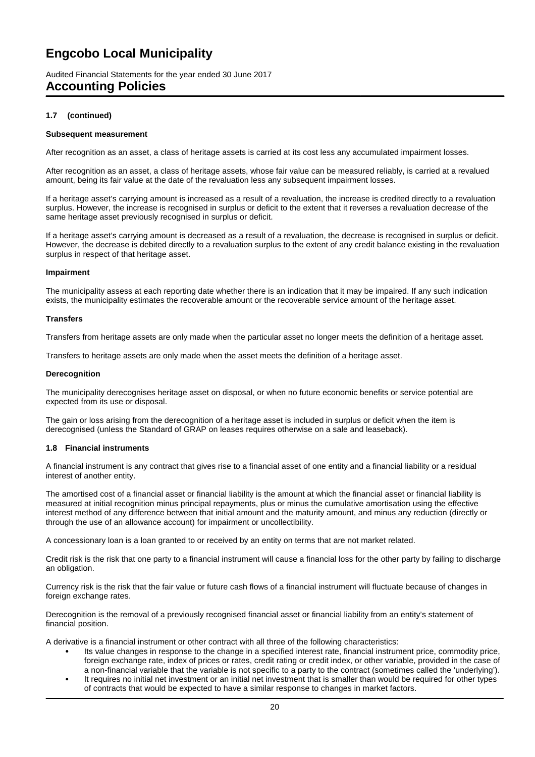### Audited Financial Statements for the year ended 30 June 2017 **Accounting Policies**

#### **1.7 (continued)**

#### **Subsequent measurement**

After recognition as an asset, a class of heritage assets is carried at its cost less any accumulated impairment losses.

After recognition as an asset, a class of heritage assets, whose fair value can be measured reliably, is carried at a revalued amount, being its fair value at the date of the revaluation less any subsequent impairment losses.

If a heritage asset's carrying amount is increased as a result of a revaluation, the increase is credited directly to a revaluation surplus. However, the increase is recognised in surplus or deficit to the extent that it reverses a revaluation decrease of the same heritage asset previously recognised in surplus or deficit.

If a heritage asset's carrying amount is decreased as a result of a revaluation, the decrease is recognised in surplus or deficit. However, the decrease is debited directly to a revaluation surplus to the extent of any credit balance existing in the revaluation surplus in respect of that heritage asset.

#### **Impairment**

The municipality assess at each reporting date whether there is an indication that it may be impaired. If any such indication exists, the municipality estimates the recoverable amount or the recoverable service amount of the heritage asset.

#### **Transfers**

Transfers from heritage assets are only made when the particular asset no longer meets the definition of a heritage asset.

Transfers to heritage assets are only made when the asset meets the definition of a heritage asset.

#### **Derecognition**

The municipality derecognises heritage asset on disposal, or when no future economic benefits or service potential are expected from its use or disposal.

The gain or loss arising from the derecognition of a heritage asset is included in surplus or deficit when the item is derecognised (unless the Standard of GRAP on leases requires otherwise on a sale and leaseback).

#### **1.8 Financial instruments**

A financial instrument is any contract that gives rise to a financial asset of one entity and a financial liability or a residual interest of another entity.

The amortised cost of a financial asset or financial liability is the amount at which the financial asset or financial liability is measured at initial recognition minus principal repayments, plus or minus the cumulative amortisation using the effective interest method of any difference between that initial amount and the maturity amount, and minus any reduction (directly or through the use of an allowance account) for impairment or uncollectibility.

A concessionary loan is a loan granted to or received by an entity on terms that are not market related.

Credit risk is the risk that one party to a financial instrument will cause a financial loss for the other party by failing to discharge an obligation.

Currency risk is the risk that the fair value or future cash flows of a financial instrument will fluctuate because of changes in foreign exchange rates.

Derecognition is the removal of a previously recognised financial asset or financial liability from an entity's statement of financial position.

A derivative is a financial instrument or other contract with all three of the following characteristics:

- Its value changes in response to the change in a specified interest rate, financial instrument price, commodity price, foreign exchange rate, index of prices or rates, credit rating or credit index, or other variable, provided in the case of a non-financial variable that the variable is not specific to a party to the contract (sometimes called the 'underlying').
- It requires no initial net investment or an initial net investment that is smaller than would be required for other types of contracts that would be expected to have a similar response to changes in market factors.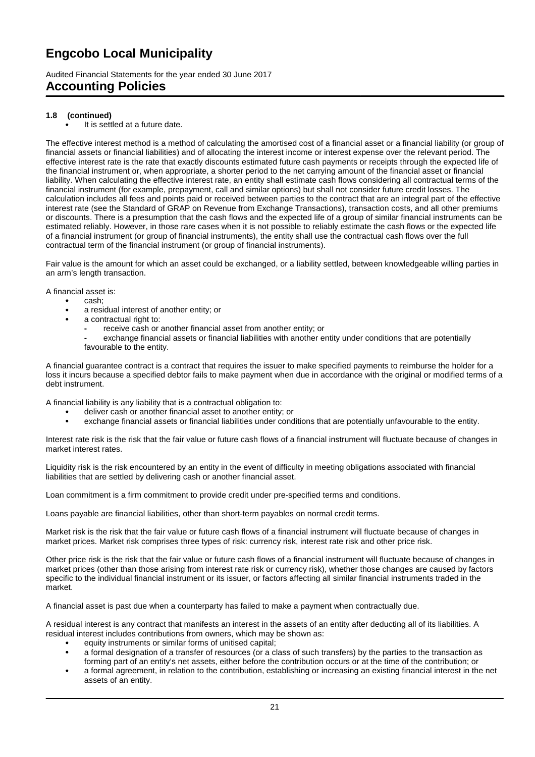### Audited Financial Statements for the year ended 30 June 2017 **Accounting Policies**

#### **1.8 (continued)**

It is settled at a future date.

The effective interest method is a method of calculating the amortised cost of a financial asset or a financial liability (or group of financial assets or financial liabilities) and of allocating the interest income or interest expense over the relevant period. The effective interest rate is the rate that exactly discounts estimated future cash payments or receipts through the expected life of the financial instrument or, when appropriate, a shorter period to the net carrying amount of the financial asset or financial liability. When calculating the effective interest rate, an entity shall estimate cash flows considering all contractual terms of the financial instrument (for example, prepayment, call and similar options) but shall not consider future credit losses. The calculation includes all fees and points paid or received between parties to the contract that are an integral part of the effective interest rate (see the Standard of GRAP on Revenue from Exchange Transactions), transaction costs, and all other premiums or discounts. There is a presumption that the cash flows and the expected life of a group of similar financial instruments can be estimated reliably. However, in those rare cases when it is not possible to reliably estimate the cash flows or the expected life of a financial instrument (or group of financial instruments), the entity shall use the contractual cash flows over the full contractual term of the financial instrument (or group of financial instruments).

Fair value is the amount for which an asset could be exchanged, or a liability settled, between knowledgeable willing parties in an arm's length transaction.

A financial asset is:

- cash;
- a residual interest of another entity; or
- a contractual right to:
	- **-** receive cash or another financial asset from another entity; or
	- **-** exchange financial assets or financial liabilities with another entity under conditions that are potentially favourable to the entity.

A financial guarantee contract is a contract that requires the issuer to make specified payments to reimburse the holder for a loss it incurs because a specified debtor fails to make payment when due in accordance with the original or modified terms of a debt instrument.

A financial liability is any liability that is a contractual obligation to:

- deliver cash or another financial asset to another entity; or
- exchange financial assets or financial liabilities under conditions that are potentially unfavourable to the entity.

Interest rate risk is the risk that the fair value or future cash flows of a financial instrument will fluctuate because of changes in market interest rates.

Liquidity risk is the risk encountered by an entity in the event of difficulty in meeting obligations associated with financial liabilities that are settled by delivering cash or another financial asset.

Loan commitment is a firm commitment to provide credit under pre-specified terms and conditions.

Loans payable are financial liabilities, other than short-term payables on normal credit terms.

Market risk is the risk that the fair value or future cash flows of a financial instrument will fluctuate because of changes in market prices. Market risk comprises three types of risk: currency risk, interest rate risk and other price risk.

Other price risk is the risk that the fair value or future cash flows of a financial instrument will fluctuate because of changes in market prices (other than those arising from interest rate risk or currency risk), whether those changes are caused by factors specific to the individual financial instrument or its issuer, or factors affecting all similar financial instruments traded in the market.

A financial asset is past due when a counterparty has failed to make a payment when contractually due.

A residual interest is any contract that manifests an interest in the assets of an entity after deducting all of its liabilities. A residual interest includes contributions from owners, which may be shown as:

- equity instruments or similar forms of unitised capital;
- a formal designation of a transfer of resources (or a class of such transfers) by the parties to the transaction as forming part of an entity's net assets, either before the contribution occurs or at the time of the contribution; or
- a formal agreement, in relation to the contribution, establishing or increasing an existing financial interest in the net assets of an entity.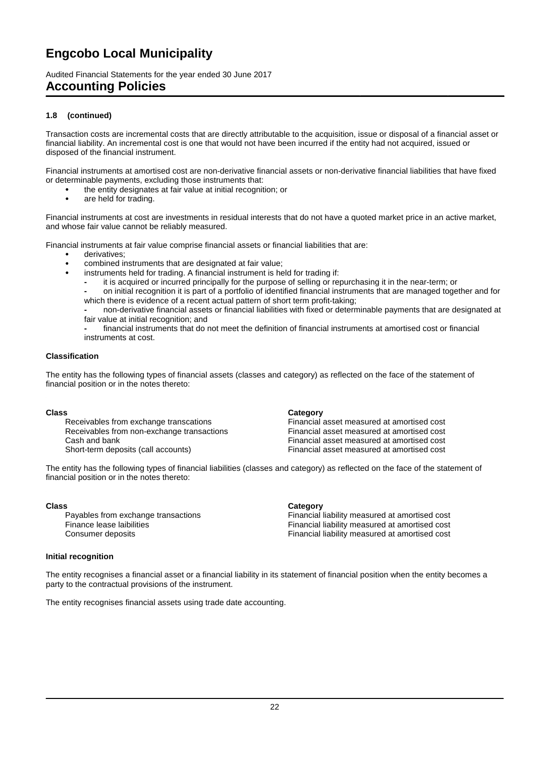### Audited Financial Statements for the year ended 30 June 2017 **Accounting Policies**

#### **1.8 (continued)**

Transaction costs are incremental costs that are directly attributable to the acquisition, issue or disposal of a financial asset or financial liability. An incremental cost is one that would not have been incurred if the entity had not acquired, issued or disposed of the financial instrument.

Financial instruments at amortised cost are non-derivative financial assets or non-derivative financial liabilities that have fixed or determinable payments, excluding those instruments that:

- the entity designates at fair value at initial recognition; or
- are held for trading.

Financial instruments at cost are investments in residual interests that do not have a quoted market price in an active market, and whose fair value cannot be reliably measured.

Financial instruments at fair value comprise financial assets or financial liabilities that are:

- derivatives;
- combined instruments that are designated at fair value;
- instruments held for trading. A financial instrument is held for trading if:
	- **-** it is acquired or incurred principally for the purpose of selling or repurchasing it in the near-term; or
	- **-** on initial recognition it is part of a portfolio of identified financial instruments that are managed together and for which there is evidence of a recent actual pattern of short term profit-taking;
	- **-** non-derivative financial assets or financial liabilities with fixed or determinable payments that are designated at fair value at initial recognition; and
	- **-** financial instruments that do not meet the definition of financial instruments at amortised cost or financial instruments at cost.

#### **Classification**

The entity has the following types of financial assets (classes and category) as reflected on the face of the statement of financial position or in the notes thereto:

Receivables from exchange transcations Financial asset measured at amortised cost Receivables from non-exchange transactions Financial asset measured at amortised cost Cash and bank<br>
Short-term deposits (call accounts) Ghort-term deposits (call accounts) Cash and Financial asset measured at amortised cost

#### **Class Category**

Financial asset measured at amortised cost

The entity has the following types of financial liabilities (classes and category) as reflected on the face of the statement of financial position or in the notes thereto:

**Class**<br>**Payables from exchange transactions Category**<br>**Financial** 

Payables from exchange transactions Financial liability measured at amortised cost<br>Finance lease laibilities Financial liability measured at amortised cost Financial liability measured at amortised cost Consumer deposits Financial liability measured at amortised cost

#### **Initial recognition**

The entity recognises a financial asset or a financial liability in its statement of financial position when the entity becomes a party to the contractual provisions of the instrument.

The entity recognises financial assets using trade date accounting.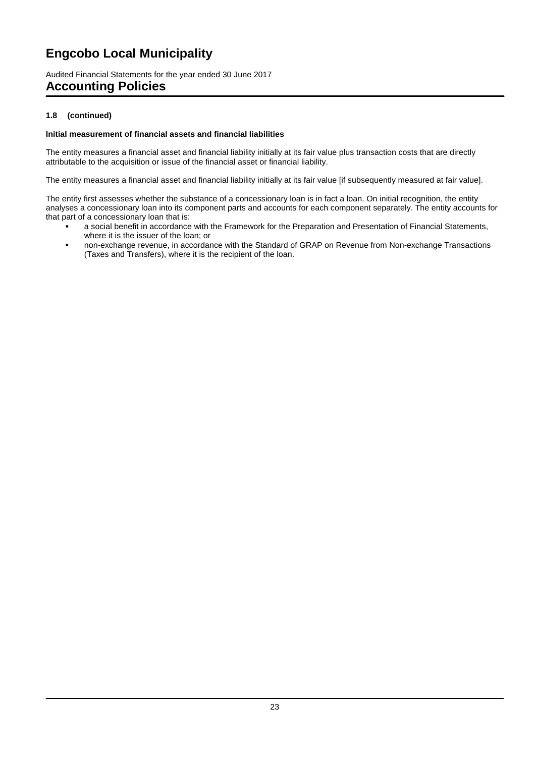### Audited Financial Statements for the year ended 30 June 2017 **Accounting Policies**

### **1.8 (continued)**

#### **Initial measurement of financial assets and financial liabilities**

The entity measures a financial asset and financial liability initially at its fair value plus transaction costs that are directly attributable to the acquisition or issue of the financial asset or financial liability.

The entity measures a financial asset and financial liability initially at its fair value [if subsequently measured at fair value].

The entity first assesses whether the substance of a concessionary loan is in fact a loan. On initial recognition, the entity analyses a concessionary loan into its component parts and accounts for each component separately. The entity accounts for that part of a concessionary loan that is:

- a social benefit in accordance with the Framework for the Preparation and Presentation of Financial Statements, where it is the issuer of the loan; or
- non-exchange revenue, in accordance with the Standard of GRAP on Revenue from Non-exchange Transactions (Taxes and Transfers), where it is the recipient of the loan.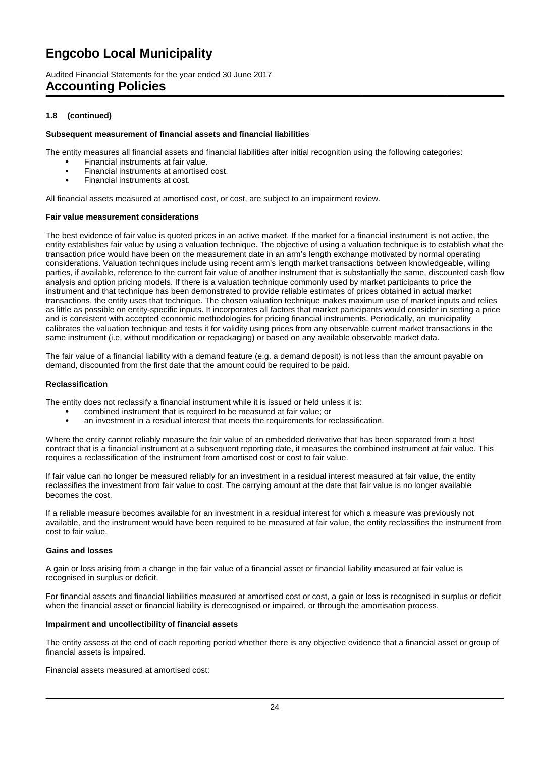Audited Financial Statements for the year ended 30 June 2017 **Accounting Policies**

#### **1.8 (continued)**

#### **Subsequent measurement of financial assets and financial liabilities**

The entity measures all financial assets and financial liabilities after initial recognition using the following categories:

- Financial instruments at fair value.
- Financial instruments at amortised cost.
- Financial instruments at cost.

All financial assets measured at amortised cost, or cost, are subject to an impairment review.

#### **Fair value measurement considerations**

The best evidence of fair value is quoted prices in an active market. If the market for a financial instrument is not active, the entity establishes fair value by using a valuation technique. The objective of using a valuation technique is to establish what the transaction price would have been on the measurement date in an arm's length exchange motivated by normal operating considerations. Valuation techniques include using recent arm's length market transactions between knowledgeable, willing parties, if available, reference to the current fair value of another instrument that is substantially the same, discounted cash flow analysis and option pricing models. If there is a valuation technique commonly used by market participants to price the instrument and that technique has been demonstrated to provide reliable estimates of prices obtained in actual market transactions, the entity uses that technique. The chosen valuation technique makes maximum use of market inputs and relies as little as possible on entity-specific inputs. It incorporates all factors that market participants would consider in setting a price and is consistent with accepted economic methodologies for pricing financial instruments. Periodically, an municipality calibrates the valuation technique and tests it for validity using prices from any observable current market transactions in the same instrument (i.e. without modification or repackaging) or based on any available observable market data.

The fair value of a financial liability with a demand feature (e.g. a demand deposit) is not less than the amount payable on demand, discounted from the first date that the amount could be required to be paid.

#### **Reclassification**

The entity does not reclassify a financial instrument while it is issued or held unless it is:

- combined instrument that is required to be measured at fair value; or
- an investment in a residual interest that meets the requirements for reclassification.

Where the entity cannot reliably measure the fair value of an embedded derivative that has been separated from a host contract that is a financial instrument at a subsequent reporting date, it measures the combined instrument at fair value. This requires a reclassification of the instrument from amortised cost or cost to fair value.

If fair value can no longer be measured reliably for an investment in a residual interest measured at fair value, the entity reclassifies the investment from fair value to cost. The carrying amount at the date that fair value is no longer available becomes the cost.

If a reliable measure becomes available for an investment in a residual interest for which a measure was previously not available, and the instrument would have been required to be measured at fair value, the entity reclassifies the instrument from cost to fair value.

#### **Gains and losses**

A gain or loss arising from a change in the fair value of a financial asset or financial liability measured at fair value is recognised in surplus or deficit.

For financial assets and financial liabilities measured at amortised cost or cost, a gain or loss is recognised in surplus or deficit when the financial asset or financial liability is derecognised or impaired, or through the amortisation process.

#### **Impairment and uncollectibility of financial assets**

The entity assess at the end of each reporting period whether there is any objective evidence that a financial asset or group of financial assets is impaired.

Financial assets measured at amortised cost: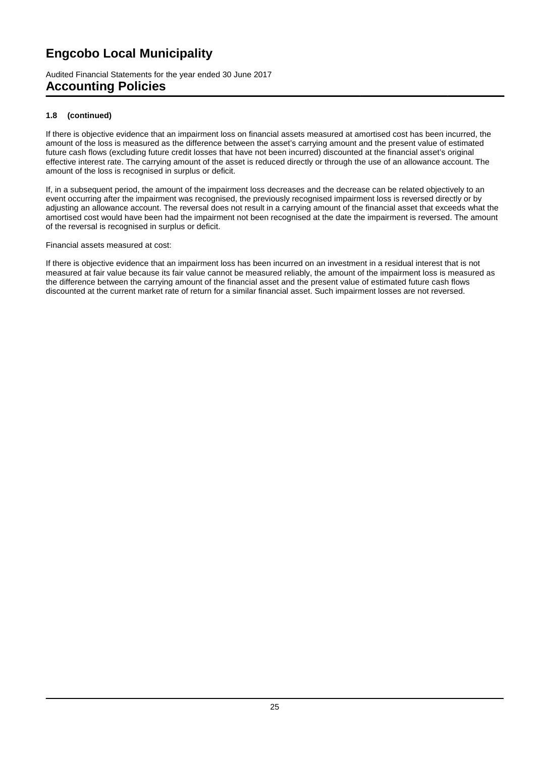## Audited Financial Statements for the year ended 30 June 2017 **Accounting Policies**

### **1.8 (continued)**

If there is objective evidence that an impairment loss on financial assets measured at amortised cost has been incurred, the amount of the loss is measured as the difference between the asset's carrying amount and the present value of estimated future cash flows (excluding future credit losses that have not been incurred) discounted at the financial asset's original effective interest rate. The carrying amount of the asset is reduced directly or through the use of an allowance account. The amount of the loss is recognised in surplus or deficit.

If, in a subsequent period, the amount of the impairment loss decreases and the decrease can be related objectively to an event occurring after the impairment was recognised, the previously recognised impairment loss is reversed directly or by adjusting an allowance account. The reversal does not result in a carrying amount of the financial asset that exceeds what the amortised cost would have been had the impairment not been recognised at the date the impairment is reversed. The amount of the reversal is recognised in surplus or deficit.

Financial assets measured at cost:

If there is objective evidence that an impairment loss has been incurred on an investment in a residual interest that is not measured at fair value because its fair value cannot be measured reliably, the amount of the impairment loss is measured as the difference between the carrying amount of the financial asset and the present value of estimated future cash flows discounted at the current market rate of return for a similar financial asset. Such impairment losses are not reversed.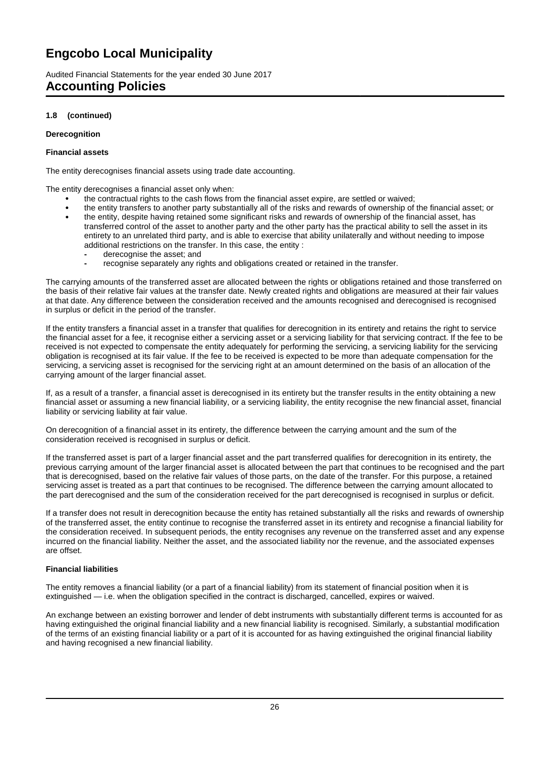Audited Financial Statements for the year ended 30 June 2017 **Accounting Policies**

### **1.8 (continued)**

#### **Derecognition**

#### **Financial assets**

The entity derecognises financial assets using trade date accounting.

The entity derecognises a financial asset only when:

- the contractual rights to the cash flows from the financial asset expire, are settled or waived;
- the entity transfers to another party substantially all of the risks and rewards of ownership of the financial asset; or
- the entity, despite having retained some significant risks and rewards of ownership of the financial asset, has transferred control of the asset to another party and the other party has the practical ability to sell the asset in its entirety to an unrelated third party, and is able to exercise that ability unilaterally and without needing to impose additional restrictions on the transfer. In this case, the entity :
	- **-** derecognise the asset; and
	- **-** recognise separately any rights and obligations created or retained in the transfer.

The carrying amounts of the transferred asset are allocated between the rights or obligations retained and those transferred on the basis of their relative fair values at the transfer date. Newly created rights and obligations are measured at their fair values at that date. Any difference between the consideration received and the amounts recognised and derecognised is recognised in surplus or deficit in the period of the transfer.

If the entity transfers a financial asset in a transfer that qualifies for derecognition in its entirety and retains the right to service the financial asset for a fee, it recognise either a servicing asset or a servicing liability for that servicing contract. If the fee to be received is not expected to compensate the entity adequately for performing the servicing, a servicing liability for the servicing obligation is recognised at its fair value. If the fee to be received is expected to be more than adequate compensation for the servicing, a servicing asset is recognised for the servicing right at an amount determined on the basis of an allocation of the carrying amount of the larger financial asset.

If, as a result of a transfer, a financial asset is derecognised in its entirety but the transfer results in the entity obtaining a new financial asset or assuming a new financial liability, or a servicing liability, the entity recognise the new financial asset, financial liability or servicing liability at fair value.

On derecognition of a financial asset in its entirety, the difference between the carrying amount and the sum of the consideration received is recognised in surplus or deficit.

If the transferred asset is part of a larger financial asset and the part transferred qualifies for derecognition in its entirety, the previous carrying amount of the larger financial asset is allocated between the part that continues to be recognised and the part that is derecognised, based on the relative fair values of those parts, on the date of the transfer. For this purpose, a retained servicing asset is treated as a part that continues to be recognised. The difference between the carrying amount allocated to the part derecognised and the sum of the consideration received for the part derecognised is recognised in surplus or deficit.

If a transfer does not result in derecognition because the entity has retained substantially all the risks and rewards of ownership of the transferred asset, the entity continue to recognise the transferred asset in its entirety and recognise a financial liability for the consideration received. In subsequent periods, the entity recognises any revenue on the transferred asset and any expense incurred on the financial liability. Neither the asset, and the associated liability nor the revenue, and the associated expenses are offset.

#### **Financial liabilities**

The entity removes a financial liability (or a part of a financial liability) from its statement of financial position when it is extinguished — i.e. when the obligation specified in the contract is discharged, cancelled, expires or waived.

An exchange between an existing borrower and lender of debt instruments with substantially different terms is accounted for as having extinguished the original financial liability and a new financial liability is recognised. Similarly, a substantial modification of the terms of an existing financial liability or a part of it is accounted for as having extinguished the original financial liability and having recognised a new financial liability.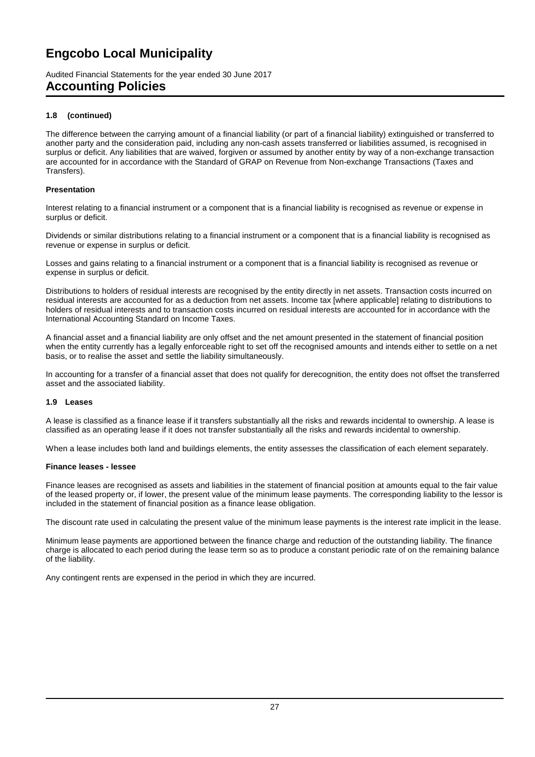### Audited Financial Statements for the year ended 30 June 2017 **Accounting Policies**

### **1.8 (continued)**

The difference between the carrying amount of a financial liability (or part of a financial liability) extinguished or transferred to another party and the consideration paid, including any non-cash assets transferred or liabilities assumed, is recognised in surplus or deficit. Any liabilities that are waived, forgiven or assumed by another entity by way of a non-exchange transaction are accounted for in accordance with the Standard of GRAP on Revenue from Non-exchange Transactions (Taxes and Transfers).

#### **Presentation**

Interest relating to a financial instrument or a component that is a financial liability is recognised as revenue or expense in surplus or deficit.

Dividends or similar distributions relating to a financial instrument or a component that is a financial liability is recognised as revenue or expense in surplus or deficit.

Losses and gains relating to a financial instrument or a component that is a financial liability is recognised as revenue or expense in surplus or deficit.

Distributions to holders of residual interests are recognised by the entity directly in net assets. Transaction costs incurred on residual interests are accounted for as a deduction from net assets. Income tax [where applicable] relating to distributions to holders of residual interests and to transaction costs incurred on residual interests are accounted for in accordance with the International Accounting Standard on Income Taxes.

A financial asset and a financial liability are only offset and the net amount presented in the statement of financial position when the entity currently has a legally enforceable right to set off the recognised amounts and intends either to settle on a net basis, or to realise the asset and settle the liability simultaneously.

In accounting for a transfer of a financial asset that does not qualify for derecognition, the entity does not offset the transferred asset and the associated liability.

#### **1.9 Leases**

A lease is classified as a finance lease if it transfers substantially all the risks and rewards incidental to ownership. A lease is classified as an operating lease if it does not transfer substantially all the risks and rewards incidental to ownership.

When a lease includes both land and buildings elements, the entity assesses the classification of each element separately.

#### **Finance leases - lessee**

Finance leases are recognised as assets and liabilities in the statement of financial position at amounts equal to the fair value of the leased property or, if lower, the present value of the minimum lease payments. The corresponding liability to the lessor is included in the statement of financial position as a finance lease obligation.

The discount rate used in calculating the present value of the minimum lease payments is the interest rate implicit in the lease.

Minimum lease payments are apportioned between the finance charge and reduction of the outstanding liability. The finance charge is allocated to each period during the lease term so as to produce a constant periodic rate of on the remaining balance of the liability.

Any contingent rents are expensed in the period in which they are incurred.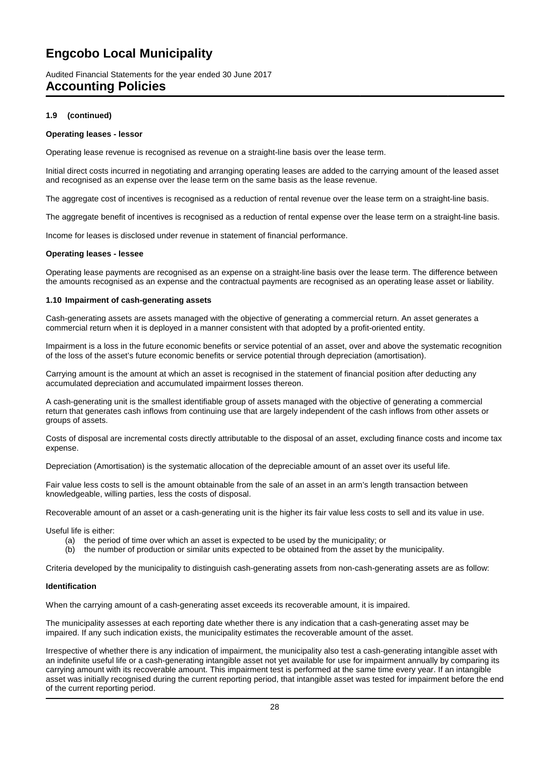### Audited Financial Statements for the year ended 30 June 2017 **Accounting Policies**

#### **1.9 (continued)**

#### **Operating leases - lessor**

Operating lease revenue is recognised as revenue on a straight-line basis over the lease term.

Initial direct costs incurred in negotiating and arranging operating leases are added to the carrying amount of the leased asset and recognised as an expense over the lease term on the same basis as the lease revenue.

The aggregate cost of incentives is recognised as a reduction of rental revenue over the lease term on a straight-line basis.

The aggregate benefit of incentives is recognised as a reduction of rental expense over the lease term on a straight-line basis.

Income for leases is disclosed under revenue in statement of financial performance.

#### **Operating leases - lessee**

Operating lease payments are recognised as an expense on a straight-line basis over the lease term. The difference between the amounts recognised as an expense and the contractual payments are recognised as an operating lease asset or liability.

#### **1.10 Impairment of cash-generating assets**

Cash-generating assets are assets managed with the objective of generating a commercial return. An asset generates a commercial return when it is deployed in a manner consistent with that adopted by a profit-oriented entity.

Impairment is a loss in the future economic benefits or service potential of an asset, over and above the systematic recognition of the loss of the asset's future economic benefits or service potential through depreciation (amortisation).

Carrying amount is the amount at which an asset is recognised in the statement of financial position after deducting any accumulated depreciation and accumulated impairment losses thereon.

A cash-generating unit is the smallest identifiable group of assets managed with the objective of generating a commercial return that generates cash inflows from continuing use that are largely independent of the cash inflows from other assets or groups of assets.

Costs of disposal are incremental costs directly attributable to the disposal of an asset, excluding finance costs and income tax expense.

Depreciation (Amortisation) is the systematic allocation of the depreciable amount of an asset over its useful life.

Fair value less costs to sell is the amount obtainable from the sale of an asset in an arm's length transaction between knowledgeable, willing parties, less the costs of disposal.

Recoverable amount of an asset or a cash-generating unit is the higher its fair value less costs to sell and its value in use.

Useful life is either:

- (a) the period of time over which an asset is expected to be used by the municipality; or
- the number of production or similar units expected to be obtained from the asset by the municipality.

Criteria developed by the municipality to distinguish cash-generating assets from non-cash-generating assets are as follow:

#### **Identification**

When the carrying amount of a cash-generating asset exceeds its recoverable amount, it is impaired.

The municipality assesses at each reporting date whether there is any indication that a cash-generating asset may be impaired. If any such indication exists, the municipality estimates the recoverable amount of the asset.

Irrespective of whether there is any indication of impairment, the municipality also test a cash-generating intangible asset with an indefinite useful life or a cash-generating intangible asset not yet available for use for impairment annually by comparing its carrying amount with its recoverable amount. This impairment test is performed at the same time every year. If an intangible asset was initially recognised during the current reporting period, that intangible asset was tested for impairment before the end of the current reporting period.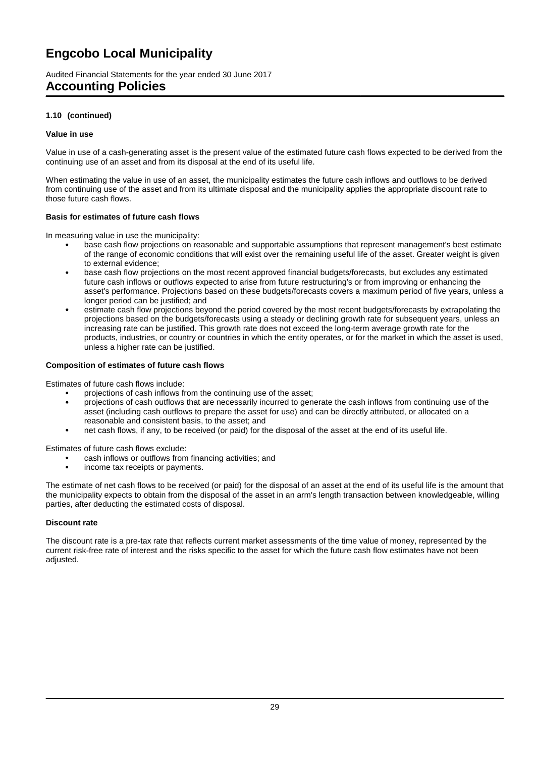Audited Financial Statements for the year ended 30 June 2017 **Accounting Policies**

#### **1.10 (continued)**

#### **Value in use**

Value in use of a cash-generating asset is the present value of the estimated future cash flows expected to be derived from the continuing use of an asset and from its disposal at the end of its useful life.

When estimating the value in use of an asset, the municipality estimates the future cash inflows and outflows to be derived from continuing use of the asset and from its ultimate disposal and the municipality applies the appropriate discount rate to those future cash flows.

#### **Basis for estimates of future cash flows**

In measuring value in use the municipality:

- base cash flow projections on reasonable and supportable assumptions that represent management's best estimate of the range of economic conditions that will exist over the remaining useful life of the asset. Greater weight is given to external evidence;
- base cash flow projections on the most recent approved financial budgets/forecasts, but excludes any estimated future cash inflows or outflows expected to arise from future restructuring's or from improving or enhancing the asset's performance. Projections based on these budgets/forecasts covers a maximum period of five years, unless a longer period can be justified; and
- estimate cash flow projections beyond the period covered by the most recent budgets/forecasts by extrapolating the projections based on the budgets/forecasts using a steady or declining growth rate for subsequent years, unless an increasing rate can be justified. This growth rate does not exceed the long-term average growth rate for the products, industries, or country or countries in which the entity operates, or for the market in which the asset is used, unless a higher rate can be justified.

#### **Composition of estimates of future cash flows**

Estimates of future cash flows include:

- projections of cash inflows from the continuing use of the asset;
- projections of cash outflows that are necessarily incurred to generate the cash inflows from continuing use of the asset (including cash outflows to prepare the asset for use) and can be directly attributed, or allocated on a reasonable and consistent basis, to the asset; and
- net cash flows, if any, to be received (or paid) for the disposal of the asset at the end of its useful life.

Estimates of future cash flows exclude:

- cash inflows or outflows from financing activities; and
- income tax receipts or payments.

The estimate of net cash flows to be received (or paid) for the disposal of an asset at the end of its useful life is the amount that the municipality expects to obtain from the disposal of the asset in an arm's length transaction between knowledgeable, willing parties, after deducting the estimated costs of disposal.

#### **Discount rate**

The discount rate is a pre-tax rate that reflects current market assessments of the time value of money, represented by the current risk-free rate of interest and the risks specific to the asset for which the future cash flow estimates have not been adiusted.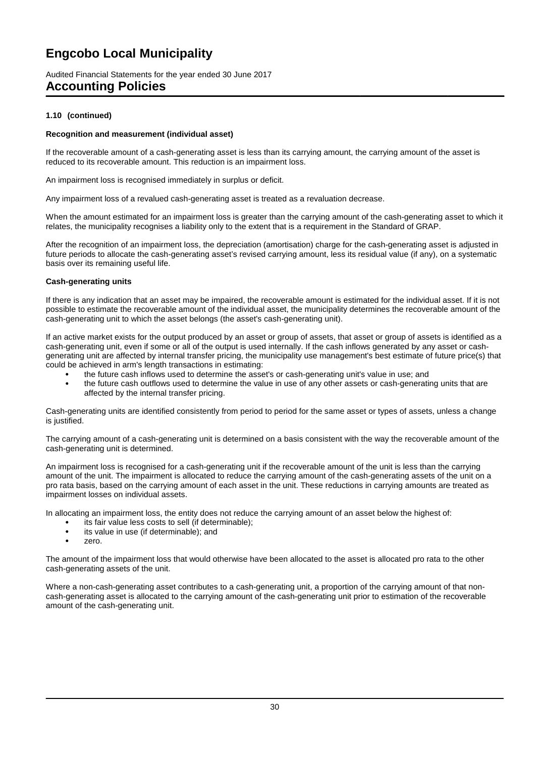### Audited Financial Statements for the year ended 30 June 2017 **Accounting Policies**

#### **1.10 (continued)**

#### **Recognition and measurement (individual asset)**

If the recoverable amount of a cash-generating asset is less than its carrying amount, the carrying amount of the asset is reduced to its recoverable amount. This reduction is an impairment loss.

An impairment loss is recognised immediately in surplus or deficit.

Any impairment loss of a revalued cash-generating asset is treated as a revaluation decrease.

When the amount estimated for an impairment loss is greater than the carrying amount of the cash-generating asset to which it relates, the municipality recognises a liability only to the extent that is a requirement in the Standard of GRAP.

After the recognition of an impairment loss, the depreciation (amortisation) charge for the cash-generating asset is adjusted in future periods to allocate the cash-generating asset's revised carrying amount, less its residual value (if any), on a systematic basis over its remaining useful life.

#### **Cash-generating units**

If there is any indication that an asset may be impaired, the recoverable amount is estimated for the individual asset. If it is not possible to estimate the recoverable amount of the individual asset, the municipality determines the recoverable amount of the cash-generating unit to which the asset belongs (the asset's cash-generating unit).

If an active market exists for the output produced by an asset or group of assets, that asset or group of assets is identified as a cash-generating unit, even if some or all of the output is used internally. If the cash inflows generated by any asset or cashgenerating unit are affected by internal transfer pricing, the municipality use management's best estimate of future price(s) that could be achieved in arm's length transactions in estimating:

- the future cash inflows used to determine the asset's or cash-generating unit's value in use; and
- the future cash outflows used to determine the value in use of any other assets or cash-generating units that are affected by the internal transfer pricing.

Cash-generating units are identified consistently from period to period for the same asset or types of assets, unless a change is justified.

The carrying amount of a cash-generating unit is determined on a basis consistent with the way the recoverable amount of the cash-generating unit is determined.

An impairment loss is recognised for a cash-generating unit if the recoverable amount of the unit is less than the carrying amount of the unit. The impairment is allocated to reduce the carrying amount of the cash-generating assets of the unit on a pro rata basis, based on the carrying amount of each asset in the unit. These reductions in carrying amounts are treated as impairment losses on individual assets.

In allocating an impairment loss, the entity does not reduce the carrying amount of an asset below the highest of:

- its fair value less costs to sell (if determinable);
- its value in use (if determinable); and
- zero.

The amount of the impairment loss that would otherwise have been allocated to the asset is allocated pro rata to the other cash-generating assets of the unit.

Where a non-cash-generating asset contributes to a cash-generating unit, a proportion of the carrying amount of that noncash-generating asset is allocated to the carrying amount of the cash-generating unit prior to estimation of the recoverable amount of the cash-generating unit.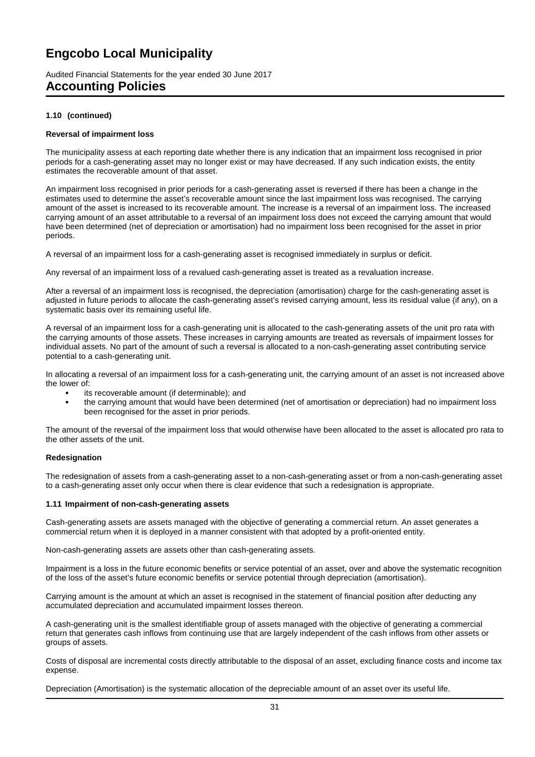### Audited Financial Statements for the year ended 30 June 2017 **Accounting Policies**

#### **1.10 (continued)**

#### **Reversal of impairment loss**

The municipality assess at each reporting date whether there is any indication that an impairment loss recognised in prior periods for a cash-generating asset may no longer exist or may have decreased. If any such indication exists, the entity estimates the recoverable amount of that asset.

An impairment loss recognised in prior periods for a cash-generating asset is reversed if there has been a change in the estimates used to determine the asset's recoverable amount since the last impairment loss was recognised. The carrying amount of the asset is increased to its recoverable amount. The increase is a reversal of an impairment loss. The increased carrying amount of an asset attributable to a reversal of an impairment loss does not exceed the carrying amount that would have been determined (net of depreciation or amortisation) had no impairment loss been recognised for the asset in prior periods.

A reversal of an impairment loss for a cash-generating asset is recognised immediately in surplus or deficit.

Any reversal of an impairment loss of a revalued cash-generating asset is treated as a revaluation increase.

After a reversal of an impairment loss is recognised, the depreciation (amortisation) charge for the cash-generating asset is adjusted in future periods to allocate the cash-generating asset's revised carrying amount, less its residual value (if any), on a systematic basis over its remaining useful life.

A reversal of an impairment loss for a cash-generating unit is allocated to the cash-generating assets of the unit pro rata with the carrying amounts of those assets. These increases in carrying amounts are treated as reversals of impairment losses for individual assets. No part of the amount of such a reversal is allocated to a non-cash-generating asset contributing service potential to a cash-generating unit.

In allocating a reversal of an impairment loss for a cash-generating unit, the carrying amount of an asset is not increased above the lower of:

- its recoverable amount (if determinable); and
- the carrying amount that would have been determined (net of amortisation or depreciation) had no impairment loss been recognised for the asset in prior periods.

The amount of the reversal of the impairment loss that would otherwise have been allocated to the asset is allocated pro rata to the other assets of the unit.

#### **Redesignation**

The redesignation of assets from a cash-generating asset to a non-cash-generating asset or from a non-cash-generating asset to a cash-generating asset only occur when there is clear evidence that such a redesignation is appropriate.

#### **1.11 Impairment of non-cash-generating assets**

Cash-generating assets are assets managed with the objective of generating a commercial return. An asset generates a commercial return when it is deployed in a manner consistent with that adopted by a profit-oriented entity.

Non-cash-generating assets are assets other than cash-generating assets.

Impairment is a loss in the future economic benefits or service potential of an asset, over and above the systematic recognition of the loss of the asset's future economic benefits or service potential through depreciation (amortisation).

Carrying amount is the amount at which an asset is recognised in the statement of financial position after deducting any accumulated depreciation and accumulated impairment losses thereon.

A cash-generating unit is the smallest identifiable group of assets managed with the objective of generating a commercial return that generates cash inflows from continuing use that are largely independent of the cash inflows from other assets or groups of assets.

Costs of disposal are incremental costs directly attributable to the disposal of an asset, excluding finance costs and income tax expense.

Depreciation (Amortisation) is the systematic allocation of the depreciable amount of an asset over its useful life.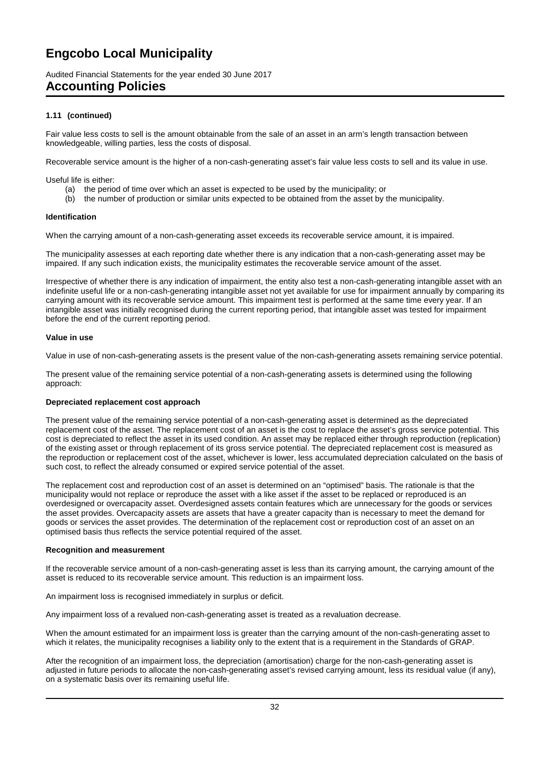### Audited Financial Statements for the year ended 30 June 2017 **Accounting Policies**

#### **1.11 (continued)**

Fair value less costs to sell is the amount obtainable from the sale of an asset in an arm's length transaction between knowledgeable, willing parties, less the costs of disposal.

Recoverable service amount is the higher of a non-cash-generating asset's fair value less costs to sell and its value in use.

Useful life is either:

- (a) the period of time over which an asset is expected to be used by the municipality; or
- (b) the number of production or similar units expected to be obtained from the asset by the municipality.

#### **Identification**

When the carrying amount of a non-cash-generating asset exceeds its recoverable service amount, it is impaired.

The municipality assesses at each reporting date whether there is any indication that a non-cash-generating asset may be impaired. If any such indication exists, the municipality estimates the recoverable service amount of the asset.

Irrespective of whether there is any indication of impairment, the entity also test a non-cash-generating intangible asset with an indefinite useful life or a non-cash-generating intangible asset not yet available for use for impairment annually by comparing its carrying amount with its recoverable service amount. This impairment test is performed at the same time every year. If an intangible asset was initially recognised during the current reporting period, that intangible asset was tested for impairment before the end of the current reporting period.

#### **Value in use**

Value in use of non-cash-generating assets is the present value of the non-cash-generating assets remaining service potential.

The present value of the remaining service potential of a non-cash-generating assets is determined using the following approach:

#### **Depreciated replacement cost approach**

The present value of the remaining service potential of a non-cash-generating asset is determined as the depreciated replacement cost of the asset. The replacement cost of an asset is the cost to replace the asset's gross service potential. This cost is depreciated to reflect the asset in its used condition. An asset may be replaced either through reproduction (replication) of the existing asset or through replacement of its gross service potential. The depreciated replacement cost is measured as the reproduction or replacement cost of the asset, whichever is lower, less accumulated depreciation calculated on the basis of such cost, to reflect the already consumed or expired service potential of the asset.

The replacement cost and reproduction cost of an asset is determined on an "optimised" basis. The rationale is that the municipality would not replace or reproduce the asset with a like asset if the asset to be replaced or reproduced is an overdesigned or overcapacity asset. Overdesigned assets contain features which are unnecessary for the goods or services the asset provides. Overcapacity assets are assets that have a greater capacity than is necessary to meet the demand for goods or services the asset provides. The determination of the replacement cost or reproduction cost of an asset on an optimised basis thus reflects the service potential required of the asset.

#### **Recognition and measurement**

If the recoverable service amount of a non-cash-generating asset is less than its carrying amount, the carrying amount of the asset is reduced to its recoverable service amount. This reduction is an impairment loss.

An impairment loss is recognised immediately in surplus or deficit.

Any impairment loss of a revalued non-cash-generating asset is treated as a revaluation decrease.

When the amount estimated for an impairment loss is greater than the carrying amount of the non-cash-generating asset to which it relates, the municipality recognises a liability only to the extent that is a requirement in the Standards of GRAP.

After the recognition of an impairment loss, the depreciation (amortisation) charge for the non-cash-generating asset is adjusted in future periods to allocate the non-cash-generating asset's revised carrying amount, less its residual value (if any), on a systematic basis over its remaining useful life.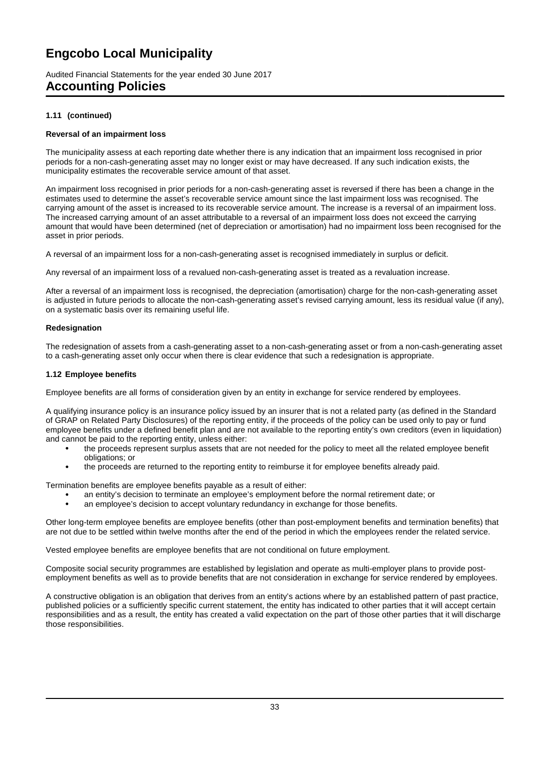### Audited Financial Statements for the year ended 30 June 2017 **Accounting Policies**

#### **1.11 (continued)**

#### **Reversal of an impairment loss**

The municipality assess at each reporting date whether there is any indication that an impairment loss recognised in prior periods for a non-cash-generating asset may no longer exist or may have decreased. If any such indication exists, the municipality estimates the recoverable service amount of that asset.

An impairment loss recognised in prior periods for a non-cash-generating asset is reversed if there has been a change in the estimates used to determine the asset's recoverable service amount since the last impairment loss was recognised. The carrying amount of the asset is increased to its recoverable service amount. The increase is a reversal of an impairment loss. The increased carrying amount of an asset attributable to a reversal of an impairment loss does not exceed the carrying amount that would have been determined (net of depreciation or amortisation) had no impairment loss been recognised for the asset in prior periods.

A reversal of an impairment loss for a non-cash-generating asset is recognised immediately in surplus or deficit.

Any reversal of an impairment loss of a revalued non-cash-generating asset is treated as a revaluation increase.

After a reversal of an impairment loss is recognised, the depreciation (amortisation) charge for the non-cash-generating asset is adjusted in future periods to allocate the non-cash-generating asset's revised carrying amount, less its residual value (if any), on a systematic basis over its remaining useful life.

#### **Redesignation**

The redesignation of assets from a cash-generating asset to a non-cash-generating asset or from a non-cash-generating asset to a cash-generating asset only occur when there is clear evidence that such a redesignation is appropriate.

#### **1.12 Employee benefits**

Employee benefits are all forms of consideration given by an entity in exchange for service rendered by employees.

A qualifying insurance policy is an insurance policy issued by an insurer that is not a related party (as defined in the Standard of GRAP on Related Party Disclosures) of the reporting entity, if the proceeds of the policy can be used only to pay or fund employee benefits under a defined benefit plan and are not available to the reporting entity's own creditors (even in liquidation) and cannot be paid to the reporting entity, unless either:

- the proceeds represent surplus assets that are not needed for the policy to meet all the related employee benefit obligations; or
- the proceeds are returned to the reporting entity to reimburse it for employee benefits already paid.

Termination benefits are employee benefits payable as a result of either:

- an entity's decision to terminate an employee's employment before the normal retirement date; or
- an employee's decision to accept voluntary redundancy in exchange for those benefits.

Other long-term employee benefits are employee benefits (other than post-employment benefits and termination benefits) that are not due to be settled within twelve months after the end of the period in which the employees render the related service.

Vested employee benefits are employee benefits that are not conditional on future employment.

Composite social security programmes are established by legislation and operate as multi-employer plans to provide postemployment benefits as well as to provide benefits that are not consideration in exchange for service rendered by employees.

A constructive obligation is an obligation that derives from an entity's actions where by an established pattern of past practice, published policies or a sufficiently specific current statement, the entity has indicated to other parties that it will accept certain responsibilities and as a result, the entity has created a valid expectation on the part of those other parties that it will discharge those responsibilities.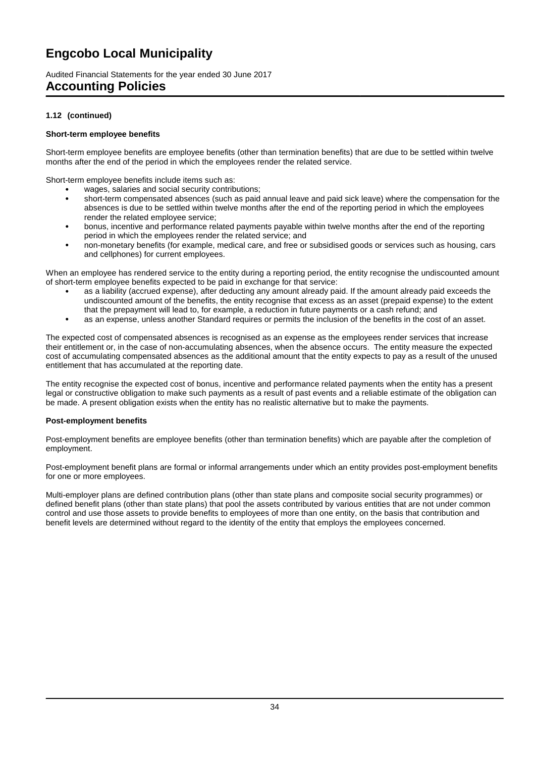Audited Financial Statements for the year ended 30 June 2017 **Accounting Policies**

### **1.12 (continued)**

#### **Short-term employee benefits**

Short-term employee benefits are employee benefits (other than termination benefits) that are due to be settled within twelve months after the end of the period in which the employees render the related service.

Short-term employee benefits include items such as:

- wages, salaries and social security contributions;
- short-term compensated absences (such as paid annual leave and paid sick leave) where the compensation for the absences is due to be settled within twelve months after the end of the reporting period in which the employees render the related employee service;
- bonus, incentive and performance related payments payable within twelve months after the end of the reporting period in which the employees render the related service; and
- non-monetary benefits (for example, medical care, and free or subsidised goods or services such as housing, cars and cellphones) for current employees.

When an employee has rendered service to the entity during a reporting period, the entity recognise the undiscounted amount of short-term employee benefits expected to be paid in exchange for that service:

- as a liability (accrued expense), after deducting any amount already paid. If the amount already paid exceeds the undiscounted amount of the benefits, the entity recognise that excess as an asset (prepaid expense) to the extent that the prepayment will lead to, for example, a reduction in future payments or a cash refund; and
- as an expense, unless another Standard requires or permits the inclusion of the benefits in the cost of an asset.

The expected cost of compensated absences is recognised as an expense as the employees render services that increase their entitlement or, in the case of non-accumulating absences, when the absence occurs. The entity measure the expected cost of accumulating compensated absences as the additional amount that the entity expects to pay as a result of the unused entitlement that has accumulated at the reporting date.

The entity recognise the expected cost of bonus, incentive and performance related payments when the entity has a present legal or constructive obligation to make such payments as a result of past events and a reliable estimate of the obligation can be made. A present obligation exists when the entity has no realistic alternative but to make the payments.

#### **Post-employment benefits**

Post-employment benefits are employee benefits (other than termination benefits) which are payable after the completion of employment.

Post-employment benefit plans are formal or informal arrangements under which an entity provides post-employment benefits for one or more employees.

Multi-employer plans are defined contribution plans (other than state plans and composite social security programmes) or defined benefit plans (other than state plans) that pool the assets contributed by various entities that are not under common control and use those assets to provide benefits to employees of more than one entity, on the basis that contribution and benefit levels are determined without regard to the identity of the entity that employs the employees concerned.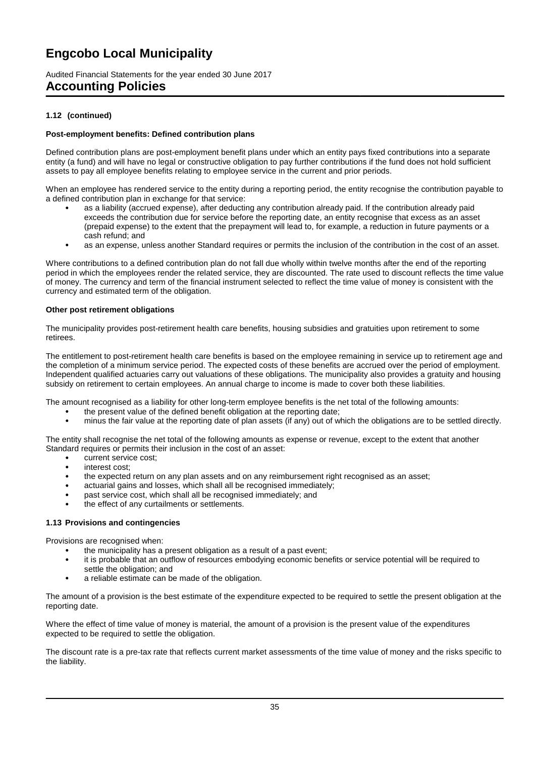### Audited Financial Statements for the year ended 30 June 2017 **Accounting Policies**

### **1.12 (continued)**

#### **Post-employment benefits: Defined contribution plans**

Defined contribution plans are post-employment benefit plans under which an entity pays fixed contributions into a separate entity (a fund) and will have no legal or constructive obligation to pay further contributions if the fund does not hold sufficient assets to pay all employee benefits relating to employee service in the current and prior periods.

When an employee has rendered service to the entity during a reporting period, the entity recognise the contribution payable to a defined contribution plan in exchange for that service:

- as a liability (accrued expense), after deducting any contribution already paid. If the contribution already paid exceeds the contribution due for service before the reporting date, an entity recognise that excess as an asset (prepaid expense) to the extent that the prepayment will lead to, for example, a reduction in future payments or a cash refund; and
- as an expense, unless another Standard requires or permits the inclusion of the contribution in the cost of an asset.

Where contributions to a defined contribution plan do not fall due wholly within twelve months after the end of the reporting period in which the employees render the related service, they are discounted. The rate used to discount reflects the time value of money. The currency and term of the financial instrument selected to reflect the time value of money is consistent with the currency and estimated term of the obligation.

#### **Other post retirement obligations**

The municipality provides post-retirement health care benefits, housing subsidies and gratuities upon retirement to some retirees.

The entitlement to post-retirement health care benefits is based on the employee remaining in service up to retirement age and the completion of a minimum service period. The expected costs of these benefits are accrued over the period of employment. Independent qualified actuaries carry out valuations of these obligations. The municipality also provides a gratuity and housing subsidy on retirement to certain employees. An annual charge to income is made to cover both these liabilities.

The amount recognised as a liability for other long-term employee benefits is the net total of the following amounts:

- the present value of the defined benefit obligation at the reporting date;
- minus the fair value at the reporting date of plan assets (if any) out of which the obligations are to be settled directly.

The entity shall recognise the net total of the following amounts as expense or revenue, except to the extent that another Standard requires or permits their inclusion in the cost of an asset:

- current service cost;
- interest cost;
- the expected return on any plan assets and on any reimbursement right recognised as an asset;
- actuarial gains and losses, which shall all be recognised immediately;
- past service cost, which shall all be recognised immediately; and
- the effect of any curtailments or settlements.

#### **1.13 Provisions and contingencies**

Provisions are recognised when:

- the municipality has a present obligation as a result of a past event;
- it is probable that an outflow of resources embodying economic benefits or service potential will be required to settle the obligation; and
- a reliable estimate can be made of the obligation.

The amount of a provision is the best estimate of the expenditure expected to be required to settle the present obligation at the reporting date.

Where the effect of time value of money is material, the amount of a provision is the present value of the expenditures expected to be required to settle the obligation.

The discount rate is a pre-tax rate that reflects current market assessments of the time value of money and the risks specific to the liability.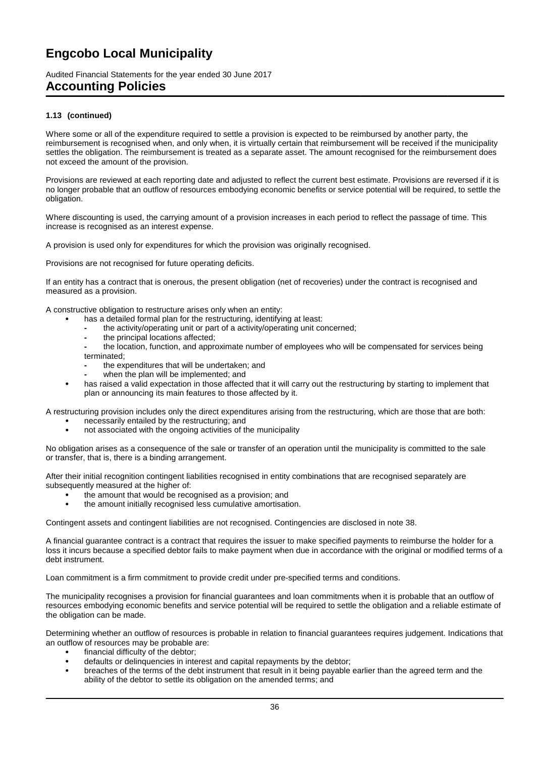### Audited Financial Statements for the year ended 30 June 2017 **Accounting Policies**

#### **1.13 (continued)**

Where some or all of the expenditure required to settle a provision is expected to be reimbursed by another party, the reimbursement is recognised when, and only when, it is virtually certain that reimbursement will be received if the municipality settles the obligation. The reimbursement is treated as a separate asset. The amount recognised for the reimbursement does not exceed the amount of the provision.

Provisions are reviewed at each reporting date and adjusted to reflect the current best estimate. Provisions are reversed if it is no longer probable that an outflow of resources embodying economic benefits or service potential will be required, to settle the obligation.

Where discounting is used, the carrying amount of a provision increases in each period to reflect the passage of time. This increase is recognised as an interest expense.

A provision is used only for expenditures for which the provision was originally recognised.

Provisions are not recognised for future operating deficits.

If an entity has a contract that is onerous, the present obligation (net of recoveries) under the contract is recognised and measured as a provision.

A constructive obligation to restructure arises only when an entity:

- has a detailed formal plan for the restructuring, identifying at least:
	- **-** the activity/operating unit or part of a activity/operating unit concerned;
	- **-** the principal locations affected;

**-** the location, function, and approximate number of employees who will be compensated for services being terminated;

- **-** the expenditures that will be undertaken; and
- **-** when the plan will be implemented; and
- has raised a valid expectation in those affected that it will carry out the restructuring by starting to implement that plan or announcing its main features to those affected by it.

A restructuring provision includes only the direct expenditures arising from the restructuring, which are those that are both: necessarily entailed by the restructuring; and

- not associated with the ongoing activities of the municipality
- 

No obligation arises as a consequence of the sale or transfer of an operation until the municipality is committed to the sale or transfer, that is, there is a binding arrangement.

After their initial recognition contingent liabilities recognised in entity combinations that are recognised separately are subsequently measured at the higher of:

- the amount that would be recognised as a provision; and
- the amount initially recognised less cumulative amortisation.

Contingent assets and contingent liabilities are not recognised. Contingencies are disclosed in note 38.

A financial guarantee contract is a contract that requires the issuer to make specified payments to reimburse the holder for a loss it incurs because a specified debtor fails to make payment when due in accordance with the original or modified terms of a debt instrument.

Loan commitment is a firm commitment to provide credit under pre-specified terms and conditions.

The municipality recognises a provision for financial guarantees and loan commitments when it is probable that an outflow of resources embodying economic benefits and service potential will be required to settle the obligation and a reliable estimate of the obligation can be made.

Determining whether an outflow of resources is probable in relation to financial guarantees requires judgement. Indications that an outflow of resources may be probable are:

- financial difficulty of the debtor;
- defaults or delinquencies in interest and capital repayments by the debtor;
- breaches of the terms of the debt instrument that result in it being payable earlier than the agreed term and the ability of the debtor to settle its obligation on the amended terms; and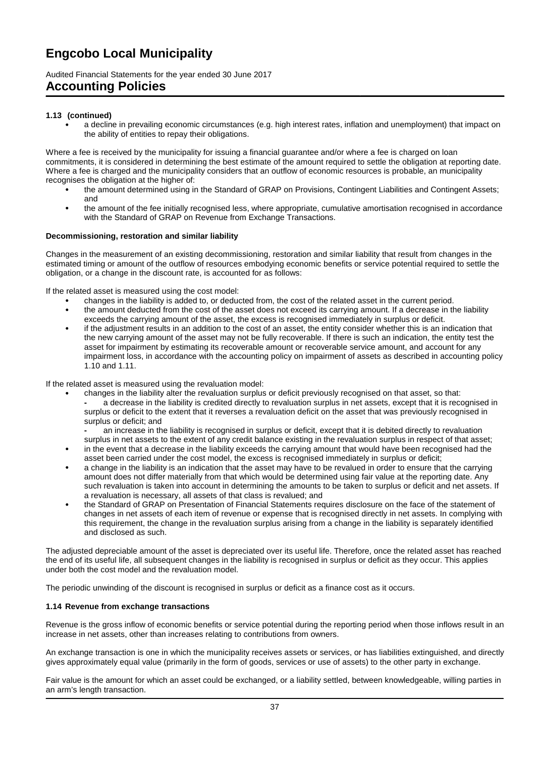### Audited Financial Statements for the year ended 30 June 2017 **Accounting Policies**

#### **1.13 (continued)**

a decline in prevailing economic circumstances (e.g. high interest rates, inflation and unemployment) that impact on the ability of entities to repay their obligations.

Where a fee is received by the municipality for issuing a financial guarantee and/or where a fee is charged on loan commitments, it is considered in determining the best estimate of the amount required to settle the obligation at reporting date. Where a fee is charged and the municipality considers that an outflow of economic resources is probable, an municipality recognises the obligation at the higher of:

- the amount determined using in the Standard of GRAP on Provisions, Contingent Liabilities and Contingent Assets; and
- the amount of the fee initially recognised less, where appropriate, cumulative amortisation recognised in accordance with the Standard of GRAP on Revenue from Exchange Transactions.

#### **Decommissioning, restoration and similar liability**

Changes in the measurement of an existing decommissioning, restoration and similar liability that result from changes in the estimated timing or amount of the outflow of resources embodying economic benefits or service potential required to settle the obligation, or a change in the discount rate, is accounted for as follows:

If the related asset is measured using the cost model:

- changes in the liability is added to, or deducted from, the cost of the related asset in the current period.
- the amount deducted from the cost of the asset does not exceed its carrying amount. If a decrease in the liability exceeds the carrying amount of the asset, the excess is recognised immediately in surplus or deficit.
- if the adjustment results in an addition to the cost of an asset, the entity consider whether this is an indication that the new carrying amount of the asset may not be fully recoverable. If there is such an indication, the entity test the asset for impairment by estimating its recoverable amount or recoverable service amount, and account for any impairment loss, in accordance with the accounting policy on impairment of assets as described in accounting policy 1.10 and 1.11.

If the related asset is measured using the revaluation model:

- changes in the liability alter the revaluation surplus or deficit previously recognised on that asset, so that:
- **-** a decrease in the liability is credited directly to revaluation surplus in net assets, except that it is recognised in surplus or deficit to the extent that it reverses a revaluation deficit on the asset that was previously recognised in surplus or deficit; and
	- **-** an increase in the liability is recognised in surplus or deficit, except that it is debited directly to revaluation

surplus in net assets to the extent of any credit balance existing in the revaluation surplus in respect of that asset; in the event that a decrease in the liability exceeds the carrying amount that would have been recognised had the

- asset been carried under the cost model, the excess is recognised immediately in surplus or deficit;
- a change in the liability is an indication that the asset may have to be revalued in order to ensure that the carrying amount does not differ materially from that which would be determined using fair value at the reporting date. Any such revaluation is taken into account in determining the amounts to be taken to surplus or deficit and net assets. If a revaluation is necessary, all assets of that class is revalued; and
- the Standard of GRAP on Presentation of Financial Statements requires disclosure on the face of the statement of changes in net assets of each item of revenue or expense that is recognised directly in net assets. In complying with this requirement, the change in the revaluation surplus arising from a change in the liability is separately identified and disclosed as such.

The adjusted depreciable amount of the asset is depreciated over its useful life. Therefore, once the related asset has reached the end of its useful life, all subsequent changes in the liability is recognised in surplus or deficit as they occur. This applies under both the cost model and the revaluation model.

The periodic unwinding of the discount is recognised in surplus or deficit as a finance cost as it occurs.

#### **1.14 Revenue from exchange transactions**

Revenue is the gross inflow of economic benefits or service potential during the reporting period when those inflows result in an increase in net assets, other than increases relating to contributions from owners.

An exchange transaction is one in which the municipality receives assets or services, or has liabilities extinguished, and directly gives approximately equal value (primarily in the form of goods, services or use of assets) to the other party in exchange.

Fair value is the amount for which an asset could be exchanged, or a liability settled, between knowledgeable, willing parties in an arm's length transaction.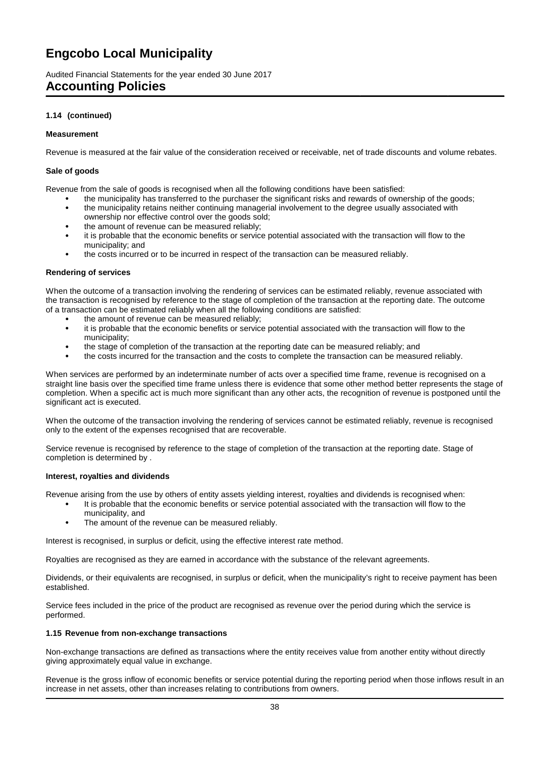Audited Financial Statements for the year ended 30 June 2017 **Accounting Policies**

#### **1.14 (continued)**

#### **Measurement**

Revenue is measured at the fair value of the consideration received or receivable, net of trade discounts and volume rebates.

#### **Sale of goods**

Revenue from the sale of goods is recognised when all the following conditions have been satisfied:

- the municipality has transferred to the purchaser the significant risks and rewards of ownership of the goods;
- the municipality retains neither continuing managerial involvement to the degree usually associated with
- ownership nor effective control over the goods sold;
- the amount of revenue can be measured reliably;
- it is probable that the economic benefits or service potential associated with the transaction will flow to the municipality; and
- the costs incurred or to be incurred in respect of the transaction can be measured reliably.

#### **Rendering of services**

When the outcome of a transaction involving the rendering of services can be estimated reliably, revenue associated with the transaction is recognised by reference to the stage of completion of the transaction at the reporting date. The outcome of a transaction can be estimated reliably when all the following conditions are satisfied:

- the amount of revenue can be measured reliably;
- it is probable that the economic benefits or service potential associated with the transaction will flow to the municipality;
- the stage of completion of the transaction at the reporting date can be measured reliably; and
- the costs incurred for the transaction and the costs to complete the transaction can be measured reliably.

When services are performed by an indeterminate number of acts over a specified time frame, revenue is recognised on a straight line basis over the specified time frame unless there is evidence that some other method better represents the stage of completion. When a specific act is much more significant than any other acts, the recognition of revenue is postponed until the significant act is executed.

When the outcome of the transaction involving the rendering of services cannot be estimated reliably, revenue is recognised only to the extent of the expenses recognised that are recoverable.

Service revenue is recognised by reference to the stage of completion of the transaction at the reporting date. Stage of completion is determined by .

#### **Interest, royalties and dividends**

Revenue arising from the use by others of entity assets yielding interest, royalties and dividends is recognised when:

- It is probable that the economic benefits or service potential associated with the transaction will flow to the municipality, and
- The amount of the revenue can be measured reliably.

Interest is recognised, in surplus or deficit, using the effective interest rate method.

Royalties are recognised as they are earned in accordance with the substance of the relevant agreements.

Dividends, or their equivalents are recognised, in surplus or deficit, when the municipality's right to receive payment has been established.

Service fees included in the price of the product are recognised as revenue over the period during which the service is performed.

#### **1.15 Revenue from non-exchange transactions**

Non-exchange transactions are defined as transactions where the entity receives value from another entity without directly giving approximately equal value in exchange.

Revenue is the gross inflow of economic benefits or service potential during the reporting period when those inflows result in an increase in net assets, other than increases relating to contributions from owners.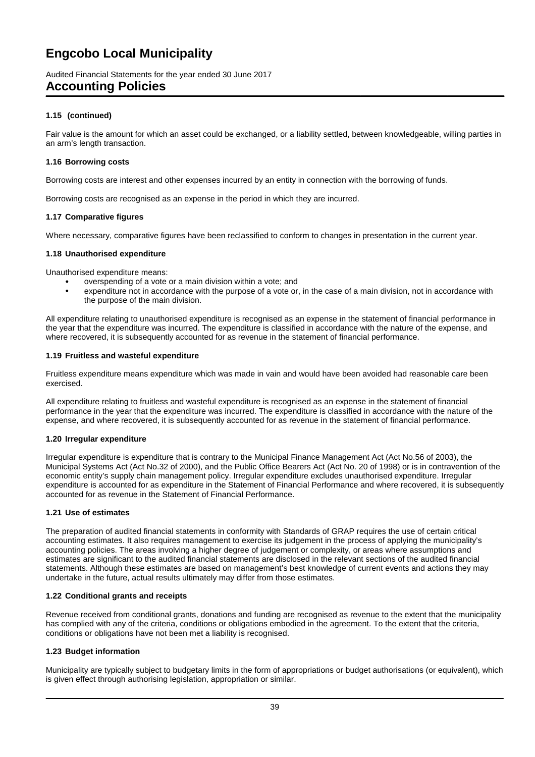### Audited Financial Statements for the year ended 30 June 2017 **Accounting Policies**

#### **1.15 (continued)**

Fair value is the amount for which an asset could be exchanged, or a liability settled, between knowledgeable, willing parties in an arm's length transaction.

#### **1.16 Borrowing costs**

Borrowing costs are interest and other expenses incurred by an entity in connection with the borrowing of funds.

Borrowing costs are recognised as an expense in the period in which they are incurred.

#### **1.17 Comparative figures**

Where necessary, comparative figures have been reclassified to conform to changes in presentation in the current year.

#### **1.18 Unauthorised expenditure**

Unauthorised expenditure means:

- overspending of a vote or a main division within a vote; and
- expenditure not in accordance with the purpose of a vote or, in the case of a main division, not in accordance with the purpose of the main division.

All expenditure relating to unauthorised expenditure is recognised as an expense in the statement of financial performance in the year that the expenditure was incurred. The expenditure is classified in accordance with the nature of the expense, and where recovered, it is subsequently accounted for as revenue in the statement of financial performance.

#### **1.19 Fruitless and wasteful expenditure**

Fruitless expenditure means expenditure which was made in vain and would have been avoided had reasonable care been exercised.

All expenditure relating to fruitless and wasteful expenditure is recognised as an expense in the statement of financial performance in the year that the expenditure was incurred. The expenditure is classified in accordance with the nature of the expense, and where recovered, it is subsequently accounted for as revenue in the statement of financial performance.

#### **1.20 Irregular expenditure**

Irregular expenditure is expenditure that is contrary to the Municipal Finance Management Act (Act No.56 of 2003), the Municipal Systems Act (Act No.32 of 2000), and the Public Office Bearers Act (Act No. 20 of 1998) or is in contravention of the economic entity's supply chain management policy. Irregular expenditure excludes unauthorised expenditure. Irregular expenditure is accounted for as expenditure in the Statement of Financial Performance and where recovered, it is subsequently accounted for as revenue in the Statement of Financial Performance.

#### **1.21 Use of estimates**

The preparation of audited financial statements in conformity with Standards of GRAP requires the use of certain critical accounting estimates. It also requires management to exercise its judgement in the process of applying the municipality's accounting policies. The areas involving a higher degree of judgement or complexity, or areas where assumptions and estimates are significant to the audited financial statements are disclosed in the relevant sections of the audited financial statements. Although these estimates are based on management's best knowledge of current events and actions they may undertake in the future, actual results ultimately may differ from those estimates.

#### **1.22 Conditional grants and receipts**

Revenue received from conditional grants, donations and funding are recognised as revenue to the extent that the municipality has complied with any of the criteria, conditions or obligations embodied in the agreement. To the extent that the criteria, conditions or obligations have not been met a liability is recognised.

#### **1.23 Budget information**

Municipality are typically subject to budgetary limits in the form of appropriations or budget authorisations (or equivalent), which is given effect through authorising legislation, appropriation or similar.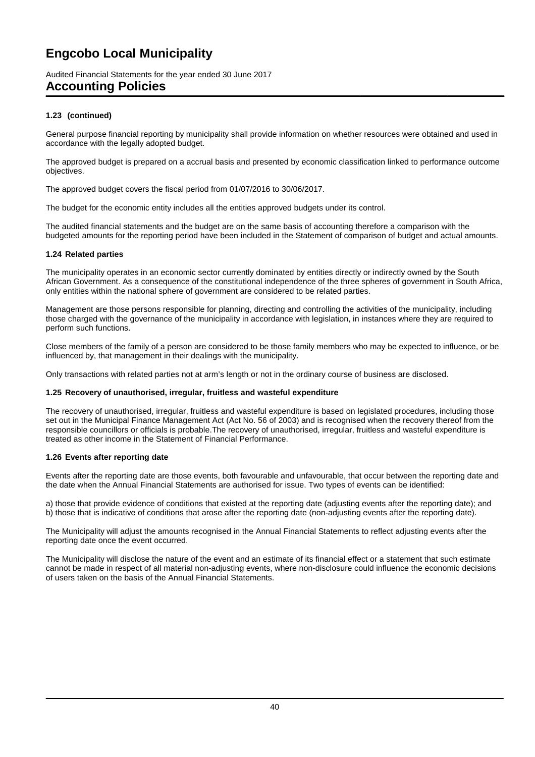### Audited Financial Statements for the year ended 30 June 2017 **Accounting Policies**

#### **1.23 (continued)**

General purpose financial reporting by municipality shall provide information on whether resources were obtained and used in accordance with the legally adopted budget.

The approved budget is prepared on a accrual basis and presented by economic classification linked to performance outcome objectives.

The approved budget covers the fiscal period from 01/07/2016 to 30/06/2017.

The budget for the economic entity includes all the entities approved budgets under its control.

The audited financial statements and the budget are on the same basis of accounting therefore a comparison with the budgeted amounts for the reporting period have been included in the Statement of comparison of budget and actual amounts.

#### **1.24 Related parties**

The municipality operates in an economic sector currently dominated by entities directly or indirectly owned by the South African Government. As a consequence of the constitutional independence of the three spheres of government in South Africa, only entities within the national sphere of government are considered to be related parties.

Management are those persons responsible for planning, directing and controlling the activities of the municipality, including those charged with the governance of the municipality in accordance with legislation, in instances where they are required to perform such functions.

Close members of the family of a person are considered to be those family members who may be expected to influence, or be influenced by, that management in their dealings with the municipality.

Only transactions with related parties not at arm's length or not in the ordinary course of business are disclosed.

#### **1.25 Recovery of unauthorised, irregular, fruitless and wasteful expenditure**

The recovery of unauthorised, irregular, fruitless and wasteful expenditure is based on legislated procedures, including those set out in the Municipal Finance Management Act (Act No. 56 of 2003) and is recognised when the recovery thereof from the responsible councillors or officials is probable.The recovery of unauthorised, irregular, fruitless and wasteful expenditure is treated as other income in the Statement of Financial Performance.

#### **1.26 Events after reporting date**

Events after the reporting date are those events, both favourable and unfavourable, that occur between the reporting date and the date when the Annual Financial Statements are authorised for issue. Two types of events can be identified:

a) those that provide evidence of conditions that existed at the reporting date (adjusting events after the reporting date); and b) those that is indicative of conditions that arose after the reporting date (non-adjusting events after the reporting date).

The Municipality will adjust the amounts recognised in the Annual Financial Statements to reflect adjusting events after the reporting date once the event occurred.

The Municipality will disclose the nature of the event and an estimate of its financial effect or a statement that such estimate cannot be made in respect of all material non-adjusting events, where non-disclosure could influence the economic decisions of users taken on the basis of the Annual Financial Statements.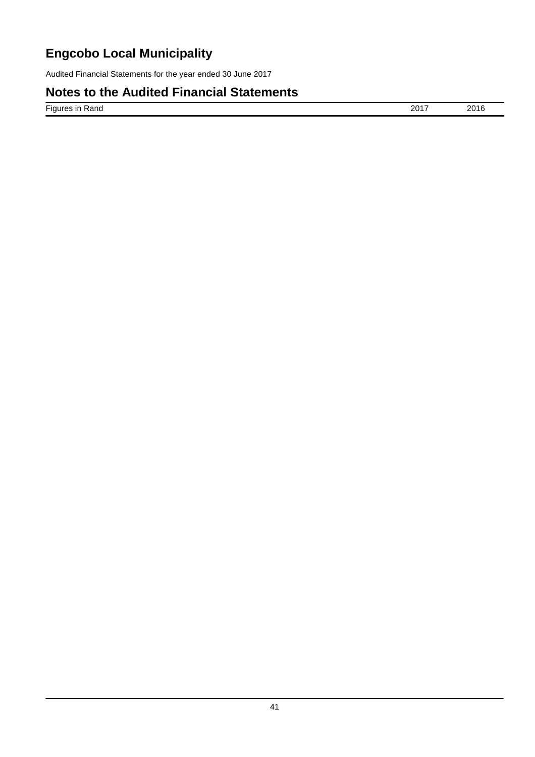Audited Financial Statements for the year ended 30 June 2017

### **Notes to the Audited Financial Statements**

Figures in Rand 2017 2016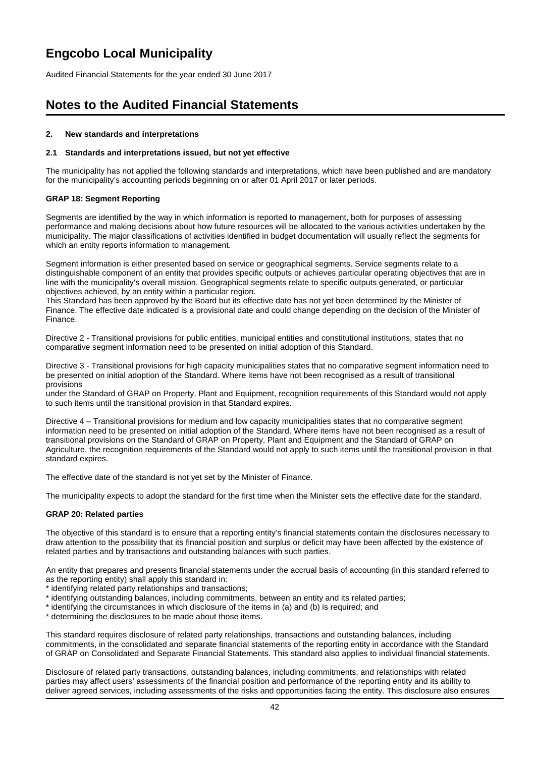Audited Financial Statements for the year ended 30 June 2017

### **Notes to the Audited Financial Statements**

#### **2. New standards and interpretations**

#### **2.1 Standards and interpretations issued, but not yet effective**

The municipality has not applied the following standards and interpretations, which have been published and are mandatory for the municipality's accounting periods beginning on or after 01 April 2017 or later periods.

#### **GRAP 18: Segment Reporting**

Segments are identified by the way in which information is reported to management, both for purposes of assessing performance and making decisions about how future resources will be allocated to the various activities undertaken by the municipality. The major classifications of activities identified in budget documentation will usually reflect the segments for which an entity reports information to management.

Segment information is either presented based on service or geographical segments. Service segments relate to a distinguishable component of an entity that provides specific outputs or achieves particular operating objectives that are in line with the municipality's overall mission. Geographical segments relate to specific outputs generated, or particular objectives achieved, by an entity within a particular region.

This Standard has been approved by the Board but its effective date has not yet been determined by the Minister of Finance. The effective date indicated is a provisional date and could change depending on the decision of the Minister of Finance.

Directive 2 - Transitional provisions for public entities, municipal entities and constitutional institutions, states that no comparative segment information need to be presented on initial adoption of this Standard.

Directive 3 - Transitional provisions for high capacity municipalities states that no comparative segment information need to be presented on initial adoption of the Standard. Where items have not been recognised as a result of transitional provisions

under the Standard of GRAP on Property, Plant and Equipment, recognition requirements of this Standard would not apply to such items until the transitional provision in that Standard expires.

Directive 4 – Transitional provisions for medium and low capacity municipalities states that no comparative segment information need to be presented on initial adoption of the Standard. Where items have not been recognised as a result of transitional provisions on the Standard of GRAP on Property, Plant and Equipment and the Standard of GRAP on Agriculture, the recognition requirements of the Standard would not apply to such items until the transitional provision in that standard expires.

The effective date of the standard is not yet set by the Minister of Finance.

The municipality expects to adopt the standard for the first time when the Minister sets the effective date for the standard.

#### **GRAP 20: Related parties**

The objective of this standard is to ensure that a reporting entity's financial statements contain the disclosures necessary to draw attention to the possibility that its financial position and surplus or deficit may have been affected by the existence of related parties and by transactions and outstanding balances with such parties.

An entity that prepares and presents financial statements under the accrual basis of accounting (in this standard referred to as the reporting entity) shall apply this standard in:

- \* identifying related party relationships and transactions;
- \* identifying outstanding balances, including commitments, between an entity and its related parties;
- \* identifying the circumstances in which disclosure of the items in (a) and (b) is required; and
- \* determining the disclosures to be made about those items.

This standard requires disclosure of related party relationships, transactions and outstanding balances, including commitments, in the consolidated and separate financial statements of the reporting entity in accordance with the Standard of GRAP on Consolidated and Separate Financial Statements. This standard also applies to individual financial statements.

Disclosure of related party transactions, outstanding balances, including commitments, and relationships with related parties may affect users' assessments of the financial position and performance of the reporting entity and its ability to deliver agreed services, including assessments of the risks and opportunities facing the entity. This disclosure also ensures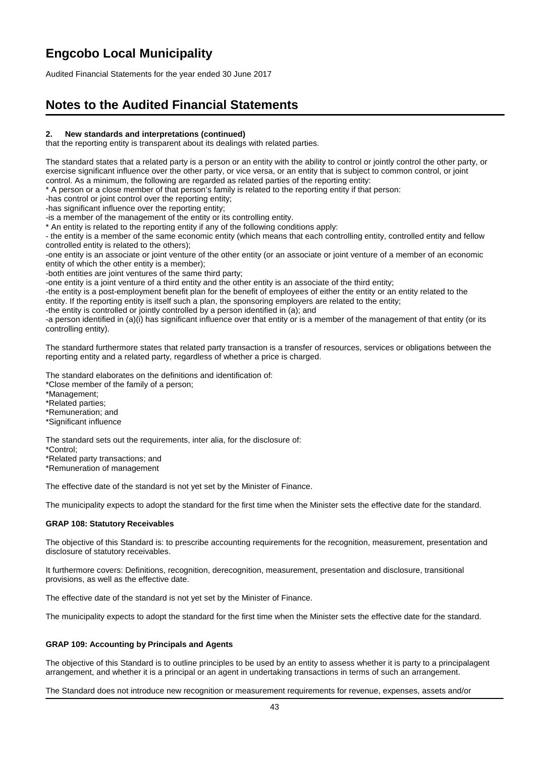Audited Financial Statements for the year ended 30 June 2017

### **Notes to the Audited Financial Statements**

#### **2. New standards and interpretations (continued)**

that the reporting entity is transparent about its dealings with related parties.

The standard states that a related party is a person or an entity with the ability to control or jointly control the other party, or exercise significant influence over the other party, or vice versa, or an entity that is subject to common control, or joint control. As a minimum, the following are regarded as related parties of the reporting entity:

\* A person or a close member of that person's family is related to the reporting entity if that person:

-has control or joint control over the reporting entity;

-has significant influence over the reporting entity;

-is a member of the management of the entity or its controlling entity.

\* An entity is related to the reporting entity if any of the following conditions apply:

- the entity is a member of the same economic entity (which means that each controlling entity, controlled entity and fellow controlled entity is related to the others);

-one entity is an associate or joint venture of the other entity (or an associate or joint venture of a member of an economic entity of which the other entity is a member);

-both entities are joint ventures of the same third party;

-one entity is a joint venture of a third entity and the other entity is an associate of the third entity;

-the entity is a post-employment benefit plan for the benefit of employees of either the entity or an entity related to the entity. If the reporting entity is itself such a plan, the sponsoring employers are related to the entity;

-the entity is controlled or jointly controlled by a person identified in (a); and

-a person identified in (a)(i) has significant influence over that entity or is a member of the management of that entity (or its controlling entity).

The standard furthermore states that related party transaction is a transfer of resources, services or obligations between the reporting entity and a related party, regardless of whether a price is charged.

The standard elaborates on the definitions and identification of:

\*Close member of the family of a person;

\*Management;

\*Related parties;

\*Remuneration; and

\*Significant influence

The standard sets out the requirements, inter alia, for the disclosure of:

\*Control;

\*Related party transactions; and

\*Remuneration of management

The effective date of the standard is not yet set by the Minister of Finance.

The municipality expects to adopt the standard for the first time when the Minister sets the effective date for the standard.

#### **GRAP 108: Statutory Receivables**

The objective of this Standard is: to prescribe accounting requirements for the recognition, measurement, presentation and disclosure of statutory receivables.

It furthermore covers: Definitions, recognition, derecognition, measurement, presentation and disclosure, transitional provisions, as well as the effective date.

The effective date of the standard is not yet set by the Minister of Finance.

The municipality expects to adopt the standard for the first time when the Minister sets the effective date for the standard.

#### **GRAP 109: Accounting by Principals and Agents**

The objective of this Standard is to outline principles to be used by an entity to assess whether it is party to a principalagent arrangement, and whether it is a principal or an agent in undertaking transactions in terms of such an arrangement.

The Standard does not introduce new recognition or measurement requirements for revenue, expenses, assets and/or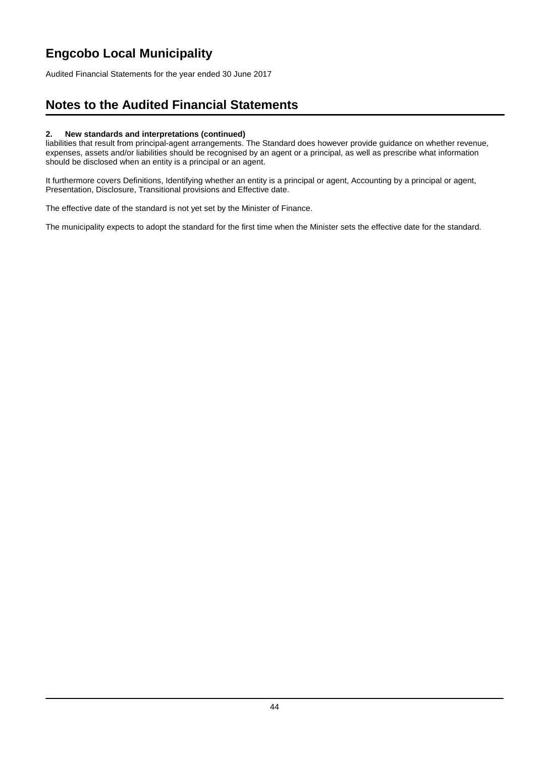Audited Financial Statements for the year ended 30 June 2017

# **Notes to the Audited Financial Statements**

#### **2. New standards and interpretations (continued)**

liabilities that result from principal-agent arrangements. The Standard does however provide guidance on whether revenue, expenses, assets and/or liabilities should be recognised by an agent or a principal, as well as prescribe what information should be disclosed when an entity is a principal or an agent.

It furthermore covers Definitions, Identifying whether an entity is a principal or agent, Accounting by a principal or agent, Presentation, Disclosure, Transitional provisions and Effective date.

The effective date of the standard is not yet set by the Minister of Finance.

The municipality expects to adopt the standard for the first time when the Minister sets the effective date for the standard.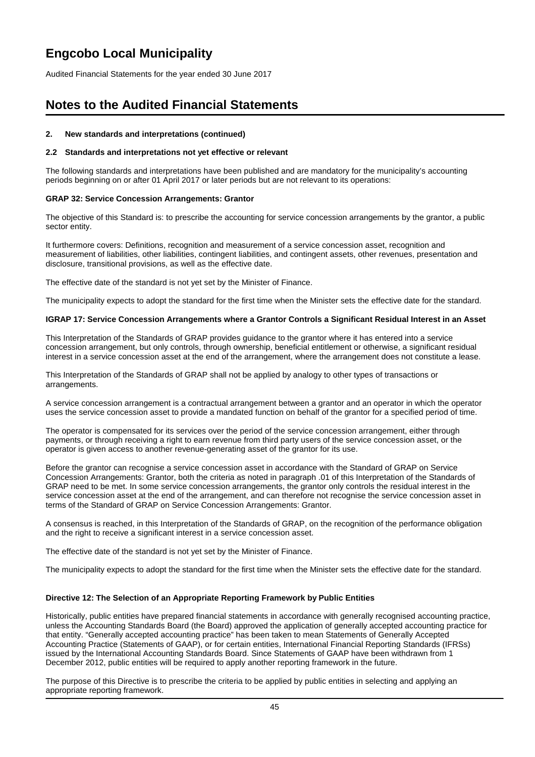Audited Financial Statements for the year ended 30 June 2017

# **Notes to the Audited Financial Statements**

#### **2. New standards and interpretations (continued)**

#### **2.2 Standards and interpretations not yet effective or relevant**

The following standards and interpretations have been published and are mandatory for the municipality's accounting periods beginning on or after 01 April 2017 or later periods but are not relevant to its operations:

#### **GRAP 32: Service Concession Arrangements: Grantor**

The objective of this Standard is: to prescribe the accounting for service concession arrangements by the grantor, a public sector entity.

It furthermore covers: Definitions, recognition and measurement of a service concession asset, recognition and measurement of liabilities, other liabilities, contingent liabilities, and contingent assets, other revenues, presentation and disclosure, transitional provisions, as well as the effective date.

The effective date of the standard is not yet set by the Minister of Finance.

The municipality expects to adopt the standard for the first time when the Minister sets the effective date for the standard.

#### **IGRAP 17: Service Concession Arrangements where a Grantor Controls a Significant Residual Interest in an Asset**

This Interpretation of the Standards of GRAP provides guidance to the grantor where it has entered into a service concession arrangement, but only controls, through ownership, beneficial entitlement or otherwise, a significant residual interest in a service concession asset at the end of the arrangement, where the arrangement does not constitute a lease.

This Interpretation of the Standards of GRAP shall not be applied by analogy to other types of transactions or arrangements.

A service concession arrangement is a contractual arrangement between a grantor and an operator in which the operator uses the service concession asset to provide a mandated function on behalf of the grantor for a specified period of time.

The operator is compensated for its services over the period of the service concession arrangement, either through payments, or through receiving a right to earn revenue from third party users of the service concession asset, or the operator is given access to another revenue-generating asset of the grantor for its use.

Before the grantor can recognise a service concession asset in accordance with the Standard of GRAP on Service Concession Arrangements: Grantor, both the criteria as noted in paragraph .01 of this Interpretation of the Standards of GRAP need to be met. In some service concession arrangements, the grantor only controls the residual interest in the service concession asset at the end of the arrangement, and can therefore not recognise the service concession asset in terms of the Standard of GRAP on Service Concession Arrangements: Grantor.

A consensus is reached, in this Interpretation of the Standards of GRAP, on the recognition of the performance obligation and the right to receive a significant interest in a service concession asset.

The effective date of the standard is not yet set by the Minister of Finance.

The municipality expects to adopt the standard for the first time when the Minister sets the effective date for the standard.

#### **Directive 12: The Selection of an Appropriate Reporting Framework by Public Entities**

Historically, public entities have prepared financial statements in accordance with generally recognised accounting practice, unless the Accounting Standards Board (the Board) approved the application of generally accepted accounting practice for that entity. "Generally accepted accounting practice" has been taken to mean Statements of Generally Accepted Accounting Practice (Statements of GAAP), or for certain entities, International Financial Reporting Standards (IFRSs) issued by the International Accounting Standards Board. Since Statements of GAAP have been withdrawn from 1 December 2012, public entities will be required to apply another reporting framework in the future.

The purpose of this Directive is to prescribe the criteria to be applied by public entities in selecting and applying an appropriate reporting framework.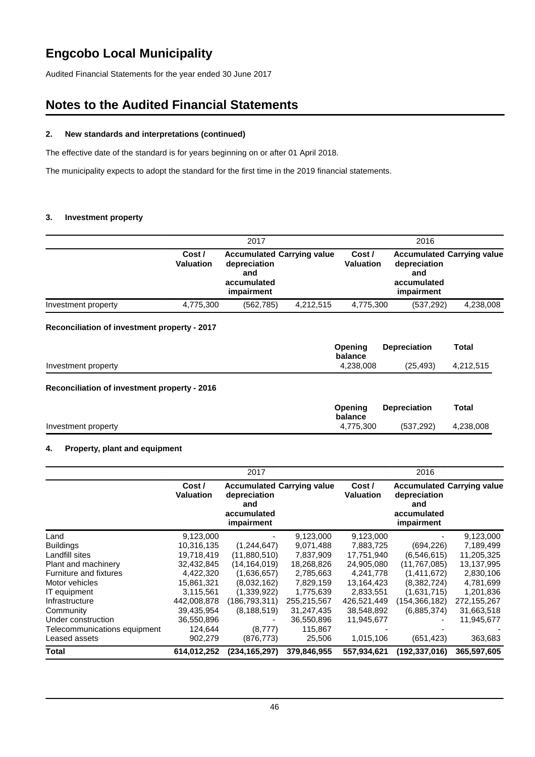Audited Financial Statements for the year ended 30 June 2017

## **Notes to the Audited Financial Statements**

#### **2. New standards and interpretations (continued)**

The effective date of the standard is for years beginning on or after 01 April 2018.

The municipality expects to adopt the standard for the first time in the 2019 financial statements.

#### **3. Investment property**

|                                              |                            | 2017                                                                                  |           |                     | 2016                                             |                                   |
|----------------------------------------------|----------------------------|---------------------------------------------------------------------------------------|-----------|---------------------|--------------------------------------------------|-----------------------------------|
|                                              | Cost /<br><b>Valuation</b> | <b>Accumulated Carrying value</b><br>depreciation<br>and<br>accumulated<br>impairment |           | Cost /<br>Valuation | depreciation<br>and<br>accumulated<br>impairment | <b>Accumulated Carrying value</b> |
| Investment property                          | 4,775,300                  | (562,785)                                                                             | 4,212,515 | 4,775,300           | (537,292)                                        | 4,238,008                         |
| Reconciliation of investment property - 2017 |                            |                                                                                       |           |                     |                                                  |                                   |
|                                              |                            |                                                                                       |           | Opening<br>balance  | <b>Depreciation</b>                              | Total                             |
| Investment property                          |                            |                                                                                       |           | 4,238,008           | (25, 493)                                        | 4,212,515                         |
| Reconciliation of investment property - 2016 |                            |                                                                                       |           |                     |                                                  |                                   |
|                                              |                            |                                                                                       |           | Opening<br>balance  | <b>Depreciation</b>                              | Total                             |
| Investment property                          |                            |                                                                                       |           | 4,775,300           | (537, 292)                                       | 4,238,008                         |

#### **4. Property, plant and equipment**

|                               |                            | 2017                                                                                  |             |                            | 2016                                             |                                   |
|-------------------------------|----------------------------|---------------------------------------------------------------------------------------|-------------|----------------------------|--------------------------------------------------|-----------------------------------|
|                               | Cost /<br><b>Valuation</b> | <b>Accumulated Carrying value</b><br>depreciation<br>and<br>accumulated<br>impairment |             | Cost /<br><b>Valuation</b> | depreciation<br>and<br>accumulated<br>impairment | <b>Accumulated Carrying value</b> |
| Land                          | 9,123,000                  |                                                                                       | 9,123,000   | 9,123,000                  |                                                  | 9,123,000                         |
| <b>Buildings</b>              | 10,316,135                 | (1,244,647)                                                                           | 9,071,488   | 7,883,725                  | (694, 226)                                       | 7,189,499                         |
| Landfill sites                | 19,718,419                 | (11,880,510)                                                                          | 7,837,909   | 17,751,940                 | (6,546,615)                                      | 11,205,325                        |
| Plant and machinery           | 32,432,845                 | (14, 164, 019)                                                                        | 18,268,826  | 24,905,080                 | (11, 767, 085)                                   | 13,137,995                        |
| <b>Furniture and fixtures</b> | 4,422,320                  | (1,636,657)                                                                           | 2,785,663   | 4,241,778                  | (1,411,672)                                      | 2,830,106                         |
| Motor vehicles                | 15,861,321                 | (8,032,162)                                                                           | 7,829,159   | 13,164,423                 | (8,382,724)                                      | 4,781,699                         |
| IT equipment                  | 3,115,561                  | (1,339,922)                                                                           | 1,775,639   | 2,833,551                  | (1,631,715)                                      | 1,201,836                         |
| Infrastructure                | 442,008,878                | (186,793,311)                                                                         | 255,215,567 | 426,521,449                | (154,366,182)                                    | 272,155,267                       |
| Community                     | 39,435,954                 | (8, 188, 519)                                                                         | 31,247,435  | 38,548,892                 | (6,885,374)                                      | 31,663,518                        |
| Under construction            | 36,550,896                 |                                                                                       | 36,550,896  | 11,945,677                 |                                                  | 11,945,677                        |
| Telecommunications equipment  | 124,644                    | (8,777)                                                                               | 115,867     |                            |                                                  |                                   |
| Leased assets                 | 902,279                    | (876, 773)                                                                            | 25,506      | 1,015,106                  | (651, 423)                                       | 363,683                           |
| Total                         | 614,012,252                | (234,165,297)                                                                         | 379,846,955 | 557,934,621                | (192,337,016)                                    | 365,597,605                       |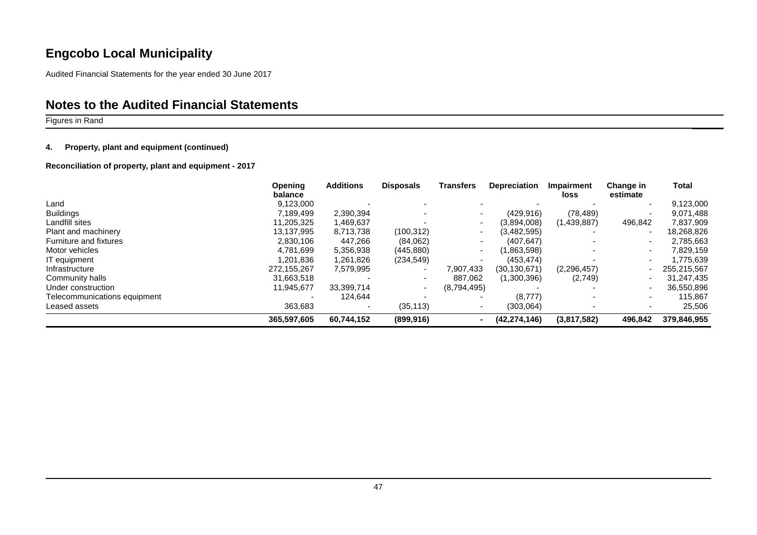Audited Financial Statements for the year ended 30 June 2017

### **Notes to the Audited Financial Statements**

Figures in Rand

#### **4. Property, plant and equipment (continued)**

**Reconciliation of property, plant and equipment - 2017**

|                              | <b>Opening</b><br>balance | <b>Additions</b> | <b>Disposals</b>         | Transfers                | <b>Depreciation</b> | <b>Impairment</b><br>loss | Change in<br>estimate    | Total       |
|------------------------------|---------------------------|------------------|--------------------------|--------------------------|---------------------|---------------------------|--------------------------|-------------|
| Land                         | 9,123,000                 |                  |                          |                          |                     |                           | $\overline{\phantom{0}}$ | 9,123,000   |
| <b>Buildings</b>             | 7.189.499                 | 2,390,394        |                          |                          | (429, 916)          | (78, 489)                 |                          | 9,071,488   |
| Landfill sites               | 11,205,325                | 1,469,637        |                          |                          | (3.894.008)         | (1,439,887)               | 496,842                  | 7,837,909   |
| Plant and machinery          | 13.137.995                | 8,713,738        | (100,312)                | $\overline{\phantom{0}}$ | (3,482,595)         |                           | $\overline{\phantom{0}}$ | 18,268,826  |
| Furniture and fixtures       | 2,830,106                 | 447,266          | (84,062)                 |                          | (407.647)           |                           | $\overline{\phantom{0}}$ | 2,785,663   |
| Motor vehicles               | 4.781.699                 | 5,356,938        | (445, 880)               |                          | (1,863,598)         |                           | ٠                        | 7,829,159   |
| IT equipment                 | 1.201.836                 | 1,261,826        | (234, 549)               |                          | (453, 474)          |                           |                          | 1,775,639   |
| Infrastructure               | 272,155,267               | 7,579,995        | $\overline{\phantom{a}}$ | 7,907,433                | (30, 130, 671)      | (2, 296, 457)             |                          | 255,215,567 |
| Community halls              | 31.663.518                |                  |                          | 887.062                  | (1,300,396)         | (2,749)                   | $\overline{\phantom{0}}$ | 31,247,435  |
| Under construction           | 11,945,677                | 33,399,714       |                          | (8,794,495)              |                     |                           |                          | 36,550,896  |
| Telecommunications equipment |                           | 124.644          |                          |                          | (8,777)             |                           |                          | 115,867     |
| Leased assets                | 363,683                   | ٠                | (35, 113)                |                          | (303,064)           |                           | $\overline{\phantom{0}}$ | 25,506      |
|                              | 365.597.605               | 60,744,152       | (899, 916)               |                          | (42, 274, 146)      | (3,817,582)               | 496.842                  | 379,846,955 |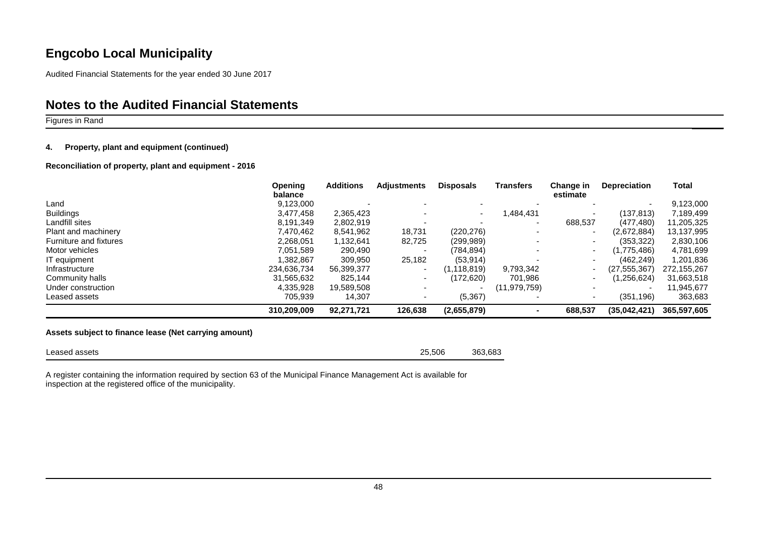Audited Financial Statements for the year ended 30 June 2017

### **Notes to the Audited Financial Statements**

Figures in Rand

#### **4. Property, plant and equipment (continued)**

**Reconciliation of property, plant and equipment - 2016**

|                        | <b>Opening</b><br>balance | <b>Additions</b> | <b>Adjustments</b>       | <b>Disposals</b>         | Transfers                | Change in<br>estimate    | <b>Depreciation</b> | <b>Total</b> |
|------------------------|---------------------------|------------------|--------------------------|--------------------------|--------------------------|--------------------------|---------------------|--------------|
| Land                   | 9,123,000                 |                  |                          |                          |                          |                          |                     | 9,123,000    |
| <b>Buildings</b>       | 3,477,458                 | 2,365,423        |                          | $\overline{\phantom{0}}$ | 1,484,431                | $\overline{\phantom{0}}$ | (137, 813)          | 7,189,499    |
| Landfill sites         | 8.191.349                 | 2.802.919        |                          |                          | ٠                        | 688,537                  | (477, 480)          | 11,205,325   |
| Plant and machinery    | 7,470,462                 | 8,541,962        | 18,731                   | (220, 276)               |                          | $\overline{\phantom{a}}$ | (2,672,884)         | 13,137,995   |
| Furniture and fixtures | 2,268,051                 | 1,132,641        | 82,725                   | (299, 989)               |                          | $\sim$                   | (353, 322)          | 2,830,106    |
| Motor vehicles         | 7.051.589                 | 290,490          | $\overline{\phantom{0}}$ | (784,894)                |                          |                          | (1,775,486)         | 4,781,699    |
| IT equipment           | 382.867.ا                 | 309.950          | 25,182                   | (53, 914)                |                          |                          | (462.249)           | 1,201,836    |
| Infrastructure         | 234.636.734               | 56,399,377       | $\overline{\phantom{0}}$ | (1, 118, 819)            | 9,793,342                |                          | (27, 555, 367)      | 272,155,267  |
| Community halls        | 31,565,632                | 825,144          |                          | (172, 620)               | 701.986                  |                          | (1,256,624)         | 31,663,518   |
| Under construction     | 4,335,928                 | 19,589,508       |                          |                          | (11, 979, 759)           |                          |                     | 11.945.677   |
| Leased assets          | 705.939                   | 14,307           |                          | (5,367)                  |                          | ۰                        | (351, 196)          | 363,683      |
|                        | 310,209,009               | 92,271,721       | 126,638                  | (2,655,879)              | $\overline{\phantom{0}}$ | 688,537                  | (35,042,421)        | 365,597,605  |

#### **Assets subject to finance lease (Net carrying amount)**

| ∟eased |        |         |
|--------|--------|---------|
| assets | 25.506 | 363.683 |

A register containing the information required by section 63 of the Municipal Finance Management Act is available for inspection at the registered office of the municipality.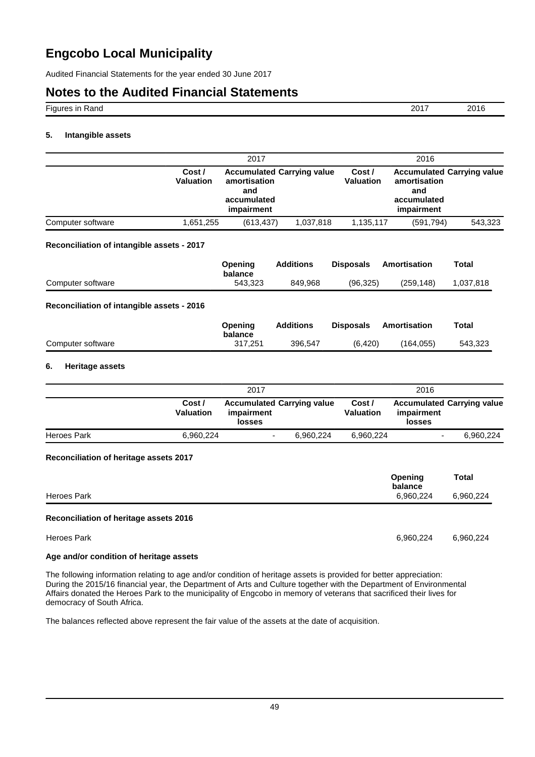Audited Financial Statements for the year ended 30 June 2017

### **Notes to the Audited Financial Statements**

| --                                |                 |   |  |
|-----------------------------------|-----------------|---|--|
| Fiaur<br>ır<br>ro c<br>m<br>nally | つへっ<br>້<br>. . | . |  |
|                                   |                 |   |  |

#### **5. Intangible assets**

|                   |                            | 2017                                                                                  |           |                            | 2016                                             |                                   |
|-------------------|----------------------------|---------------------------------------------------------------------------------------|-----------|----------------------------|--------------------------------------------------|-----------------------------------|
|                   | Cost /<br><b>Valuation</b> | <b>Accumulated Carrying value</b><br>amortisation<br>and<br>accumulated<br>impairment |           | Cost /<br><b>Valuation</b> | amortisation<br>and<br>accumulated<br>impairment | <b>Accumulated Carrying value</b> |
| Computer software | 1,651,255                  | (613, 437)                                                                            | 1.037.818 | 1,135,117                  | (591, 794)                                       | 543,323                           |

#### **Reconciliation of intangible assets - 2017**

|                   | Opening<br>balance | <b>Additions</b> | <b>Disposals</b> | Amortisation | Total     |
|-------------------|--------------------|------------------|------------------|--------------|-----------|
| Computer software | 543.323            | 849.968          | (96, 325)        | (259.148)    | 1.037.818 |
|                   |                    |                  |                  |              |           |

#### **Reconciliation of intangible assets - 2016**

|                   | Opening<br>balance | <b>Additions</b> | <b>Disposals</b> | Amortisation | Total   |
|-------------------|--------------------|------------------|------------------|--------------|---------|
| Computer software | 317.251            | 396.547          | (6.420)          | (164.055)    | 543.323 |

#### **6. Heritage assets**

|             |                            | 2017                        |                                   |                            | 2016                        |                                   |
|-------------|----------------------------|-----------------------------|-----------------------------------|----------------------------|-----------------------------|-----------------------------------|
|             | Cost /<br><b>Valuation</b> | impairment<br><b>losses</b> | <b>Accumulated Carrying value</b> | Cost /<br><b>Valuation</b> | impairment<br><b>losses</b> | <b>Accumulated Carrying value</b> |
| Heroes Park | 6,960,224                  |                             | 6.960.224                         | 6,960,224                  | -                           | 6.960.224                         |

#### **Reconciliation of heritage assets 2017**

| Heroes Park                            | Opening<br>balance<br>6,960,224 | Total<br>6,960,224 |
|----------------------------------------|---------------------------------|--------------------|
| Reconciliation of heritage assets 2016 |                                 |                    |
| <b>Heroes Park</b>                     | 6,960,224                       | 6,960,224          |

#### **Age and/or condition of heritage assets**

The following information relating to age and/or condition of heritage assets is provided for better appreciation: During the 2015/16 financial year, the Department of Arts and Culture together with the Department of Environmental Affairs donated the Heroes Park to the municipality of Engcobo in memory of veterans that sacrificed their lives for democracy of South Africa.

The balances reflected above represent the fair value of the assets at the date of acquisition.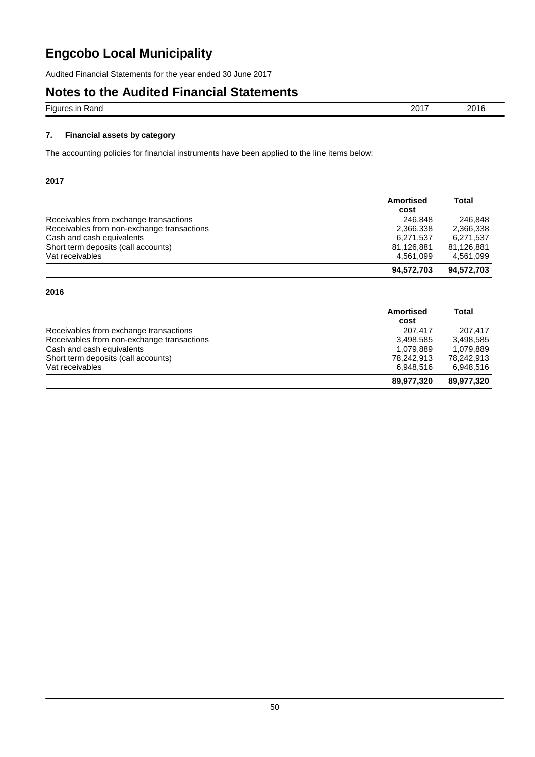Audited Financial Statements for the year ended 30 June 2017

### **Notes to the Audited Financial Statements**

|--|

### **7. Financial assets by category**

The accounting policies for financial instruments have been applied to the line items below:

#### **2017**

|                                            | <b>Amortised</b> | Total      |
|--------------------------------------------|------------------|------------|
|                                            | cost             |            |
| Receivables from exchange transactions     | 246.848          | 246,848    |
| Receivables from non-exchange transactions | 2,366,338        | 2.366.338  |
| Cash and cash equivalents                  | 6,271,537        | 6,271,537  |
| Short term deposits (call accounts)        | 81.126.881       | 81,126,881 |
| Vat receivables                            | 4.561.099        | 4.561.099  |
|                                            | 94,572,703       | 94,572,703 |

#### **2016**

|                                            | <b>Amortised</b><br>cost | Total      |
|--------------------------------------------|--------------------------|------------|
| Receivables from exchange transactions     | 207.417                  | 207.417    |
| Receivables from non-exchange transactions | 3,498,585                | 3.498.585  |
| Cash and cash equivalents                  | 1.079.889                | 1.079.889  |
| Short term deposits (call accounts)        | 78,242,913               | 78,242,913 |
| Vat receivables                            | 6.948.516                | 6.948.516  |
|                                            | 89,977,320               | 89,977,320 |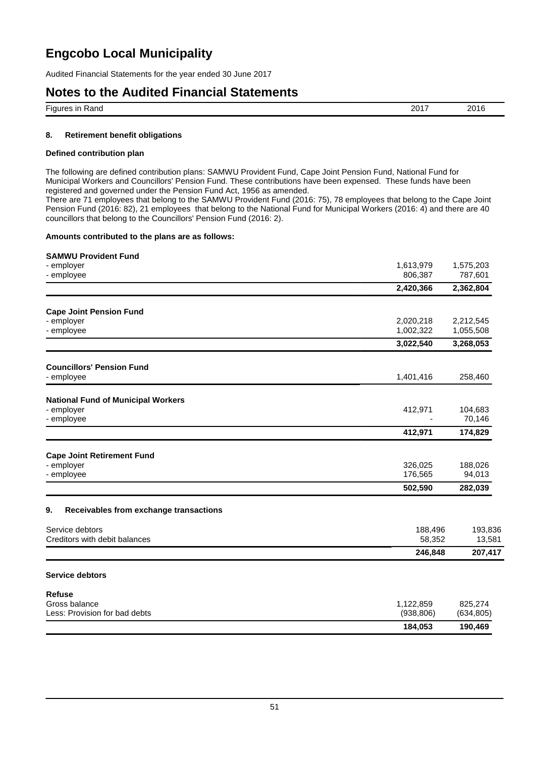Audited Financial Statements for the year ended 30 June 2017

### **Notes to the Audited Financial Statements**

| $\overline{\phantom{a}}$<br>Rand<br><b>Figures</b><br>ın | 2017         | 2016     |
|----------------------------------------------------------|--------------|----------|
|                                                          | $-0.1$<br>-- | $\sim$ . |

#### **8. Retirement benefit obligations**

#### **Defined contribution plan**

The following are defined contribution plans: SAMWU Provident Fund, Cape Joint Pension Fund, National Fund for Municipal Workers and Councillors' Pension Fund. These contributions have been expensed. These funds have been registered and governed under the Pension Fund Act, 1956 as amended.

There are 71 employees that belong to the SAMWU Provident Fund (2016: 75), 78 employees that belong to the Cape Joint Pension Fund (2016: 82), 21 employees that belong to the National Fund for Municipal Workers (2016: 4) and there are 40 councillors that belong to the Councillors' Pension Fund (2016: 2).

#### **Amounts contributed to the plans are as follows:**

#### **SAMWU Provident Fund**

|                                                                       | 184,053                 | 190,469                |
|-----------------------------------------------------------------------|-------------------------|------------------------|
| <b>Refuse</b><br>Gross balance<br>Less: Provision for bad debts       | 1,122,859<br>(938, 806) | 825,274<br>(634, 805)  |
| <b>Service debtors</b>                                                |                         |                        |
|                                                                       | 246,848                 | 207,417                |
| Service debtors<br>Creditors with debit balances                      | 188,496<br>58,352       | 193,836<br>13,581      |
| 9.<br>Receivables from exchange transactions                          |                         |                        |
|                                                                       | 502,590                 | 282,039                |
| <b>Cape Joint Retirement Fund</b><br>- employer<br>- employee         | 326,025<br>176,565      | 188,026<br>94,013      |
|                                                                       | 412,971                 | 174,829                |
| <b>National Fund of Municipal Workers</b><br>- employer<br>- employee | 412,971                 | 104,683<br>70,146      |
| <b>Councillors' Pension Fund</b><br>- employee                        | 1,401,416               | 258,460                |
|                                                                       | 3,022,540               | 3,268,053              |
| <b>Cape Joint Pension Fund</b><br>- employer<br>- employee            | 2,020,218<br>1,002,322  | 2,212,545<br>1,055,508 |
|                                                                       | 2,420,366               | 2,362,804              |
| - employer<br>- employee                                              | 1,613,979<br>806,387    | 1,575,203<br>787,601   |
|                                                                       |                         |                        |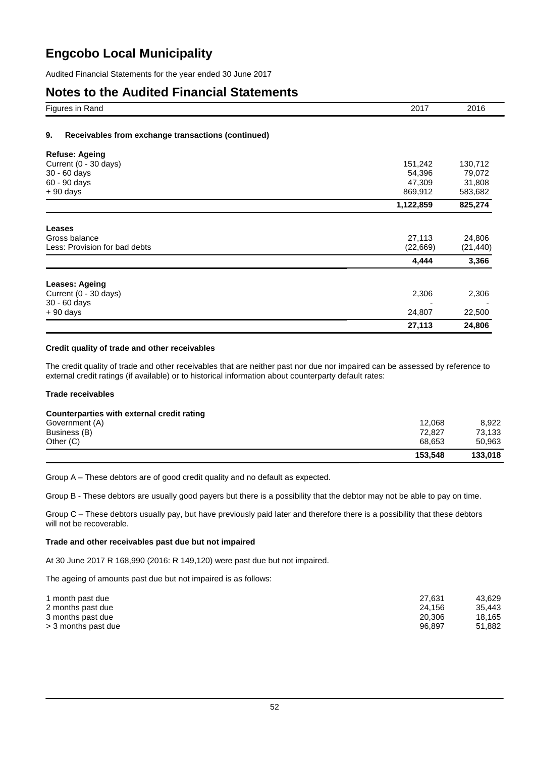Audited Financial Statements for the year ended 30 June 2017

### **Notes to the Audited Financial Statements**

| Figures in Rand                                          | 2017      | 2016      |
|----------------------------------------------------------|-----------|-----------|
| Receivables from exchange transactions (continued)<br>9. |           |           |
| <b>Refuse: Ageing</b>                                    |           |           |
| Current (0 - 30 days)                                    | 151,242   | 130,712   |
| 30 - 60 days                                             | 54,396    | 79,072    |
| 60 - 90 days                                             | 47,309    | 31,808    |
| $+90$ days                                               | 869,912   | 583,682   |
|                                                          | 1,122,859 | 825,274   |
| Leases                                                   |           |           |
| Gross balance                                            | 27,113    | 24,806    |
| Less: Provision for bad debts                            | (22, 669) | (21, 440) |
|                                                          | 4,444     | 3,366     |
| <b>Leases: Ageing</b>                                    |           |           |
| Current (0 - 30 days)                                    | 2,306     | 2,306     |
| 30 - 60 days                                             |           |           |
| $+90$ days                                               | 24,807    | 22,500    |
|                                                          | 27,113    | 24,806    |

#### **Credit quality of trade and other receivables**

The credit quality of trade and other receivables that are neither past nor due nor impaired can be assessed by reference to external credit ratings (if available) or to historical information about counterparty default rates:

#### **Trade receivables**

|                                            | 153.548 | 133.018 |
|--------------------------------------------|---------|---------|
| Other (C)                                  | 68.653  | 50.963  |
| Business (B)                               | 72.827  | 73,133  |
| Government (A)                             | 12.068  | 8.922   |
| Counterparties with external credit rating |         |         |

Group A – These debtors are of good credit quality and no default as expected.

Group B - These debtors are usually good payers but there is a possibility that the debtor may not be able to pay on time.

Group C – These debtors usually pay, but have previously paid later and therefore there is a possibility that these debtors will not be recoverable.

#### **Trade and other receivables past due but not impaired**

At 30 June 2017 R 168,990 (2016: R 149,120) were past due but not impaired.

The ageing of amounts past due but not impaired is as follows:

| 1 month past due                       | 27.631           | 43.629           |
|----------------------------------------|------------------|------------------|
| 2 months past due<br>3 months past due | 24.156<br>20,306 | 35.443<br>18,165 |
| > 3 months past due                    | 96.897           | 51.882           |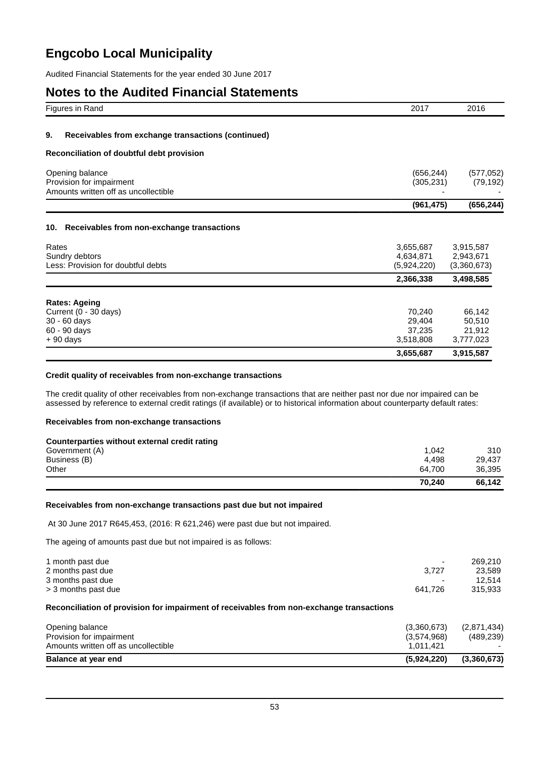Audited Financial Statements for the year ended 30 June 2017

### **Notes to the Audited Financial Statements**

| Figures in Rand                                                                             | 2017                                    | 2016                                    |
|---------------------------------------------------------------------------------------------|-----------------------------------------|-----------------------------------------|
| Receivables from exchange transactions (continued)<br>9.                                    |                                         |                                         |
| Reconciliation of doubtful debt provision                                                   |                                         |                                         |
| Opening balance<br>Provision for impairment<br>Amounts written off as uncollectible         | (656, 244)<br>(305, 231)                | (577, 052)<br>(79, 192)                 |
|                                                                                             | (961, 475)                              | (656, 244)                              |
| Receivables from non-exchange transactions<br>10.                                           |                                         |                                         |
| Rates<br>Sundry debtors<br>Less: Provision for doubtful debts                               | 3,655,687<br>4,634,871<br>(5,924,220)   | 3,915,587<br>2,943,671<br>(3,360,673)   |
|                                                                                             | 2,366,338                               | 3,498,585                               |
| <b>Rates: Ageing</b><br>Current (0 - 30 days)<br>30 - 60 days<br>60 - 90 days<br>$+90$ days | 70,240<br>29,404<br>37,235<br>3,518,808 | 66,142<br>50,510<br>21,912<br>3,777,023 |
|                                                                                             | 3,655,687                               | 3,915,587                               |

#### **Credit quality of receivables from non-exchange transactions**

The credit quality of other receivables from non-exchange transactions that are neither past nor due nor impaired can be assessed by reference to external credit ratings (if available) or to historical information about counterparty default rates:

#### **Receivables from non-exchange transactions**

#### **Counterparties without external credit rating**

| 70,240 | 66,142 |
|--------|--------|
| 64.700 | 36,395 |
| 4.498  | 29,437 |
| 1.042  | 310    |
|        |        |

#### **Receivables from non-exchange transactions past due but not impaired**

At 30 June 2017 R645,453, (2016: R 621,246) were past due but not impaired.

The ageing of amounts past due but not impaired is as follows:

| 1 month past due<br>2 months past due<br>3 months past due<br>> 3 months past due        | 3.727<br>641.726                        | 269.210<br>23,589<br>12.514<br>315,933 |
|------------------------------------------------------------------------------------------|-----------------------------------------|----------------------------------------|
| Reconciliation of provision for impairment of receivables from non-exchange transactions |                                         |                                        |
| Opening balance<br>Provision for impairment<br>Amounts written off as uncollectible      | (3,360,673)<br>(3,574,968)<br>1.011.421 | (2,871,434)<br>(489, 239)              |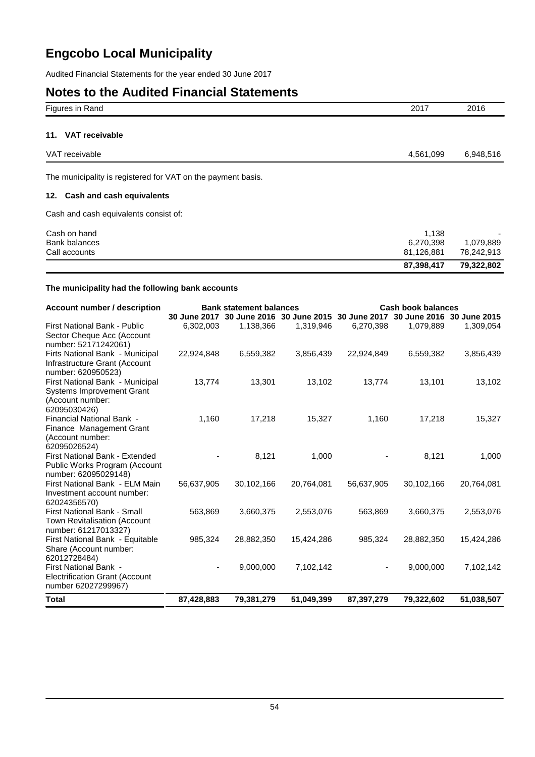Audited Financial Statements for the year ended 30 June 2017

### **Notes to the Audited Financial Statements**

| Figures in Rand                                              | 2017                             | 2016                    |
|--------------------------------------------------------------|----------------------------------|-------------------------|
| 11. VAT receivable                                           |                                  |                         |
| VAT receivable                                               | 4,561,099                        | 6,948,516               |
| The municipality is registered for VAT on the payment basis. |                                  |                         |
| 12. Cash and cash equivalents                                |                                  |                         |
| Cash and cash equivalents consist of:                        |                                  |                         |
| Cash on hand<br><b>Bank balances</b><br>Call accounts        | 1,138<br>6,270,398<br>81,126,881 | 1,079,889<br>78,242,913 |

**87,398,417 79,322,802**

#### **The municipality had the following bank accounts**

| <b>Account number / description</b>                                                                     |            | <b>Bank statement balances</b> | 30 June 2017 30 June 2016 30 June 2015 30 June 2017 30 June 2016 30 June 2015 |            | Cash book balances |            |
|---------------------------------------------------------------------------------------------------------|------------|--------------------------------|-------------------------------------------------------------------------------|------------|--------------------|------------|
| First National Bank - Public<br>Sector Cheque Acc (Account<br>number: 52171242061)                      | 6,302,003  | 1,138,366                      | 1,319,946                                                                     | 6,270,398  | 1,079,889          | 1,309,054  |
| Firts National Bank - Municipal<br>Infrastructure Grant (Account<br>number: 620950523)                  | 22,924,848 | 6,559,382                      | 3,856,439                                                                     | 22,924,849 | 6,559,382          | 3,856,439  |
| First National Bank - Municipal<br><b>Systems Improvement Grant</b><br>(Account number:<br>62095030426) | 13,774     | 13,301                         | 13,102                                                                        | 13,774     | 13,101             | 13,102     |
| Financial National Bank -<br>Finance Management Grant<br>(Account number:<br>62095026524)               | 1,160      | 17,218                         | 15,327                                                                        | 1,160      | 17,218             | 15,327     |
| First National Bank - Extended<br>Public Works Program (Account<br>number: 62095029148)                 |            | 8,121                          | 1,000                                                                         |            | 8,121              | 1,000      |
| First National Bank - ELM Main<br>Investment account number:<br>62024356570)                            | 56,637,905 | 30,102,166                     | 20,764,081                                                                    | 56,637,905 | 30,102,166         | 20,764,081 |
| First National Bank - Small<br>Town Revitalisation (Account<br>number: 61217013327)                     | 563,869    | 3,660,375                      | 2,553,076                                                                     | 563,869    | 3,660,375          | 2,553,076  |
| First National Bank - Equitable<br>Share (Account number:<br>62012728484)                               | 985,324    | 28,882,350                     | 15,424,286                                                                    | 985,324    | 28,882,350         | 15,424,286 |
| First National Bank -<br><b>Electrification Grant (Account</b><br>number 62027299967)                   |            | 9,000,000                      | 7,102,142                                                                     |            | 9,000,000          | 7,102,142  |
| <b>Total</b>                                                                                            | 87,428,883 | 79,381,279                     | 51,049,399                                                                    | 87,397,279 | 79,322,602         | 51,038,507 |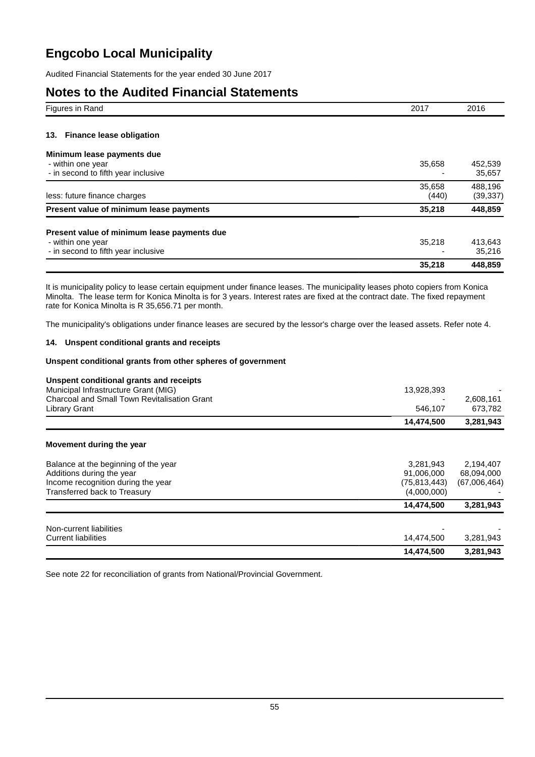Audited Financial Statements for the year ended 30 June 2017

### **Notes to the Audited Financial Statements**

| Figures in Rand                                                                                         | 2017            | 2016                 |
|---------------------------------------------------------------------------------------------------------|-----------------|----------------------|
| <b>Finance lease obligation</b><br>13.                                                                  |                 |                      |
| Minimum lease payments due<br>- within one year<br>- in second to fifth year inclusive                  | 35,658          | 452,539<br>35,657    |
| less: future finance charges                                                                            | 35,658<br>(440) | 488,196<br>(39, 337) |
| Present value of minimum lease payments                                                                 | 35,218          | 448,859              |
| Present value of minimum lease payments due<br>- within one year<br>- in second to fifth year inclusive | 35,218          | 413,643<br>35,216    |
|                                                                                                         | 35,218          | 448,859              |

It is municipality policy to lease certain equipment under finance leases. The municipality leases photo copiers from Konica Minolta. The lease term for Konica Minolta is for 3 years. Interest rates are fixed at the contract date. The fixed repayment rate for Konica Minolta is R 35,656.71 per month.

The municipality's obligations under finance leases are secured by the lessor's charge over the leased assets. Refer note 4.

#### **14. Unspent conditional grants and receipts**

#### **Unspent conditional grants from other spheres of government**

#### **Unspent conditional grants and receipts**

| Municipal Infrastructure Grant (MIG)         | 13,928,393     |              |
|----------------------------------------------|----------------|--------------|
| Charcoal and Small Town Revitalisation Grant |                | 2,608,161    |
| <b>Library Grant</b>                         | 546,107        | 673,782      |
|                                              | 14,474,500     | 3,281,943    |
| Movement during the year                     |                |              |
| Balance at the beginning of the year         | 3,281,943      | 2,194,407    |
| Additions during the year                    | 91,006,000     | 68,094,000   |
| Income recognition during the year           | (75, 813, 443) | (67,006,464) |
| Transferred back to Treasury                 | (4,000,000)    |              |
|                                              | 14,474,500     | 3,281,943    |
| Non-current liabilities                      |                |              |
| <b>Current liabilities</b>                   | 14,474,500     | 3,281,943    |
|                                              | 14,474,500     | 3,281,943    |

See note 22 for reconciliation of grants from National/Provincial Government.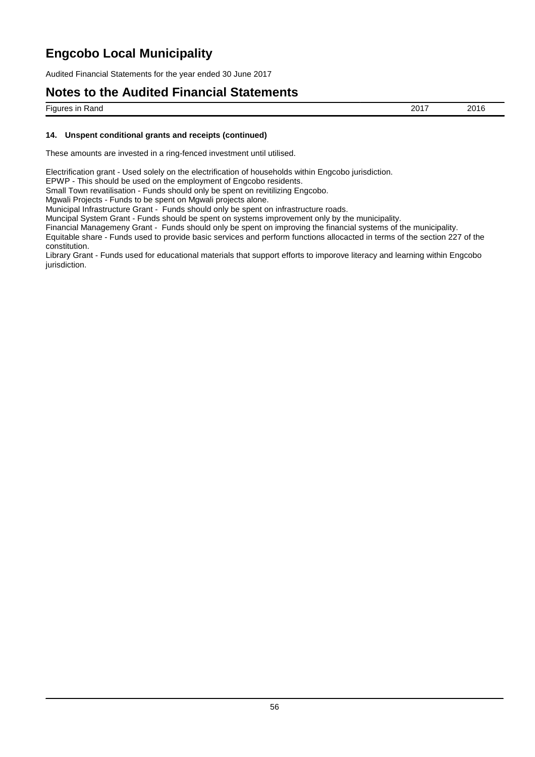Audited Financial Statements for the year ended 30 June 2017

### **Notes to the Audited Financial Statements**

Figures in Rand 2016 2016 2016 2017 2016

#### **14. Unspent conditional grants and receipts (continued)**

These amounts are invested in a ring-fenced investment until utilised.

Electrification grant - Used solely on the electrification of households within Engcobo jurisdiction.

EPWP - This should be used on the employment of Engcobo residents.

Small Town revatilisation - Funds should only be spent on revitilizing Engcobo.

Mgwali Projects - Funds to be spent on Mgwali projects alone.

Municipal Infrastructure Grant - Funds should only be spent on infrastructure roads.

Muncipal System Grant - Funds should be spent on systems improvement only by the municipality.

Financial Managemeny Grant - Funds should only be spent on improving the financial systems of the municipality.

Equitable share - Funds used to provide basic services and perform functions allocacted in terms of the section 227 of the constitution.

Library Grant - Funds used for educational materials that support efforts to imporove literacy and learning within Engcobo jurisdiction.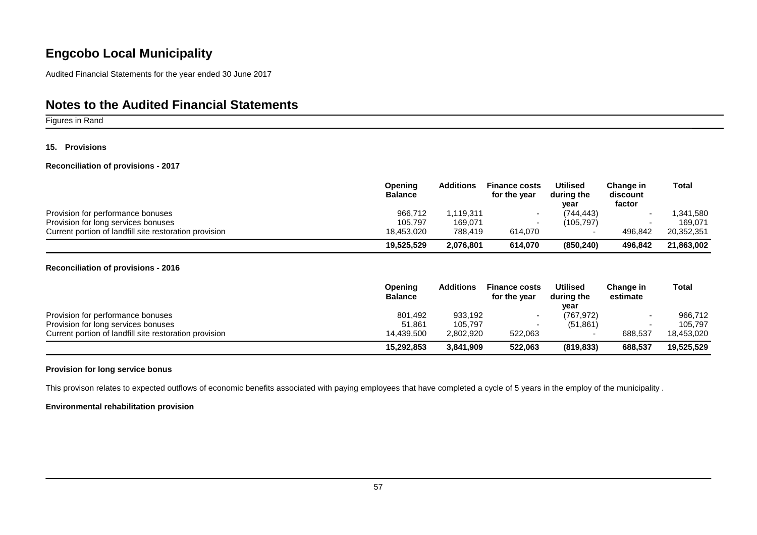Audited Financial Statements for the year ended 30 June 2017

### **Notes to the Audited Financial Statements**

Figures in Rand

#### **15. Provisions**

#### **Reconciliation of provisions - 2017**

|                                                        | Opening<br><b>Balance</b> | <b>Additions</b> | <b>Finance costs</b><br>for the year | <b>Utilised</b><br>during the<br>year | Change in<br>discount<br>factor | Total      |
|--------------------------------------------------------|---------------------------|------------------|--------------------------------------|---------------------------------------|---------------------------------|------------|
| Provision for performance bonuses                      | 966,712                   | 1,119,311        |                                      | (744,443)                             |                                 | 1,341,580  |
| Provision for long services bonuses                    | 105,797                   | 169,071          |                                      | (105, 797)                            |                                 | 169.071    |
| Current portion of landfill site restoration provision | 18.453.020                | 788.419          | 614.070                              |                                       | 496.842                         | 20,352,351 |
|                                                        | 19,525,529                | 2,076,801        | 614,070                              | (850, 240)                            | 496.842                         | 21,863,002 |

#### **Reconciliation of provisions - 2016**

|                                                                          | Opening<br><b>Balance</b> | <b>Additions</b>   | <b>Finance costs</b><br>for the year | <b>Utilised</b><br>during the  | Change in<br>estimate | Total              |
|--------------------------------------------------------------------------|---------------------------|--------------------|--------------------------------------|--------------------------------|-----------------------|--------------------|
| Provision for performance bonuses<br>Provision for long services bonuses | 801,492<br>51.861         | 933,192<br>105.797 | $\overline{\phantom{a}}$             | year<br>(767.972)<br>(51, 861) |                       | 966.712<br>105.797 |
| Current portion of landfill site restoration provision                   | 14.439.500                | 2,802,920          | 522,063                              |                                | 688.537               | 18,453,020         |
|                                                                          | 15.292.853                | 3,841,909          | 522,063                              | (819, 833)                     | 688,537               | 19.525.529         |

#### **Provision for long service bonus**

This provison relates to expected outflows of economic benefits associated with paying employees that have completed a cycle of 5 years in the employ of the municipality .

#### **Environmental rehabilitation provision**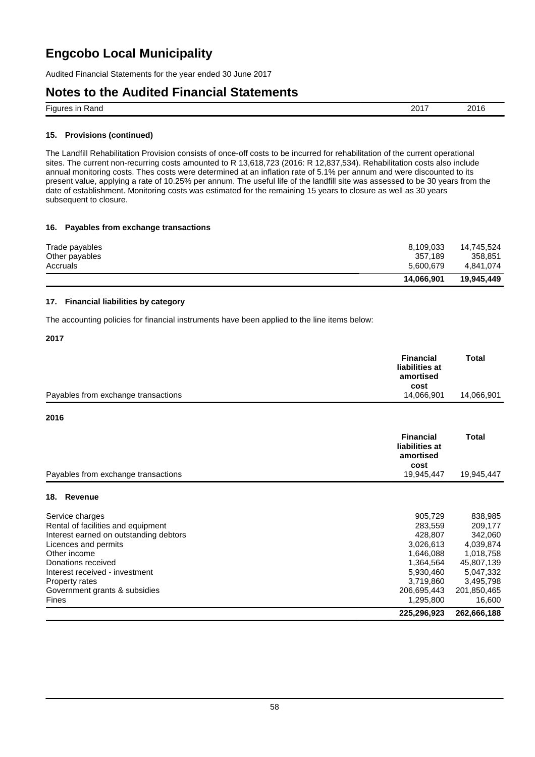Audited Financial Statements for the year ended 30 June 2017

### **Notes to the Audited Financial Statements**

| - -<br>'-iaure_<br>Rand<br>ın | . .<br>ാ∩.<br>$-0$<br>. | זכ<br>.<br><u>Lv</u><br>____ |
|-------------------------------|-------------------------|------------------------------|

#### **15. Provisions (continued)**

The Landfill Rehabilitation Provision consists of once-off costs to be incurred for rehabilitation of the current operational sites. The current non-recurring costs amounted to R 13,618,723 (2016: R 12,837,534). Rehabilitation costs also include annual monitoring costs. Thes costs were determined at an inflation rate of 5.1% per annum and were discounted to its present value, applying a rate of 10.25% per annum. The useful life of the landfill site was assessed to be 30 years from the date of establishment. Monitoring costs was estimated for the remaining 15 years to closure as well as 30 years subsequent to closure.

#### **16. Payables from exchange transactions**

| 5.600.679 | 4.841.074  |
|-----------|------------|
| 357.189   | 358.851    |
| 8.109.033 | 14.745.524 |
|           |            |

#### **17. Financial liabilities by category**

The accounting policies for financial instruments have been applied to the line items below:

#### **2017**

|                                     | <b>Financial</b><br>liabilities at<br>amortised<br>cost | Total      |
|-------------------------------------|---------------------------------------------------------|------------|
| Payables from exchange transactions | 14,066,901                                              | 14,066,901 |

#### **2016**

| Payables from exchange transactions                   | <b>Financial</b><br>liabilities at<br>amortised<br>cost<br>19,945,447 | Total<br>19,945,447 |
|-------------------------------------------------------|-----------------------------------------------------------------------|---------------------|
| <b>Revenue</b><br>18.                                 |                                                                       |                     |
|                                                       |                                                                       |                     |
| Service charges<br>Rental of facilities and equipment | 905,729<br>283,559                                                    | 838,985<br>209,177  |
| Interest earned on outstanding debtors                | 428,807                                                               | 342,060             |
| Licences and permits                                  | 3,026,613                                                             | 4,039,874           |
| Other income                                          | 1,646,088                                                             | 1,018,758           |
| Donations received                                    | 1,364,564                                                             | 45,807,139          |
| Interest received - investment                        | 5,930,460                                                             | 5,047,332           |
| Property rates                                        | 3,719,860                                                             | 3,495,798           |
| Government grants & subsidies                         | 206,695,443                                                           | 201,850,465         |
| <b>Fines</b>                                          | 1,295,800                                                             | 16,600              |
|                                                       | 225,296,923                                                           | 262,666,188         |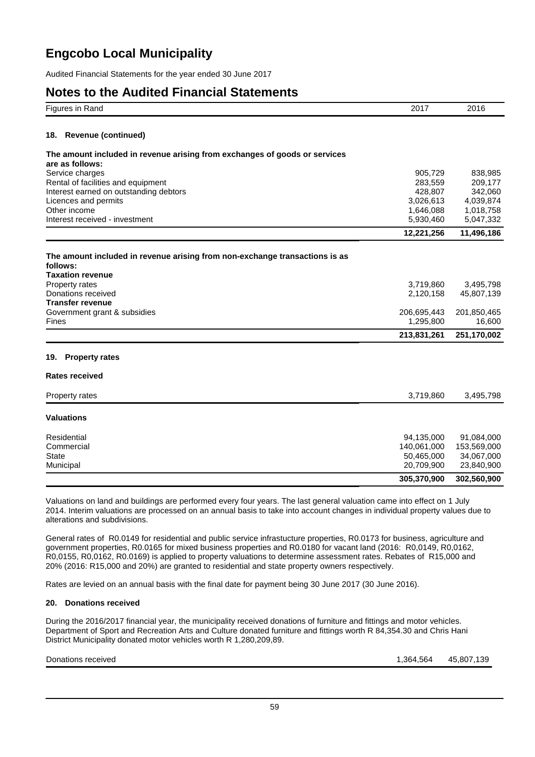Audited Financial Statements for the year ended 30 June 2017

### **Notes to the Audited Financial Statements**

| Figures in Rand                                                              | 2017               | 2016               |
|------------------------------------------------------------------------------|--------------------|--------------------|
| 18. Revenue (continued)                                                      |                    |                    |
| The amount included in revenue arising from exchanges of goods or services   |                    |                    |
| are as follows:                                                              |                    |                    |
| Service charges                                                              | 905,729<br>283,559 | 838,985<br>209,177 |
| Rental of facilities and equipment<br>Interest earned on outstanding debtors | 428,807            | 342,060            |
| Licences and permits                                                         | 3,026,613          | 4,039,874          |
| Other income                                                                 | 1,646,088          | 1,018,758          |
| Interest received - investment                                               | 5,930,460          | 5,047,332          |
|                                                                              | 12,221,256         | 11,496,186         |
|                                                                              |                    |                    |
| The amount included in revenue arising from non-exchange transactions is as  |                    |                    |
| follows:                                                                     |                    |                    |
| <b>Taxation revenue</b>                                                      | 3,719,860          | 3,495,798          |
| Property rates<br>Donations received                                         | 2,120,158          | 45,807,139         |
| <b>Transfer revenue</b>                                                      |                    |                    |
| Government grant & subsidies                                                 | 206,695,443        | 201,850,465        |
| Fines                                                                        | 1,295,800          | 16,600             |
|                                                                              | 213,831,261        | 251,170,002        |
|                                                                              |                    |                    |
| 19. Property rates                                                           |                    |                    |
| <b>Rates received</b>                                                        |                    |                    |
| Property rates                                                               | 3,719,860          | 3,495,798          |
| <b>Valuations</b>                                                            |                    |                    |
| Residential                                                                  | 94,135,000         | 91,084,000         |
| Commercial                                                                   | 140,061,000        | 153,569,000        |
| <b>State</b>                                                                 | 50,465,000         | 34,067,000         |
| Municipal                                                                    | 20,709,900         | 23,840,900         |

Valuations on land and buildings are performed every four years. The last general valuation came into effect on 1 July 2014. Interim valuations are processed on an annual basis to take into account changes in individual property values due to alterations and subdivisions.

General rates of R0.0149 for residential and public service infrastucture properties, R0.0173 for business, agriculture and government properties, R0.0165 for mixed business properties and R0.0180 for vacant land (2016: R0,0149, R0,0162, R0,0155, R0,0162, R0.0169) is applied to property valuations to determine assessment rates. Rebates of R15,000 and 20% (2016: R15,000 and 20%) are granted to residential and state property owners respectively.

Rates are levied on an annual basis with the final date for payment being 30 June 2017 (30 June 2016).

#### **20. Donations received**

During the 2016/2017 financial year, the municipality received donations of furniture and fittings and motor vehicles. Department of Sport and Recreation Arts and Culture donated furniture and fittings worth R 84,354.30 and Chris Hani District Municipality donated motor vehicles worth R 1,280,209,89.

Donations received 1,364,564 45,807,139

**305,370,900 302,560,900**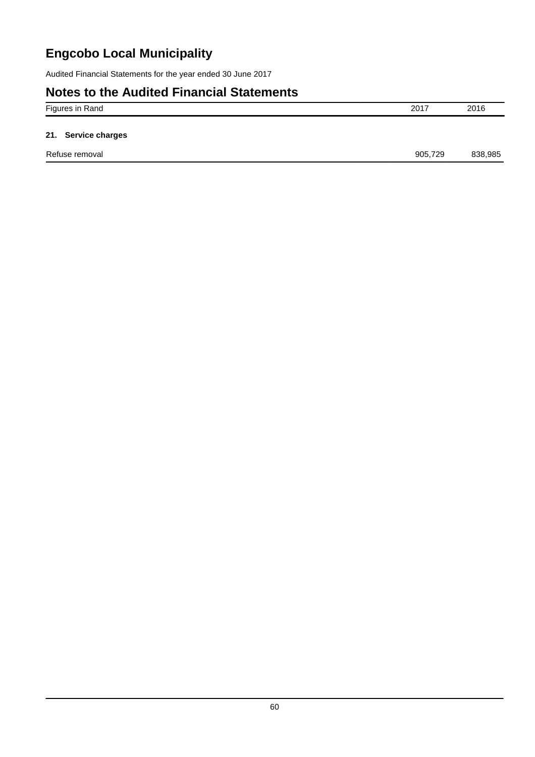Audited Financial Statements for the year ended 30 June 2017

### **Notes to the Audited Financial Statements**

| Figures in Rand     | 2017    | 2016    |
|---------------------|---------|---------|
| 21. Service charges |         |         |
| Refuse removal      | 905,729 | 838,985 |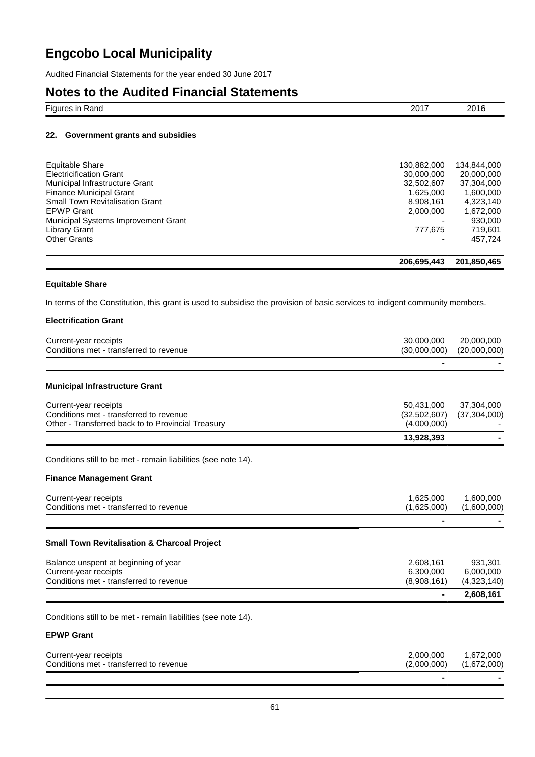Audited Financial Statements for the year ended 30 June 2017

### **Notes to the Audited Financial Statements**

| $  -$<br>F(n)<br>₹dilü | $201$ <sup>-</sup><br>∠∪<br>. .<br>__ | 0016<br>--<br>$\sim$ $\sim$ |
|------------------------|---------------------------------------|-----------------------------|
|                        |                                       |                             |

#### **22. Government grants and subsidies**

| 457.724                                                                                   |
|-------------------------------------------------------------------------------------------|
| 719.601                                                                                   |
| 930,000                                                                                   |
| 1,672,000                                                                                 |
| 4.323.140                                                                                 |
| 1,600,000                                                                                 |
| 37,304,000                                                                                |
| 20,000,000                                                                                |
| 134,844,000                                                                               |
| 130,882,000<br>30,000,000<br>32,502,607<br>1,625,000<br>8.908.161<br>2,000,000<br>777.675 |

#### **Equitable Share**

In terms of the Constitution, this grant is used to subsidise the provision of basic services to indigent community members.

#### **Electrification Grant**

| Current-year receipts<br>Conditions met - transferred to revenue                                                       | 30,000,000<br>(30,000,000)                  | 20,000,000<br>(20,000,000)          |
|------------------------------------------------------------------------------------------------------------------------|---------------------------------------------|-------------------------------------|
|                                                                                                                        |                                             |                                     |
| <b>Municipal Infrastructure Grant</b>                                                                                  |                                             |                                     |
| Current-year receipts<br>Conditions met - transferred to revenue<br>Other - Transferred back to to Provincial Treasury | 50,431,000<br>(32, 502, 607)<br>(4,000,000) | 37,304,000<br>(37, 304, 000)        |
|                                                                                                                        | 13,928,393                                  |                                     |
| Conditions still to be met - remain liabilities (see note 14).                                                         |                                             |                                     |
| <b>Finance Management Grant</b>                                                                                        |                                             |                                     |
| Current-year receipts<br>Conditions met - transferred to revenue                                                       | 1,625,000<br>(1,625,000)                    | 1,600,000<br>(1,600,000)            |
| <b>Small Town Revitalisation &amp; Charcoal Project</b>                                                                |                                             |                                     |
| Balance unspent at beginning of year<br>Current-year receipts<br>Conditions met - transferred to revenue               | 2,608,161<br>6,300,000<br>(8,908,161)       | 931,301<br>6,000,000<br>(4,323,140) |
|                                                                                                                        |                                             | 2,608,161                           |
| Conditions still to be met - remain liabilities (see note 14).                                                         |                                             |                                     |
| <b>EPWP Grant</b>                                                                                                      |                                             |                                     |
| Current-year receipts<br>Conditions met - transferred to revenue                                                       | 2,000,000<br>(2,000,000)                    | 1,672,000<br>(1,672,000)            |
|                                                                                                                        |                                             |                                     |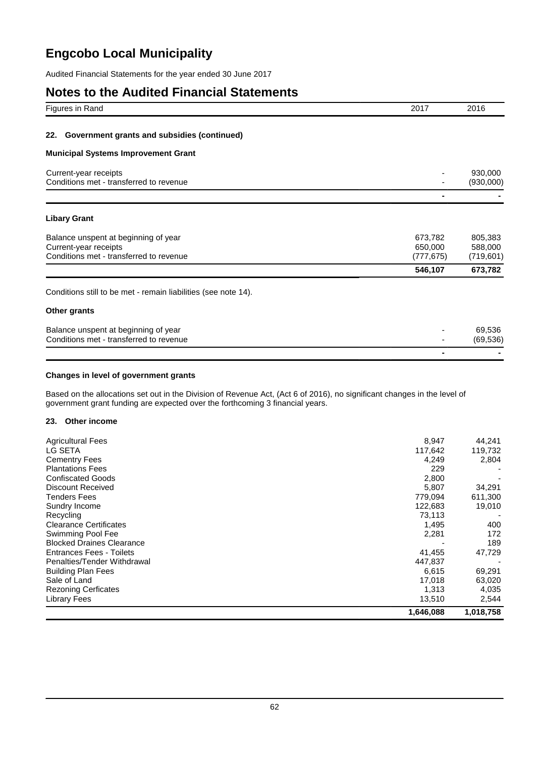Audited Financial Statements for the year ended 30 June 2017

### **Notes to the Audited Financial Statements**

| Figures in Rand                                                                                          | 2017                             | 2016                             |
|----------------------------------------------------------------------------------------------------------|----------------------------------|----------------------------------|
| Government grants and subsidies (continued)<br>22.                                                       |                                  |                                  |
| <b>Municipal Systems Improvement Grant</b>                                                               |                                  |                                  |
| Current-year receipts<br>Conditions met - transferred to revenue                                         |                                  | 930,000<br>(930,000)             |
| <b>Libary Grant</b>                                                                                      |                                  |                                  |
| Balance unspent at beginning of year<br>Current-year receipts<br>Conditions met - transferred to revenue | 673,782<br>650,000<br>(777, 675) | 805,383<br>588,000<br>(719, 601) |
|                                                                                                          | 546,107                          | 673,782                          |
| Conditions still to be met - remain liabilities (see note 14).                                           |                                  |                                  |
| <b>Other grants</b>                                                                                      |                                  |                                  |
| Balance unspent at beginning of year<br>Conditions met - transferred to revenue                          |                                  | 69,536<br>(69, 536)              |
|                                                                                                          |                                  |                                  |

#### **Changes in level of government grants**

Based on the allocations set out in the Division of Revenue Act, (Act 6 of 2016), no significant changes in the level of government grant funding are expected over the forthcoming 3 financial years.

#### **23. Other income**

| 47,729<br>69,291<br>63,020<br>4,035<br>2,544 |
|----------------------------------------------|
|                                              |
|                                              |
|                                              |
|                                              |
|                                              |
|                                              |
| 189                                          |
| 172                                          |
| 400                                          |
|                                              |
| 19,010                                       |
| 611,300                                      |
| 34,291                                       |
|                                              |
|                                              |
| 2,804                                        |
| 119,732                                      |
| 44,241                                       |
|                                              |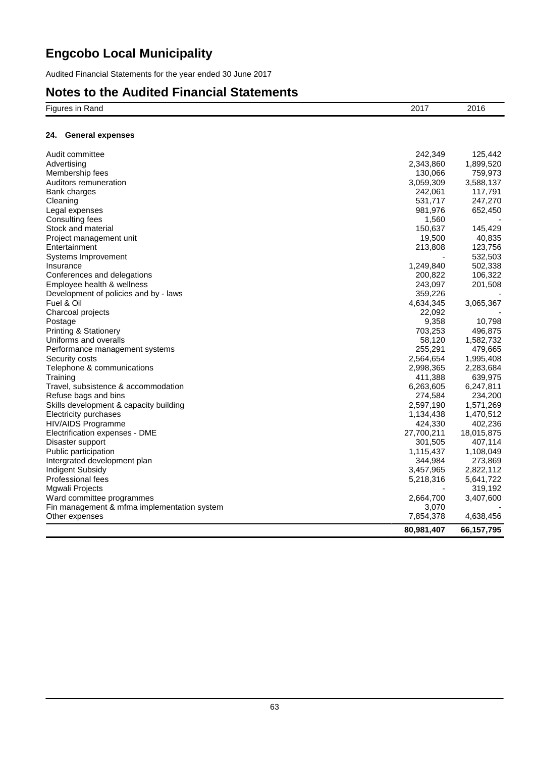Audited Financial Statements for the year ended 30 June 2017

## **Notes to the Audited Financial Statements**

| $- \cdot$<br>Figure<br>$\overline{\phantom{a}}$<br>≺ano<br>- 11 1<br>ື<br>. . | 2017<br>$-0$ | 2016<br>___ |
|-------------------------------------------------------------------------------|--------------|-------------|

#### **24. General expenses**

| Advertising<br>Membership fees                     | 2,343,860<br>130,066 | 1,899,520<br>759,973 |
|----------------------------------------------------|----------------------|----------------------|
| Auditors remuneration                              | 3,059,309            | 3,588,137            |
| Bank charges                                       | 242,061              | 117,791              |
| Cleaning                                           | 531,717              | 247,270              |
| Legal expenses                                     | 981,976              | 652,450              |
| Consulting fees                                    | 1,560                |                      |
| Stock and material                                 | 150,637              | 145,429              |
| Project management unit                            | 19,500               | 40,835               |
| Entertainment                                      | 213,808              | 123,756              |
| Systems Improvement                                |                      | 532,503              |
| Insurance                                          | 1,249,840            | 502,338              |
| Conferences and delegations                        | 200,822              | 106,322              |
| Employee health & wellness                         | 243,097              | 201,508              |
| Development of policies and by - laws              | 359,226              |                      |
| Fuel & Oil                                         | 4,634,345            | 3,065,367            |
| Charcoal projects                                  | 22,092               |                      |
| Postage                                            | 9,358                | 10,798               |
| <b>Printing &amp; Stationery</b>                   | 703,253              | 496,875              |
| Uniforms and overalls                              | 58,120               | 1,582,732            |
| Performance management systems                     | 255,291              | 479,665              |
| Security costs                                     | 2,564,654            | 1,995,408            |
| Telephone & communications                         | 2,998,365            | 2,283,684            |
| Training                                           | 411,388              | 639,975              |
| Travel, subsistence & accommodation                | 6,263,605            | 6,247,811            |
| Refuse bags and bins                               | 274,584              | 234,200              |
| Skills development & capacity building             | 2,597,190            | 1,571,269            |
| <b>Electricity purchases</b><br>HIV/AIDS Programme | 1,134,438<br>424,330 | 1,470,512<br>402,236 |
| Electrification expenses - DME                     | 27,700,211           | 18,015,875           |
| Disaster support                                   | 301,505              | 407,114              |
| Public participation                               | 1,115,437            | 1,108,049            |
| Intergrated development plan                       | 344,984              | 273,869              |
| <b>Indigent Subsidy</b>                            | 3,457,965            | 2,822,112            |
| Professional fees                                  | 5,218,316            | 5,641,722            |
| Mgwali Projects                                    |                      | 319,192              |
| Ward committee programmes                          | 2,664,700            | 3,407,600            |
| Fin management & mfma implementation system        | 3,070                |                      |
| Other expenses                                     | 7,854,378            | 4,638,456            |
|                                                    | 80,981,407           | 66,157,795           |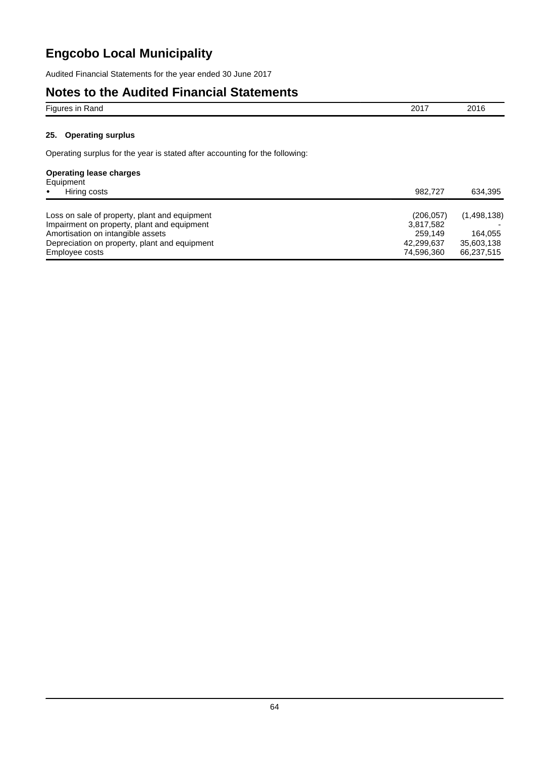Audited Financial Statements for the year ended 30 June 2017

### **Notes to the Audited Financial Statements**

| Figures in Rand |                       | 2017 | 2016 |
|-----------------|-----------------------|------|------|
|                 |                       |      |      |
|                 | 25. Operating surplus |      |      |

Operating surplus for the year is stated after accounting for the following:

#### **Operating lease charges**

| Equipment<br>Hiring costs<br>$\bullet$        | 982.727    | 634.395     |
|-----------------------------------------------|------------|-------------|
| Loss on sale of property, plant and equipment | (206, 057) | (1,498,138) |
| Impairment on property, plant and equipment   | 3,817,582  |             |
| Amortisation on intangible assets             | 259.149    | 164.055     |
| Depreciation on property, plant and equipment | 42.299.637 | 35,603,138  |
| Employee costs                                | 74.596.360 | 66,237,515  |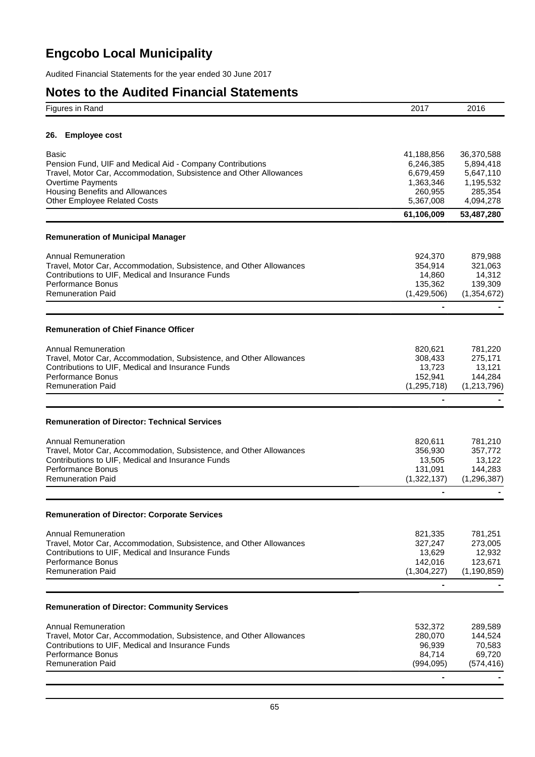Audited Financial Statements for the year ended 30 June 2017

# **Notes to the Audited Financial Statements**

|       | Figures in Rand                                                                                                                                                                                                                       | 2017                                                                      | 2016                                                                      |
|-------|---------------------------------------------------------------------------------------------------------------------------------------------------------------------------------------------------------------------------------------|---------------------------------------------------------------------------|---------------------------------------------------------------------------|
| 26.   | <b>Employee cost</b>                                                                                                                                                                                                                  |                                                                           |                                                                           |
| Basic | Pension Fund, UIF and Medical Aid - Company Contributions<br>Travel, Motor Car, Accommodation, Subsistence and Other Allowances<br><b>Overtime Payments</b><br>Housing Benefits and Allowances<br><b>Other Employee Related Costs</b> | 41,188,856<br>6,246,385<br>6,679,459<br>1,363,346<br>260,955<br>5,367,008 | 36,370,588<br>5,894,418<br>5,647,110<br>1,195,532<br>285,354<br>4,094,278 |
|       |                                                                                                                                                                                                                                       | 61,106,009                                                                | 53,487,280                                                                |
|       | <b>Remuneration of Municipal Manager</b>                                                                                                                                                                                              |                                                                           |                                                                           |
|       | <b>Annual Remuneration</b><br>Travel, Motor Car, Accommodation, Subsistence, and Other Allowances<br>Contributions to UIF, Medical and Insurance Funds<br><b>Performance Bonus</b><br><b>Remuneration Paid</b>                        | 924,370<br>354,914<br>14,860<br>135,362<br>(1,429,506)<br>$\blacksquare$  | 879,988<br>321,063<br>14,312<br>139,309<br>(1, 354, 672)                  |
|       | <b>Remuneration of Chief Finance Officer</b>                                                                                                                                                                                          |                                                                           |                                                                           |
|       | <b>Annual Remuneration</b><br>Travel, Motor Car, Accommodation, Subsistence, and Other Allowances<br>Contributions to UIF, Medical and Insurance Funds<br>Performance Bonus<br><b>Remuneration Paid</b>                               | 820,621<br>308,433<br>13,723<br>152,941<br>(1, 295, 718)                  | 781,220<br>275,171<br>13,121<br>144,284<br>(1,213,796)                    |
|       |                                                                                                                                                                                                                                       |                                                                           |                                                                           |
|       | <b>Remuneration of Director: Technical Services</b>                                                                                                                                                                                   |                                                                           |                                                                           |
|       | <b>Annual Remuneration</b><br>Travel, Motor Car, Accommodation, Subsistence, and Other Allowances<br>Contributions to UIF, Medical and Insurance Funds<br>Performance Bonus<br><b>Remuneration Paid</b>                               | 820,611<br>356,930<br>13,505<br>131,091<br>(1,322,137)                    | 781,210<br>357,772<br>13,122<br>144,283<br>(1, 296, 387)                  |
|       | <b>Remuneration of Director: Corporate Services</b>                                                                                                                                                                                   |                                                                           |                                                                           |
|       | <b>Annual Remuneration</b><br>Travel, Motor Car, Accommodation, Subsistence, and Other Allowances<br>Contributions to UIF, Medical and Insurance Funds<br><b>Performance Bonus</b><br><b>Remuneration Paid</b>                        | 821,335<br>327,247<br>13,629<br>142,016<br>(1,304,227)                    | 781,251<br>273,005<br>12,932<br>123,671<br>(1, 190, 859)                  |
|       | <b>Remuneration of Director: Community Services</b>                                                                                                                                                                                   |                                                                           |                                                                           |
|       | <b>Annual Remuneration</b><br>Travel, Motor Car, Accommodation, Subsistence, and Other Allowances<br>Contributions to UIF, Medical and Insurance Funds<br><b>Performance Bonus</b><br><b>Remuneration Paid</b>                        | 532,372<br>280,070<br>96,939<br>84,714<br>(994, 095)                      | 289,589<br>144,524<br>70,583<br>69,720<br>(574, 416)                      |
|       |                                                                                                                                                                                                                                       |                                                                           |                                                                           |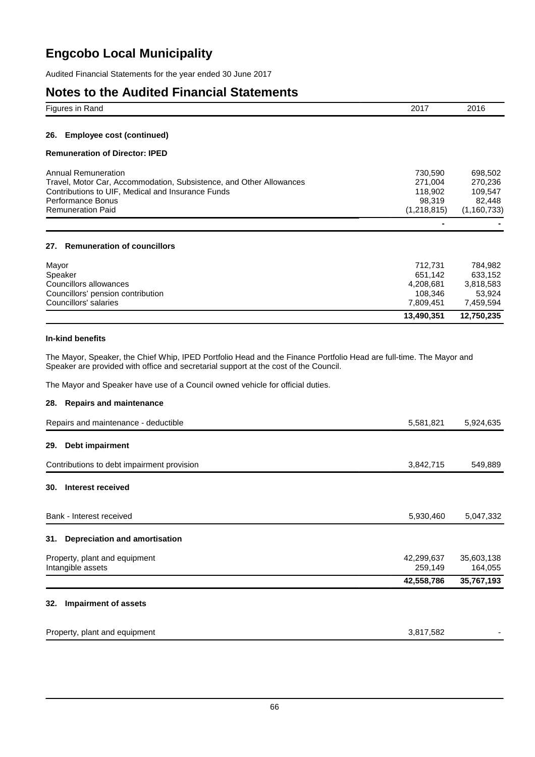Audited Financial Statements for the year ended 30 June 2017

### **Notes to the Audited Financial Statements**

| Figures in Rand                                                     | 2017        | 2016          |
|---------------------------------------------------------------------|-------------|---------------|
| Employee cost (continued)<br>26.                                    |             |               |
| <b>Remuneration of Director: IPED</b>                               |             |               |
| <b>Annual Remuneration</b>                                          | 730,590     | 698,502       |
| Travel, Motor Car, Accommodation, Subsistence, and Other Allowances | 271,004     | 270,236       |
| Contributions to UIF, Medical and Insurance Funds                   | 118,902     | 109,547       |
| Performance Bonus                                                   | 98,319      | 82,448        |
| <b>Remuneration Paid</b>                                            | (1,218,815) | (1, 160, 733) |
|                                                                     |             |               |
| <b>Remuneration of councillors</b><br>27.                           |             |               |
| Mayor                                                               | 712,731     | 784,982       |
| Speaker                                                             | 651,142     | 633,152       |
| Councillors allowances                                              | 4,208,681   | 3,818,583     |
| Councillors' pension contribution                                   | 108,346     | 53,924        |
| Councillors' salaries                                               | 7,809,451   | 7,459,594     |
|                                                                     | 13,490,351  | 12,750,235    |

#### **In-kind benefits**

The Mayor, Speaker, the Chief Whip, IPED Portfolio Head and the Finance Portfolio Head are full-time. The Mayor and Speaker are provided with office and secretarial support at the cost of the Council.

The Mayor and Speaker have use of a Council owned vehicle for official duties.

#### **28. Repairs and maintenance**

| Repairs and maintenance - deductible               | 5,581,821             | 5,924,635             |
|----------------------------------------------------|-----------------------|-----------------------|
| Debt impairment<br>29.                             |                       |                       |
| Contributions to debt impairment provision         | 3,842,715             | 549,889               |
| Interest received<br>30.                           |                       |                       |
| Bank - Interest received                           | 5,930,460             | 5,047,332             |
| Depreciation and amortisation<br>31.               |                       |                       |
| Property, plant and equipment<br>Intangible assets | 42,299,637<br>259,149 | 35,603,138<br>164,055 |
|                                                    | 42,558,786            | 35,767,193            |
| 32.<br><b>Impairment of assets</b>                 |                       |                       |
| Property, plant and equipment                      | 3,817,582             |                       |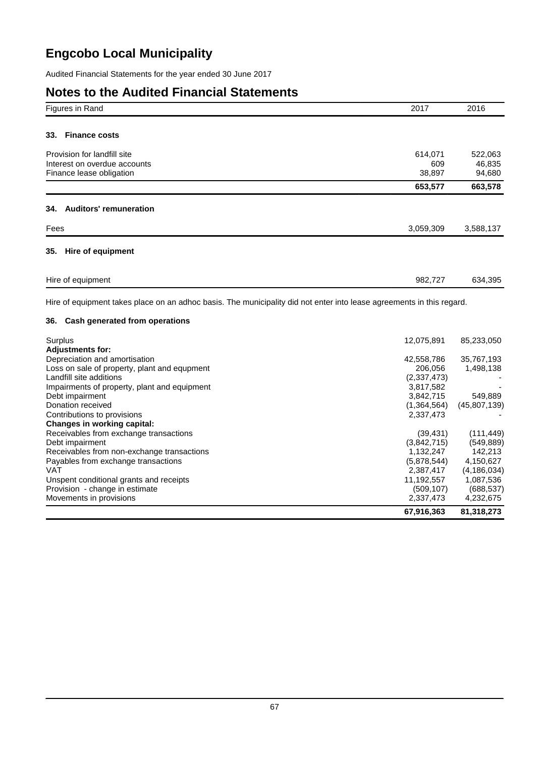Audited Financial Statements for the year ended 30 June 2017

### **Notes to the Audited Financial Statements**

| Figures in Rand                                                                         | 2017                     | 2016                        |
|-----------------------------------------------------------------------------------------|--------------------------|-----------------------------|
| <b>Finance costs</b><br>33.                                                             |                          |                             |
| Provision for landfill site<br>Interest on overdue accounts<br>Finance lease obligation | 614,071<br>609<br>38,897 | 522,063<br>46,835<br>94,680 |
|                                                                                         | 653,577                  | 663,578                     |
| <b>Auditors' remuneration</b><br>34.                                                    |                          |                             |
| Fees                                                                                    | 3,059,309                | 3,588,137                   |
| Hire of equipment<br>35.                                                                |                          |                             |
| Hire of equipment                                                                       | 982,727                  | 634,395                     |

Hire of equipment takes place on an adhoc basis. The municipality did not enter into lease agreements in this regard.

#### **36. Cash generated from operations**

|                                              | 67,916,363  | 81,318,273    |
|----------------------------------------------|-------------|---------------|
| Movements in provisions                      | 2,337,473   | 4,232,675     |
| Provision - change in estimate               | (509, 107)  | (688, 537)    |
| Unspent conditional grants and receipts      | 11,192,557  | 1,087,536     |
| VAT                                          | 2,387,417   | (4, 186, 034) |
| Payables from exchange transactions          | (5,878,544) | 4,150,627     |
| Receivables from non-exchange transactions   | 1,132,247   | 142,213       |
| Debt impairment                              | (3,842,715) | (549, 889)    |
| Receivables from exchange transactions       | (39, 431)   | (111, 449)    |
| Changes in working capital:                  |             |               |
| Contributions to provisions                  | 2,337,473   |               |
| Donation received                            | (1,364,564) | (45,807,139)  |
| Debt impairment                              | 3,842,715   | 549,889       |
| Impairments of property, plant and equipment | 3,817,582   |               |
| Landfill site additions                      | (2,337,473) |               |
| Loss on sale of property, plant and equpment | 206.056     | 1,498,138     |
| Depreciation and amortisation                | 42,558,786  | 35,767,193    |
| <b>Adjustments for:</b>                      |             |               |
| Surplus                                      | 12,075,891  | 85,233,050    |
|                                              |             |               |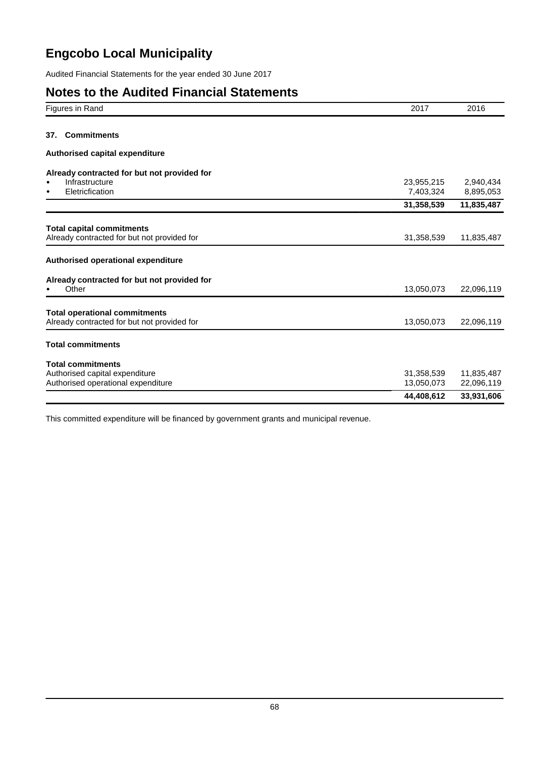Audited Financial Statements for the year ended 30 June 2017

### **Notes to the Audited Financial Statements**

| Figures in Rand                                                                 |            | 2016       |
|---------------------------------------------------------------------------------|------------|------------|
|                                                                                 |            |            |
| <b>Commitments</b><br>37.                                                       |            |            |
| Authorised capital expenditure                                                  |            |            |
| Already contracted for but not provided for                                     |            |            |
| Infrastructure                                                                  | 23,955,215 | 2,940,434  |
| Eletricfication                                                                 | 7,403,324  | 8,895,053  |
|                                                                                 | 31,358,539 | 11,835,487 |
|                                                                                 |            |            |
| <b>Total capital commitments</b><br>Already contracted for but not provided for | 31,358,539 | 11,835,487 |
| Authorised operational expenditure                                              |            |            |
| Already contracted for but not provided for                                     |            |            |
| Other                                                                           | 13,050,073 | 22,096,119 |
| <b>Total operational commitments</b>                                            |            |            |
| Already contracted for but not provided for                                     | 13,050,073 | 22,096,119 |
| <b>Total commitments</b>                                                        |            |            |
| <b>Total commitments</b>                                                        |            |            |
| Authorised capital expenditure                                                  | 31,358,539 | 11,835,487 |
| Authorised operational expenditure                                              | 13,050,073 | 22,096,119 |
|                                                                                 | 44,408,612 | 33,931,606 |

This committed expenditure will be financed by government grants and municipal revenue.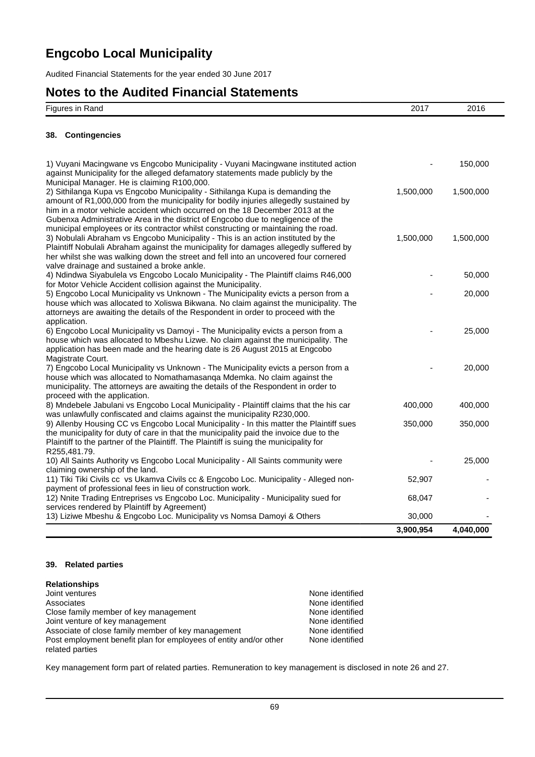Audited Financial Statements for the year ended 30 June 2017

### **Notes to the Audited Financial Statements**

|     | Figures in Rand                                                                                                                                                                                                                                                                                                                                                                                                                  | 2017                | 2016      |
|-----|----------------------------------------------------------------------------------------------------------------------------------------------------------------------------------------------------------------------------------------------------------------------------------------------------------------------------------------------------------------------------------------------------------------------------------|---------------------|-----------|
| 38. | <b>Contingencies</b>                                                                                                                                                                                                                                                                                                                                                                                                             |                     |           |
|     | 1) Vuyani Macingwane vs Engcobo Municipality - Vuyani Macingwane instituted action<br>against Municipality for the alleged defamatory statements made publicly by the<br>Municipal Manager. He is claiming R100,000.                                                                                                                                                                                                             |                     | 150,000   |
|     | 2) Sithilanga Kupa vs Engcobo Municipality - Sithilanga Kupa is demanding the<br>amount of R1,000,000 from the municipality for bodily injuries allegedly sustained by<br>him in a motor vehicle accident which occurred on the 18 December 2013 at the<br>Gubenxa Administrative Area in the district of Engcobo due to negligence of the<br>municipal employees or its contractor whilst constructing or maintaining the road. | 1,500,000           | 1,500,000 |
|     | 3) Nobulali Abraham vs Engcobo Municipality - This is an action instituted by the<br>Plaintiff Nobulali Abraham against the municipality for damages allegedly suffered by<br>her whilst she was walking down the street and fell into an uncovered four cornered<br>valve drainage and sustained a broke ankle.                                                                                                                 | 1,500,000           | 1,500,000 |
|     | 4) Ndindwa Siyabulela vs Engcobo Localo Municipality - The Plaintiff claims R46,000<br>for Motor Vehicle Accident collision against the Municipality.                                                                                                                                                                                                                                                                            |                     | 50,000    |
|     | 5) Engcobo Local Municipality vs Unknown - The Municipality evicts a person from a<br>house which was allocated to Xoliswa Bikwana. No claim against the municipality. The<br>attorneys are awaiting the details of the Respondent in order to proceed with the                                                                                                                                                                  |                     | 20,000    |
|     | application.<br>6) Engcobo Local Municipality vs Damoyi - The Municipality evicts a person from a<br>house which was allocated to Mbeshu Lizwe. No claim against the municipality. The<br>application has been made and the hearing date is 26 August 2015 at Engcobo<br>Magistrate Court.                                                                                                                                       |                     | 25,000    |
|     | 7) Engcobo Local Municipality vs Unknown - The Municipality evicts a person from a<br>house which was allocated to Nomathamasanga Mdemka. No claim against the<br>municipality. The attorneys are awaiting the details of the Respondent in order to<br>proceed with the application.                                                                                                                                            |                     | 20,000    |
|     | 8) Mndebele Jabulani vs Engcobo Local Municipality - Plaintiff claims that the his car<br>was unlawfully confiscated and claims against the municipality R230,000.                                                                                                                                                                                                                                                               | 400,000             | 400,000   |
|     | 9) Allenby Housing CC vs Engcobo Local Municipality - In this matter the Plaintiff sues<br>the municipality for duty of care in that the municipality paid the invoice due to the<br>Plaintiff to the partner of the Plaintiff. The Plaintiff is suing the municipality for<br>R255,481.79.                                                                                                                                      | 350,000             | 350,000   |
|     | 10) All Saints Authority vs Engcobo Local Municipality - All Saints community were                                                                                                                                                                                                                                                                                                                                               |                     | 25,000    |
|     | claiming ownership of the land.<br>11) Tiki Tiki Civils cc vs Ukamva Civils cc & Engcobo Loc. Municipality - Alleged non-                                                                                                                                                                                                                                                                                                        | 52,907              |           |
|     | payment of professional fees in lieu of construction work.<br>12) Nnite Trading Entreprises vs Engcobo Loc. Municipality - Municipality sued for                                                                                                                                                                                                                                                                                 | 68,047              |           |
|     | services rendered by Plaintiff by Agreement)<br>13) Liziwe Mbeshu & Engcobo Loc. Municipality vs Nomsa Damoyi & Others                                                                                                                                                                                                                                                                                                           | 30,000<br>3,900,954 | 4,040,000 |

#### **39. Related parties**

| <b>Relationships</b>                                              |                 |
|-------------------------------------------------------------------|-----------------|
| Joint ventures                                                    | None identified |
| Associates                                                        | None identified |
| Close family member of key management                             | None identified |
| Joint venture of key management                                   | None identified |
| Associate of close family member of key management                | None identified |
| Post employment benefit plan for employees of entity and/or other | None identified |
| related parties                                                   |                 |

Key management form part of related parties. Remuneration to key management is disclosed in note 26 and 27.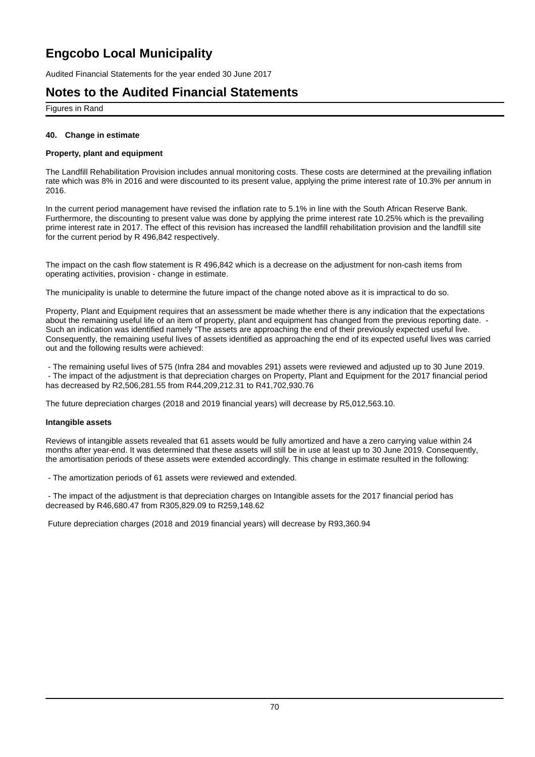Audited Financial Statements for the year ended 30 June 2017

### **Notes to the Audited Financial Statements**

Figures in Rand

#### **40. Change in estimate**

#### **Property, plant and equipment**

The Landfill Rehabilitation Provision includes annual monitoring costs. These costs are determined at the prevailing inflation rate which was 8% in 2016 and were discounted to its present value, applying the prime interest rate of 10.3% per annum in 2016.

In the current period management have revised the inflation rate to 5.1% in line with the South African Reserve Bank. Furthermore, the discounting to present value was done by applying the prime interest rate 10.25% which is the prevailing prime interest rate in 2017. The effect of this revision has increased the landfill rehabilitation provision and the landfill site for the current period by R 496,842 respectively.

The impact on the cash flow statement is R 496,842 which is a decrease on the adjustment for non-cash items from operating activities, provision - change in estimate.

The municipality is unable to determine the future impact of the change noted above as it is impractical to do so.

Property, Plant and Equipment requires that an assessment be made whether there is any indication that the expectations about the remaining useful life of an item of property, plant and equipment has changed from the previous reporting date. -Such an indication was identified namely "The assets are approaching the end of their previously expected useful live. Consequently, the remaining useful lives of assets identified as approaching the end of its expected useful lives was carried out and the following results were achieved:

- The remaining useful lives of 575 (Infra 284 and movables 291) assets were reviewed and adjusted up to 30 June 2019. - The impact of the adjustment is that depreciation charges on Property, Plant and Equipment for the 2017 financial period has decreased by R2,506,281.55 from R44,209,212.31 to R41,702,930.76

The future depreciation charges (2018 and 2019 financial years) will decrease by R5,012,563.10.

#### **Intangible assets**

Reviews of intangible assets revealed that 61 assets would be fully amortized and have a zero carrying value within 24 months after year-end. It was determined that these assets will still be in use at least up to 30 June 2019. Consequently, the amortisation periods of these assets were extended accordingly. This change in estimate resulted in the following:

- The amortization periods of 61 assets were reviewed and extended.

- The impact of the adjustment is that depreciation charges on Intangible assets for the 2017 financial period has decreased by R46,680.47 from R305,829.09 to R259,148.62

Future depreciation charges (2018 and 2019 financial years) will decrease by R93,360.94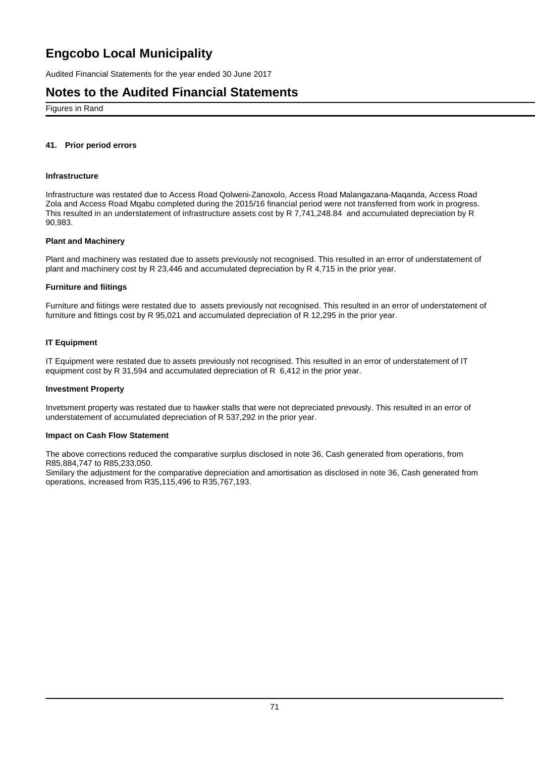Audited Financial Statements for the year ended 30 June 2017

### **Notes to the Audited Financial Statements**

Figures in Rand

#### **41. Prior period errors**

#### **Infrastructure**

Infrastructure was restated due to Access Road Qolweni-Zanoxolo, Access Road Malangazana-Maqanda, Access Road Zola and Access Road Mqabu completed during the 2015/16 financial period were not transferred from work in progress. This resulted in an understatement of infrastructure assets cost by R 7,741,248.84 and accumulated depreciation by R 90,983.

#### **Plant and Machinery**

Plant and machinery was restated due to assets previously not recognised. This resulted in an error of understatement of plant and machinery cost by R 23,446 and accumulated depreciation by R 4,715 in the prior year.

#### **Furniture and fiitings**

Furniture and fiitings were restated due to assets previously not recognised. This resulted in an error of understatement of furniture and fittings cost by R 95,021 and accumulated depreciation of R 12,295 in the prior year.

#### **IT Equipment**

IT Equipment were restated due to assets previously not recognised. This resulted in an error of understatement of IT equipment cost by R 31,594 and accumulated depreciation of R 6,412 in the prior year.

#### **Investment Property**

Invetsment property was restated due to hawker stalls that were not depreciated prevously. This resulted in an error of understatement of accumulated depreciation of R 537,292 in the prior year.

#### **Impact on Cash Flow Statement**

The above corrections reduced the comparative surplus disclosed in note 36, Cash generated from operations, from R85,884,747 to R85,233,050.

Similary the adjustment for the comparative depreciation and amortisation as disclosed in note 36, Cash generated from operations, increased from R35,115,496 to R35,767,193.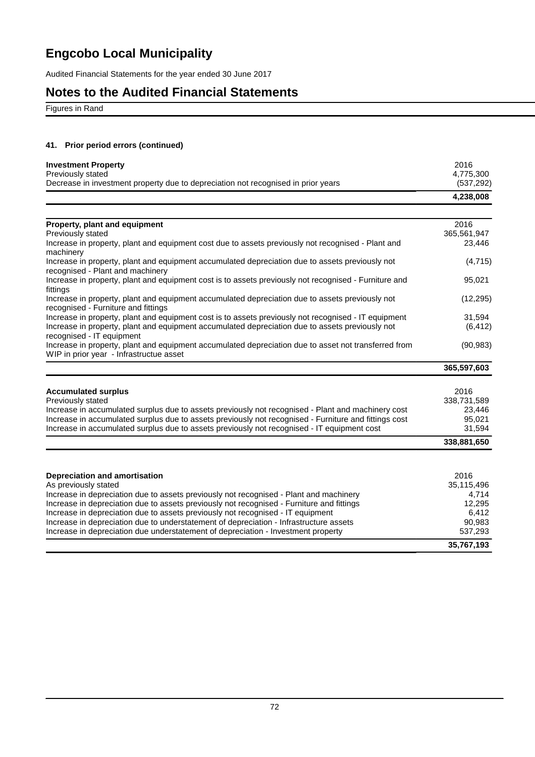Audited Financial Statements for the year ended 30 June 2017

## **Notes to the Audited Financial Statements**

Figures in Rand

## **41. Prior period errors (continued)**

| <b>Investment Property</b><br>Previously stated                                                                                                                                                                                      | 2016<br>4,775,300   |
|--------------------------------------------------------------------------------------------------------------------------------------------------------------------------------------------------------------------------------------|---------------------|
| Decrease in investment property due to depreciation not recognised in prior years                                                                                                                                                    | (537, 292)          |
|                                                                                                                                                                                                                                      | 4,238,008           |
| Property, plant and equipment                                                                                                                                                                                                        | 2016                |
| Previously stated                                                                                                                                                                                                                    | 365,561,947         |
| Increase in property, plant and equipment cost due to assets previously not recognised - Plant and<br>machinery                                                                                                                      | 23,446              |
| Increase in property, plant and equipment accumulated depreciation due to assets previously not<br>recognised - Plant and machinery                                                                                                  | (4, 715)            |
| Increase in property, plant and equipment cost is to assets previously not recognised - Furniture and<br>fittings                                                                                                                    | 95,021              |
| Increase in property, plant and equipment accumulated depreciation due to assets previously not<br>recognised - Furniture and fittings                                                                                               | (12, 295)           |
| Increase in property, plant and equipment cost is to assets previously not recognised - IT equipment<br>Increase in property, plant and equipment accumulated depreciation due to assets previously not<br>recognised - IT equipment | 31,594<br>(6, 412)  |
| Increase in property, plant and equipment accumulated depreciation due to asset not transferred from<br>WIP in prior year - Infrastructue asset                                                                                      | (90, 983)           |
|                                                                                                                                                                                                                                      | 365,597,603         |
| <b>Accumulated surplus</b><br>Previously stated                                                                                                                                                                                      | 2016<br>338,731,589 |
| Increase in accumulated surplus due to assets previously not recognised - Plant and machinery cost                                                                                                                                   | 23,446              |
| Increase in accumulated surplus due to assets previously not recognised - Furniture and fittings cost<br>Increase in accumulated surplus due to assets previously not recognised - IT equipment cost                                 | 95,021<br>31,594    |
|                                                                                                                                                                                                                                      | 338,881,650         |
|                                                                                                                                                                                                                                      |                     |
| Depreciation and amortisation                                                                                                                                                                                                        | 2016                |

|                                                                                           | 35,767,193 |
|-------------------------------------------------------------------------------------------|------------|
| Increase in depreciation due understatement of depreciation - Investment property         | 537.293    |
| Increase in depreciation due to understatement of depreciation - Infrastructure assets    | 90.983     |
| Increase in depreciation due to assets previously not recognised - IT equipment           | 6.412      |
| Increase in depreciation due to assets previously not recognised - Furniture and fittings | 12.295     |
| Increase in depreciation due to assets previously not recognised - Plant and machinery    | 4.714      |
| As previously stated                                                                      | 35,115,496 |
| Depreciation and amortisation                                                             | 2016       |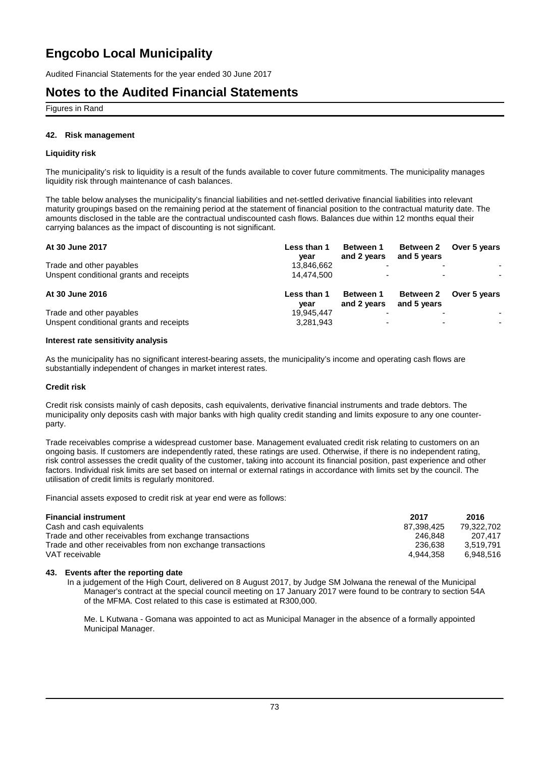Audited Financial Statements for the year ended 30 June 2017

## **Notes to the Audited Financial Statements**

Figures in Rand

## **42. Risk management**

### **Liquidity risk**

The municipality's risk to liquidity is a result of the funds available to cover future commitments. The municipality manages liquidity risk through maintenance of cash balances.

The table below analyses the municipality's financial liabilities and net-settled derivative financial liabilities into relevant maturity groupings based on the remaining period at the statement of financial position to the contractual maturity date. The amounts disclosed in the table are the contractual undiscounted cash flows. Balances due within 12 months equal their carrying balances as the impact of discounting is not significant.

| At 30 June 2017                         | Less than 1<br>vear | <b>Between 1</b><br>and 2 years | <b>Between 2</b><br>and 5 years | Over 5 years |
|-----------------------------------------|---------------------|---------------------------------|---------------------------------|--------------|
| Trade and other payables                | 13,846,662          |                                 |                                 |              |
| Unspent conditional grants and receipts | 14.474.500          |                                 |                                 |              |
|                                         |                     |                                 |                                 |              |
| At 30 June 2016                         | Less than 1<br>year | <b>Between 1</b><br>and 2 years | <b>Between 2</b><br>and 5 years | Over 5 years |
| Trade and other payables                | 19.945.447          |                                 |                                 |              |

### **Interest rate sensitivity analysis**

As the municipality has no significant interest-bearing assets, the municipality's income and operating cash flows are substantially independent of changes in market interest rates.

### **Credit risk**

Credit risk consists mainly of cash deposits, cash equivalents, derivative financial instruments and trade debtors. The municipality only deposits cash with major banks with high quality credit standing and limits exposure to any one counterparty.

Trade receivables comprise a widespread customer base. Management evaluated credit risk relating to customers on an ongoing basis. If customers are independently rated, these ratings are used. Otherwise, if there is no independent rating, risk control assesses the credit quality of the customer, taking into account its financial position, past experience and other factors. Individual risk limits are set based on internal or external ratings in accordance with limits set by the council. The utilisation of credit limits is regularly monitored.

Financial assets exposed to credit risk at year end were as follows:

| <b>Financial instrument</b>                                | 2017       | 2016       |
|------------------------------------------------------------|------------|------------|
| Cash and cash equivalents                                  | 87.398.425 | 79.322.702 |
| Trade and other receivables from exchange transactions     | 246.848    | 207.417    |
| Trade and other receivables from non exchange transactions | 236.638    | 3.519.791  |
| VAT receivable                                             | 4.944.358  | 6.948.516  |

### **43. Events after the reporting date**

In a judgement of the High Court, delivered on 8 August 2017, by Judge SM Jolwana the renewal of the Municipal Manager's contract at the special council meeting on 17 January 2017 were found to be contrary to section 54A of the MFMA. Cost related to this case is estimated at R300,000.

Me. L Kutwana - Gomana was appointed to act as Municipal Manager in the absence of a formally appointed Municipal Manager.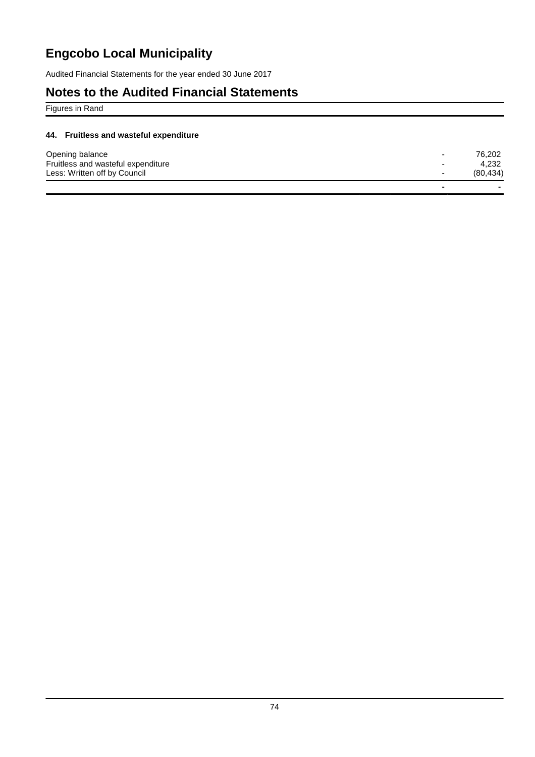Audited Financial Statements for the year ended 30 June 2017

## **Notes to the Audited Financial Statements**

Figures in Rand

## **44. Fruitless and wasteful expenditure**

| Opening balance                    | $\sim$                   | 76,202    |
|------------------------------------|--------------------------|-----------|
| Fruitless and wasteful expenditure | $\overline{\phantom{0}}$ | 4.232     |
| Less: Written off by Council       | $\overline{\phantom{a}}$ | (80, 434) |
|                                    | $\blacksquare$           |           |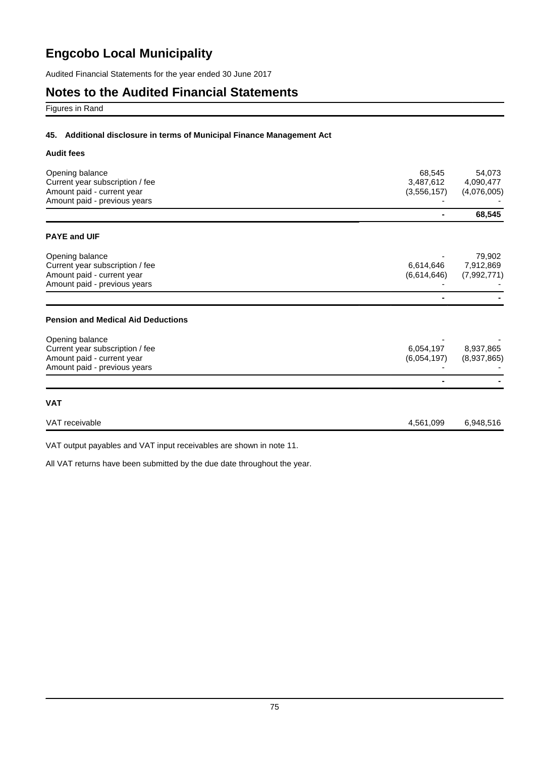Audited Financial Statements for the year ended 30 June 2017

## **Notes to the Audited Financial Statements**

Figures in Rand

## **45. Additional disclosure in terms of Municipal Finance Management Act**

## **Audit fees**

| Opening balance<br>Current year subscription / fee            | 68,545<br>3,487,612 | 54.073<br>4,090,477 |
|---------------------------------------------------------------|---------------------|---------------------|
| Amount paid - current year<br>Amount paid - previous years    | (3,556,157)         | (4,076,005)         |
|                                                               |                     | 68,545              |
| <b>PAYE and UIF</b>                                           |                     |                     |
| Opening balance                                               |                     | 79,902              |
| Current year subscription / fee<br>Amount paid - current year | 6,614,646           | 7,912,869           |
| Amount paid - previous years                                  | (6,614,646)         | (7,992,771)         |
|                                                               |                     |                     |
| <b>Pension and Medical Aid Deductions</b>                     |                     |                     |
| Opening balance                                               |                     |                     |
| Current year subscription / fee                               | 6,054,197           | 8,937,865           |
| Amount paid - current year<br>Amount paid - previous years    | (6,054,197)         | (8,937,865)         |
|                                                               |                     |                     |
| <b>VAT</b>                                                    |                     |                     |
| VAT receivable                                                | 4,561,099           | 6,948,516           |
|                                                               |                     |                     |

VAT output payables and VAT input receivables are shown in note 11.

All VAT returns have been submitted by the due date throughout the year.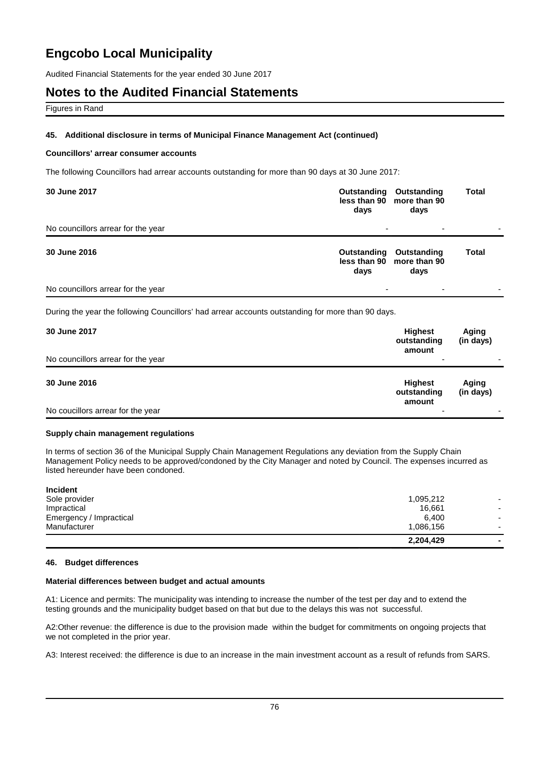Audited Financial Statements for the year ended 30 June 2017

## **Notes to the Audited Financial Statements**

Figures in Rand

### **45. Additional disclosure in terms of Municipal Finance Management Act (continued)**

### **Councillors' arrear consumer accounts**

The following Councillors had arrear accounts outstanding for more than 90 days at 30 June 2017:

| 30 June 2017                       | <b>Total</b><br>Outstanding<br>Outstanding<br>less than 90<br>more than 90<br>days<br>days |  |
|------------------------------------|--------------------------------------------------------------------------------------------|--|
| No councillors arrear for the year |                                                                                            |  |
| 30 June 2016                       | <b>Total</b><br>Outstanding<br>Outstanding<br>less than 90<br>more than 90<br>days<br>days |  |
| No councillors arrear for the year | -<br>-                                                                                     |  |
|                                    |                                                                                            |  |

During the year the following Councillors' had arrear accounts outstanding for more than 90 days.

| 30 June 2017                       | <b>Highest</b><br>outstanding<br>amount | Aging<br>(in days) |  |
|------------------------------------|-----------------------------------------|--------------------|--|
| No councillors arrear for the year |                                         |                    |  |
| 30 June 2016                       | <b>Highest</b><br>outstanding           | Aging<br>(in days) |  |
| No coucillors arrear for the year  | amount                                  |                    |  |

### **Supply chain management regulations**

In terms of section 36 of the Municipal Supply Chain Management Regulations any deviation from the Supply Chain Management Policy needs to be approved/condoned by the City Manager and noted by Council. The expenses incurred as listed hereunder have been condoned.

|                         | 2,204,429 |   |
|-------------------------|-----------|---|
| Manufacturer            | 1,086,156 | - |
| Emergency / Impractical | 6.400     | - |
| Impractical             | 16.661    | - |
| Sole provider           | 1,095,212 |   |
| Incident                |           |   |

### **46. Budget differences**

#### **Material differences between budget and actual amounts**

A1: Licence and permits: The municipality was intending to increase the number of the test per day and to extend the testing grounds and the municipality budget based on that but due to the delays this was not successful.

A2:Other revenue: the difference is due to the provision made within the budget for commitments on ongoing projects that we not completed in the prior year.

A3: Interest received: the difference is due to an increase in the main investment account as a result of refunds from SARS.